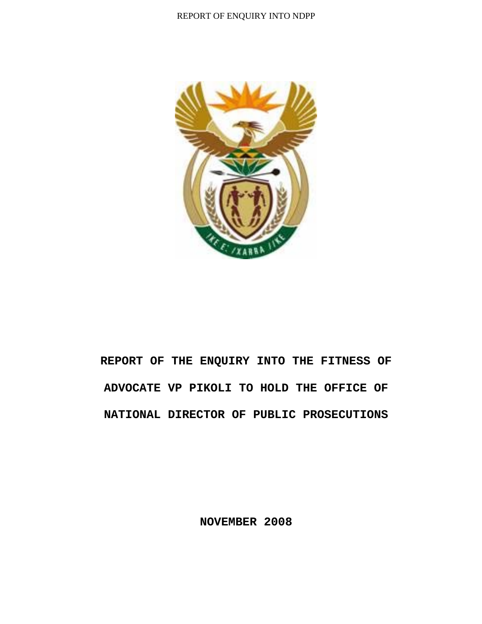

# **REPORT OF THE ENQUIRY INTO THE FITNESS OF ADVOCATE VP PIKOLI TO HOLD THE OFFICE OF NATIONAL DIRECTOR OF PUBLIC PROSECUTIONS**

**NOVEMBER 2008**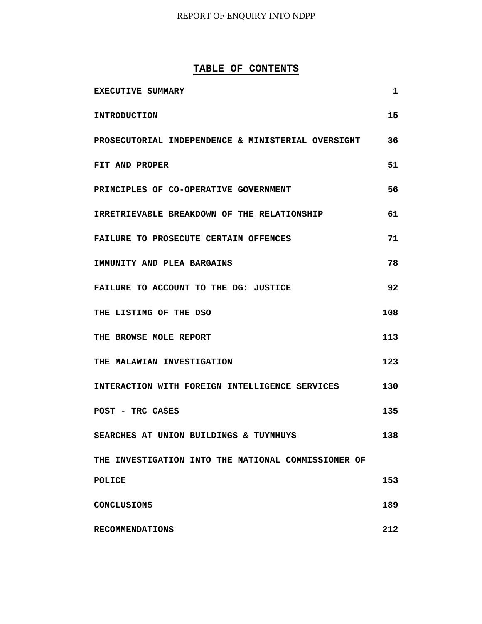## **TABLE OF CONTENTS**

| EXECUTIVE SUMMARY                                   | 1   |
|-----------------------------------------------------|-----|
| <b>INTRODUCTION</b>                                 | 15  |
| PROSECUTORIAL INDEPENDENCE & MINISTERIAL OVERSIGHT  | 36  |
| FIT AND PROPER                                      | 51  |
| PRINCIPLES OF CO-OPERATIVE GOVERNMENT               | 56  |
| IRRETRIEVABLE BREAKDOWN OF THE RELATIONSHIP         | 61  |
| <b>FAILURE TO PROSECUTE CERTAIN OFFENCES</b>        | 71  |
| IMMUNITY AND PLEA BARGAINS                          | 78  |
| FAILURE TO ACCOUNT TO THE DG: JUSTICE               | 92  |
| THE LISTING OF THE DSO                              | 108 |
| THE BROWSE MOLE REPORT                              | 113 |
| THE MALAWIAN INVESTIGATION                          | 123 |
| INTERACTION WITH FOREIGN INTELLIGENCE SERVICES      | 130 |
| POST - TRC CASES                                    | 135 |
| SEARCHES AT UNION BUILDINGS & TUYNHUYS              | 138 |
| THE INVESTIGATION INTO THE NATIONAL COMMISSIONER OF |     |
| <b>POLICE</b>                                       | 153 |
| <b>CONCLUSIONS</b>                                  | 189 |
| <b>RECOMMENDATIONS</b>                              | 212 |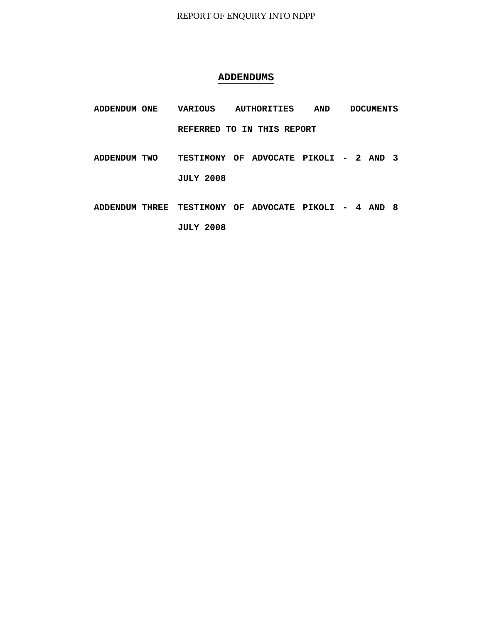## **ADDENDUMS**

- **ADDENDUM ONE VARIOUS AUTHORITIES AND DOCUMENTS REFERRED TO IN THIS REPORT**
- **ADDENDUM TWO TESTIMONY OF ADVOCATE PIKOLI 2 AND 3 JULY 2008**
- **ADDENDUM THREE TESTIMONY OF ADVOCATE PIKOLI 4 AND 8 JULY 2008**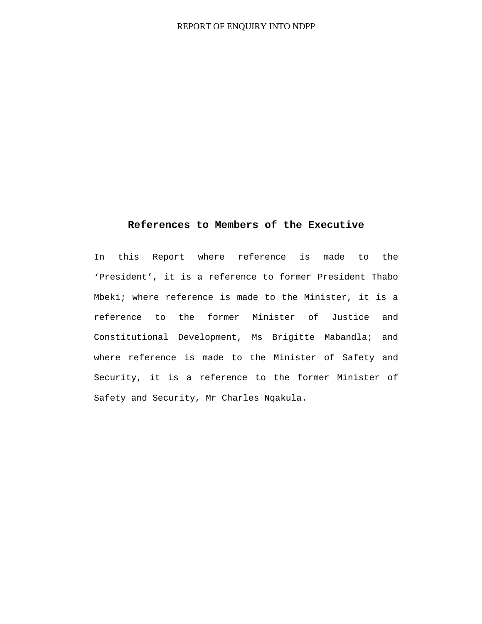## **References to Members of the Executive**

In this Report where reference is made to the 'President', it is a reference to former President Thabo Mbeki; where reference is made to the Minister, it is a reference to the former Minister of Justice and Constitutional Development, Ms Brigitte Mabandla; and where reference is made to the Minister of Safety and Security, it is a reference to the former Minister of Safety and Security, Mr Charles Nqakula.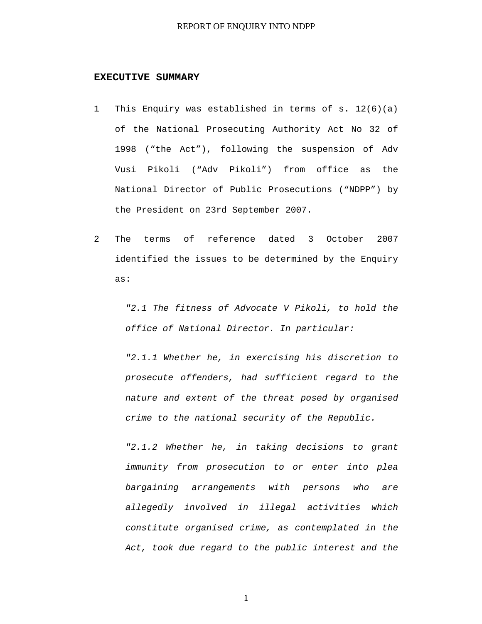#### **EXECUTIVE SUMMARY**

- 1 This Enquiry was established in terms of s. 12(6)(a) of the National Prosecuting Authority Act No 32 of 1998 ("the Act"), following the suspension of Adv Vusi Pikoli ("Adv Pikoli") from office as the National Director of Public Prosecutions ("NDPP") by the President on 23rd September 2007.
- 2 The terms of reference dated 3 October 2007 identified the issues to be determined by the Enquiry as:

*"2.1 The fitness of Advocate V Pikoli, to hold the office of National Director. In particular:* 

*"2.1.1 Whether he, in exercising his discretion to prosecute offenders, had sufficient regard to the nature and extent of the threat posed by organised crime to the national security of the Republic.* 

*"2.1.2 Whether he, in taking decisions to grant immunity from prosecution to or enter into plea bargaining arrangements with persons who are allegedly involved in illegal activities which constitute organised crime, as contemplated in the Act, took due regard to the public interest and the*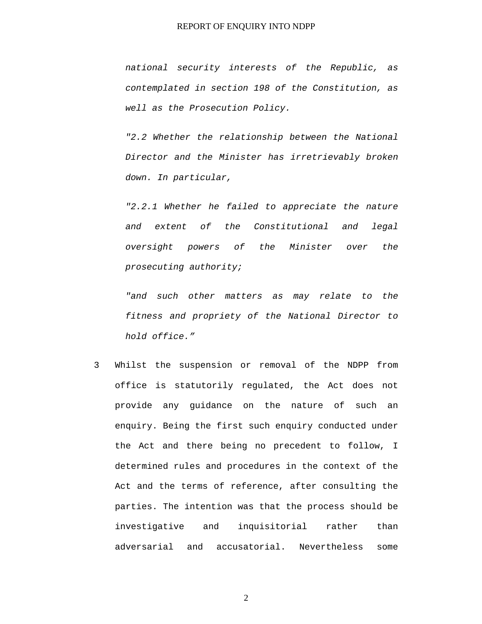*national security interests of the Republic, as contemplated in section 198 of the Constitution, as well as the Prosecution Policy.* 

*"2.2 Whether the relationship between the National Director and the Minister has irretrievably broken down. In particular,* 

*"2.2.1 Whether he failed to appreciate the nature and extent of the Constitutional and legal oversight powers of the Minister over the prosecuting authority;* 

*"and such other matters as may relate to the fitness and propriety of the National Director to hold office."* 

3 Whilst the suspension or removal of the NDPP from office is statutorily regulated, the Act does not provide any guidance on the nature of such an enquiry. Being the first such enquiry conducted under the Act and there being no precedent to follow, I determined rules and procedures in the context of the Act and the terms of reference, after consulting the parties. The intention was that the process should be investigative and inquisitorial rather than adversarial and accusatorial. Nevertheless some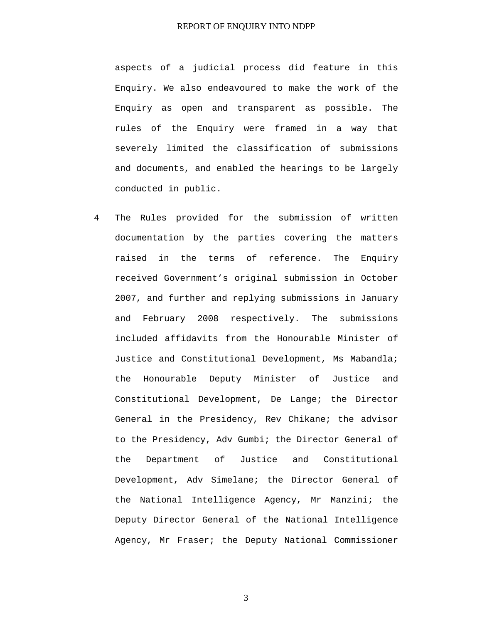aspects of a judicial process did feature in this Enquiry. We also endeavoured to make the work of the Enquiry as open and transparent as possible. The rules of the Enquiry were framed in a way that severely limited the classification of submissions and documents, and enabled the hearings to be largely conducted in public.

4 The Rules provided for the submission of written documentation by the parties covering the matters raised in the terms of reference. The Enquiry received Government's original submission in October 2007, and further and replying submissions in January and February 2008 respectively. The submissions included affidavits from the Honourable Minister of Justice and Constitutional Development, Ms Mabandla; the Honourable Deputy Minister of Justice and Constitutional Development, De Lange; the Director General in the Presidency, Rev Chikane; the advisor to the Presidency, Adv Gumbi; the Director General of the Department of Justice and Constitutional Development, Adv Simelane; the Director General of the National Intelligence Agency, Mr Manzini; the Deputy Director General of the National Intelligence Agency, Mr Fraser; the Deputy National Commissioner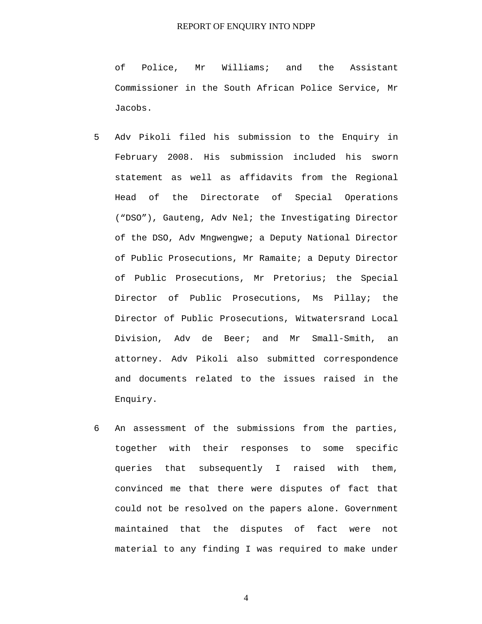of Police, Mr Williams; and the Assistant Commissioner in the South African Police Service, Mr Jacobs.

- 5 Adv Pikoli filed his submission to the Enquiry in February 2008. His submission included his sworn statement as well as affidavits from the Regional Head of the Directorate of Special Operations ("DSO"), Gauteng, Adv Nel; the Investigating Director of the DSO, Adv Mngwengwe; a Deputy National Director of Public Prosecutions, Mr Ramaite; a Deputy Director of Public Prosecutions, Mr Pretorius; the Special Director of Public Prosecutions, Ms Pillay; the Director of Public Prosecutions, Witwatersrand Local Division, Adv de Beer; and Mr Small-Smith, an attorney. Adv Pikoli also submitted correspondence and documents related to the issues raised in the Enquiry.
- 6 An assessment of the submissions from the parties, together with their responses to some specific queries that subsequently I raised with them, convinced me that there were disputes of fact that could not be resolved on the papers alone. Government maintained that the disputes of fact were not material to any finding I was required to make under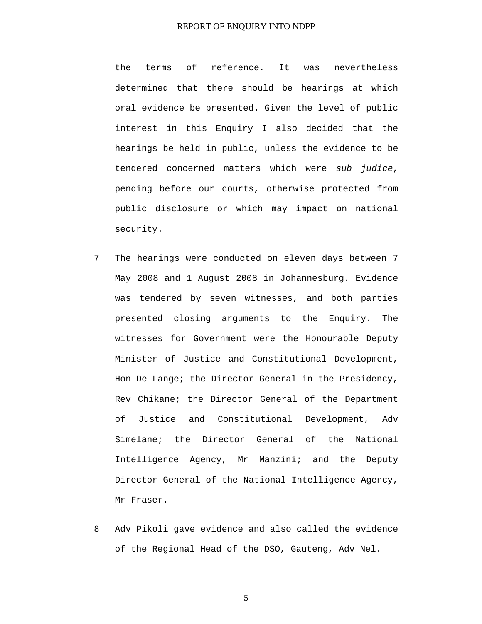the terms of reference. It was nevertheless determined that there should be hearings at which oral evidence be presented. Given the level of public interest in this Enquiry I also decided that the hearings be held in public, unless the evidence to be tendered concerned matters which were *sub judice*, pending before our courts, otherwise protected from public disclosure or which may impact on national security.

- 7 The hearings were conducted on eleven days between 7 May 2008 and 1 August 2008 in Johannesburg. Evidence was tendered by seven witnesses, and both parties presented closing arguments to the Enquiry. The witnesses for Government were the Honourable Deputy Minister of Justice and Constitutional Development, Hon De Lange; the Director General in the Presidency, Rev Chikane; the Director General of the Department of Justice and Constitutional Development, Adv Simelane; the Director General of the National Intelligence Agency, Mr Manzini; and the Deputy Director General of the National Intelligence Agency, Mr Fraser.
- 8 Adv Pikoli gave evidence and also called the evidence of the Regional Head of the DSO, Gauteng, Adv Nel.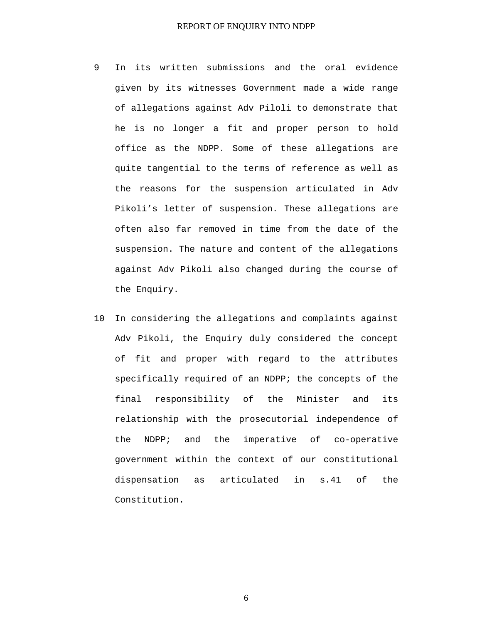- 9 In its written submissions and the oral evidence given by its witnesses Government made a wide range of allegations against Adv Piloli to demonstrate that he is no longer a fit and proper person to hold office as the NDPP. Some of these allegations are quite tangential to the terms of reference as well as the reasons for the suspension articulated in Adv Pikoli's letter of suspension. These allegations are often also far removed in time from the date of the suspension. The nature and content of the allegations against Adv Pikoli also changed during the course of the Enquiry.
- 10 In considering the allegations and complaints against Adv Pikoli, the Enquiry duly considered the concept of fit and proper with regard to the attributes specifically required of an NDPP; the concepts of the final responsibility of the Minister and its relationship with the prosecutorial independence of the NDPP; and the imperative of co-operative government within the context of our constitutional dispensation as articulated in s.41 of the Constitution.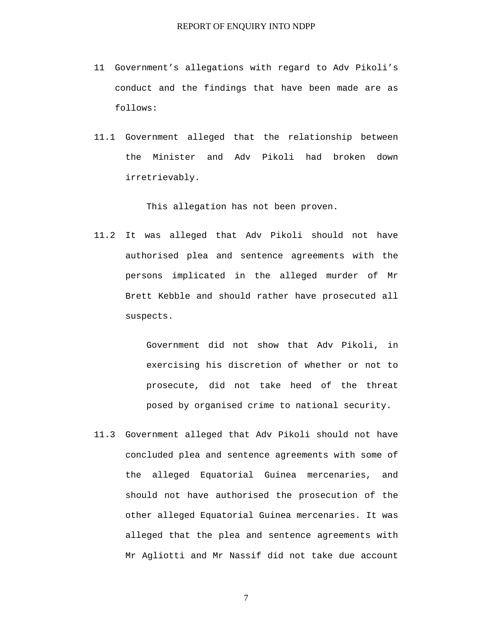- 11 Government's allegations with regard to Adv Pikoli's conduct and the findings that have been made are as follows:
- 11.1 Government alleged that the relationship between the Minister and Adv Pikoli had broken down irretrievably.

This allegation has not been proven.

11.2 It was alleged that Adv Pikoli should not have authorised plea and sentence agreements with the persons implicated in the alleged murder of Mr Brett Kebble and should rather have prosecuted all suspects.

> Government did not show that Adv Pikoli, in exercising his discretion of whether or not to prosecute, did not take heed of the threat posed by organised crime to national security.

11.3 Government alleged that Adv Pikoli should not have concluded plea and sentence agreements with some of the alleged Equatorial Guinea mercenaries, and should not have authorised the prosecution of the other alleged Equatorial Guinea mercenaries. It was alleged that the plea and sentence agreements with Mr Agliotti and Mr Nassif did not take due account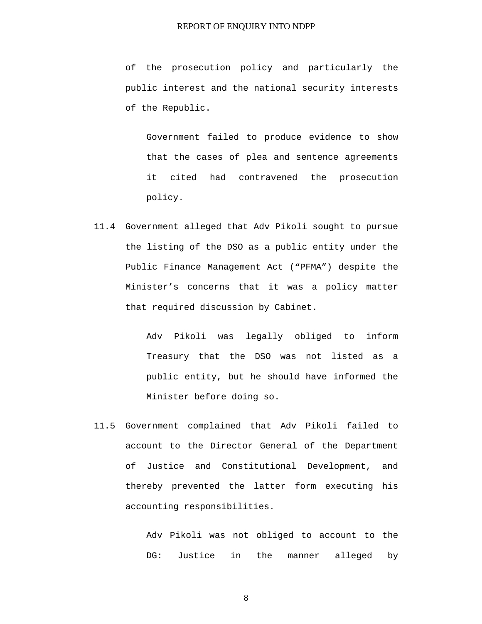of the prosecution policy and particularly the public interest and the national security interests of the Republic.

Government failed to produce evidence to show that the cases of plea and sentence agreements it cited had contravened the prosecution policy.

11.4 Government alleged that Adv Pikoli sought to pursue the listing of the DSO as a public entity under the Public Finance Management Act ("PFMA") despite the Minister's concerns that it was a policy matter that required discussion by Cabinet.

> Adv Pikoli was legally obliged to inform Treasury that the DSO was not listed as a public entity, but he should have informed the Minister before doing so.

11.5 Government complained that Adv Pikoli failed to account to the Director General of the Department of Justice and Constitutional Development, and thereby prevented the latter form executing his accounting responsibilities.

> Adv Pikoli was not obliged to account to the DG: Justice in the manner alleged by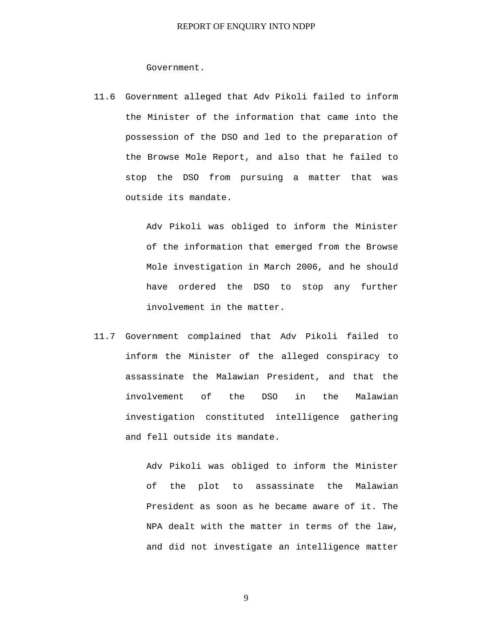Government.

11.6 Government alleged that Adv Pikoli failed to inform the Minister of the information that came into the possession of the DSO and led to the preparation of the Browse Mole Report, and also that he failed to stop the DSO from pursuing a matter that was outside its mandate.

> Adv Pikoli was obliged to inform the Minister of the information that emerged from the Browse Mole investigation in March 2006, and he should have ordered the DSO to stop any further involvement in the matter.

11.7 Government complained that Adv Pikoli failed to inform the Minister of the alleged conspiracy to assassinate the Malawian President, and that the involvement of the DSO in the Malawian investigation constituted intelligence gathering and fell outside its mandate.

> Adv Pikoli was obliged to inform the Minister of the plot to assassinate the Malawian President as soon as he became aware of it. The NPA dealt with the matter in terms of the law, and did not investigate an intelligence matter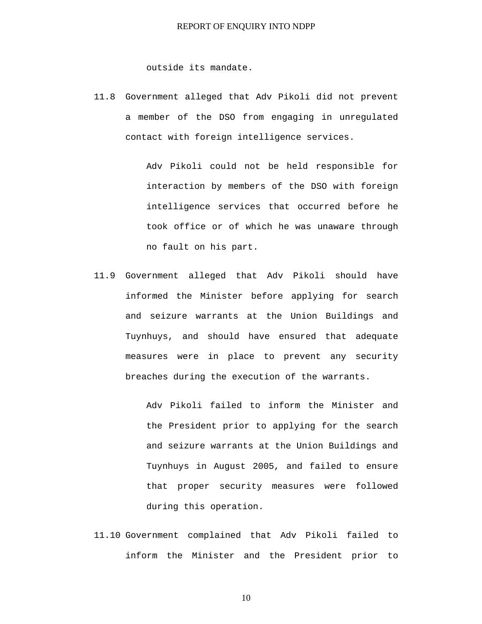outside its mandate.

11.8 Government alleged that Adv Pikoli did not prevent a member of the DSO from engaging in unregulated contact with foreign intelligence services.

> Adv Pikoli could not be held responsible for interaction by members of the DSO with foreign intelligence services that occurred before he took office or of which he was unaware through no fault on his part.

11.9 Government alleged that Adv Pikoli should have informed the Minister before applying for search and seizure warrants at the Union Buildings and Tuynhuys, and should have ensured that adequate measures were in place to prevent any security breaches during the execution of the warrants.

> Adv Pikoli failed to inform the Minister and the President prior to applying for the search and seizure warrants at the Union Buildings and Tuynhuys in August 2005, and failed to ensure that proper security measures were followed during this operation.

11.10 Government complained that Adv Pikoli failed to inform the Minister and the President prior to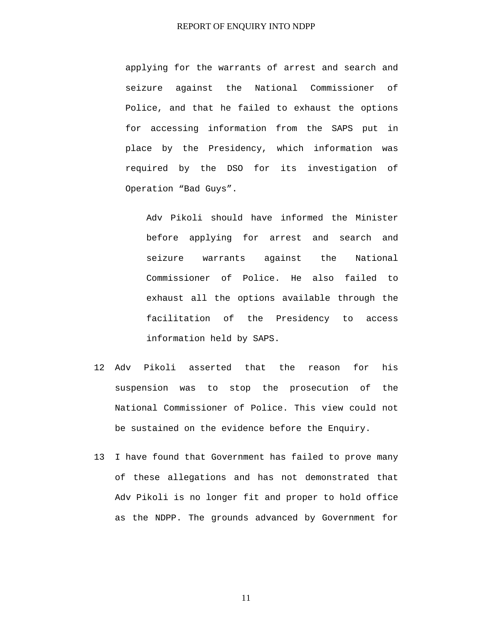applying for the warrants of arrest and search and seizure against the National Commissioner of Police, and that he failed to exhaust the options for accessing information from the SAPS put in place by the Presidency, which information was required by the DSO for its investigation of Operation "Bad Guys".

Adv Pikoli should have informed the Minister before applying for arrest and search and seizure warrants against the National Commissioner of Police. He also failed to exhaust all the options available through the facilitation of the Presidency to access information held by SAPS.

- 12 Adv Pikoli asserted that the reason for his suspension was to stop the prosecution of the National Commissioner of Police. This view could not be sustained on the evidence before the Enquiry.
- 13 I have found that Government has failed to prove many of these allegations and has not demonstrated that Adv Pikoli is no longer fit and proper to hold office as the NDPP. The grounds advanced by Government for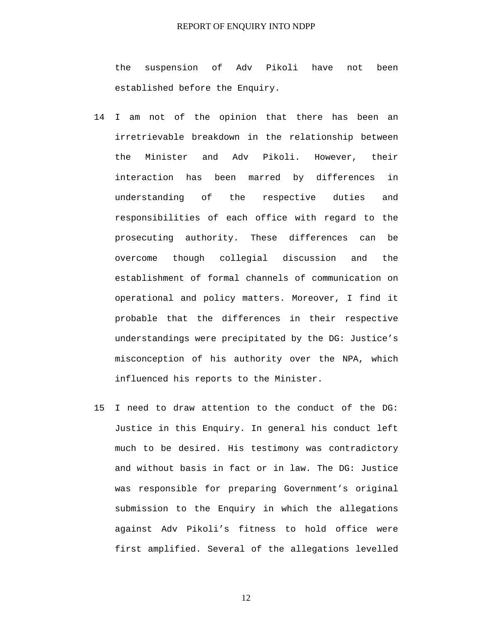the suspension of Adv Pikoli have not been established before the Enquiry.

- 14 I am not of the opinion that there has been an irretrievable breakdown in the relationship between the Minister and Adv Pikoli. However, their interaction has been marred by differences in understanding of the respective duties and responsibilities of each office with regard to the prosecuting authority. These differences can be overcome though collegial discussion and the establishment of formal channels of communication on operational and policy matters. Moreover, I find it probable that the differences in their respective understandings were precipitated by the DG: Justice's misconception of his authority over the NPA, which influenced his reports to the Minister.
- 15 I need to draw attention to the conduct of the DG: Justice in this Enquiry. In general his conduct left much to be desired. His testimony was contradictory and without basis in fact or in law. The DG: Justice was responsible for preparing Government's original submission to the Enquiry in which the allegations against Adv Pikoli's fitness to hold office were first amplified. Several of the allegations levelled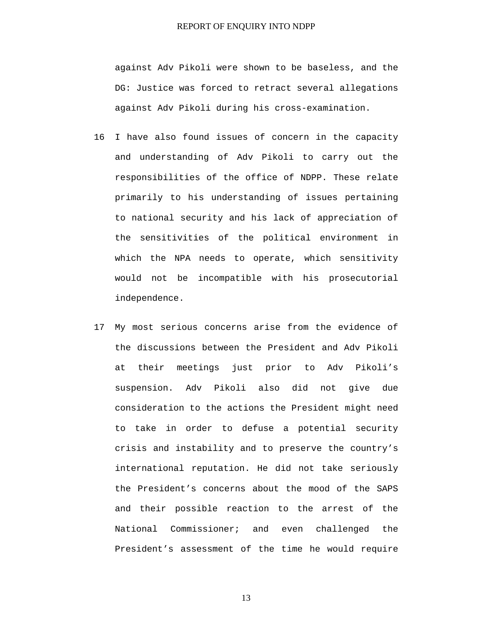against Adv Pikoli were shown to be baseless, and the DG: Justice was forced to retract several allegations against Adv Pikoli during his cross-examination.

- 16 I have also found issues of concern in the capacity and understanding of Adv Pikoli to carry out the responsibilities of the office of NDPP. These relate primarily to his understanding of issues pertaining to national security and his lack of appreciation of the sensitivities of the political environment in which the NPA needs to operate, which sensitivity would not be incompatible with his prosecutorial independence.
- 17 My most serious concerns arise from the evidence of the discussions between the President and Adv Pikoli at their meetings just prior to Adv Pikoli's suspension. Adv Pikoli also did not give due consideration to the actions the President might need to take in order to defuse a potential security crisis and instability and to preserve the country's international reputation. He did not take seriously the President's concerns about the mood of the SAPS and their possible reaction to the arrest of the National Commissioner; and even challenged the President's assessment of the time he would require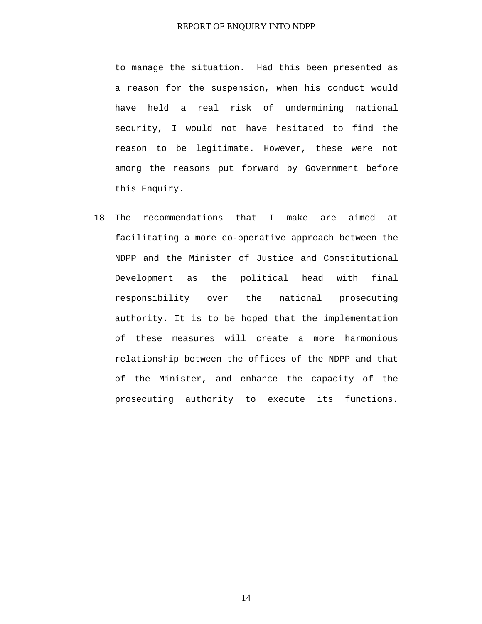to manage the situation. Had this been presented as a reason for the suspension, when his conduct would have held a real risk of undermining national security, I would not have hesitated to find the reason to be legitimate. However, these were not among the reasons put forward by Government before this Enquiry.

18 The recommendations that I make are aimed at facilitating a more co-operative approach between the NDPP and the Minister of Justice and Constitutional Development as the political head with final responsibility over the national prosecuting authority. It is to be hoped that the implementation of these measures will create a more harmonious relationship between the offices of the NDPP and that of the Minister, and enhance the capacity of the prosecuting authority to execute its functions.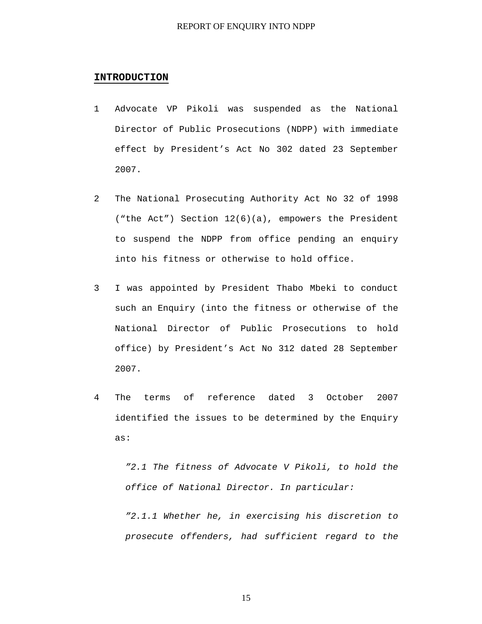#### **INTRODUCTION**

- 1 Advocate VP Pikoli was suspended as the National Director of Public Prosecutions (NDPP) with immediate effect by President's Act No 302 dated 23 September 2007.
- 2 The National Prosecuting Authority Act No 32 of 1998 ("the Act") Section 12(6)(a), empowers the President to suspend the NDPP from office pending an enquiry into his fitness or otherwise to hold office.
- 3 I was appointed by President Thabo Mbeki to conduct such an Enquiry (into the fitness or otherwise of the National Director of Public Prosecutions to hold office) by President's Act No 312 dated 28 September 2007.
- 4 The terms of reference dated 3 October 2007 identified the issues to be determined by the Enquiry as:

*"2.1 The fitness of Advocate V Pikoli, to hold the office of National Director. In particular:* 

*"2.1.1 Whether he, in exercising his discretion to prosecute offenders, had sufficient regard to the*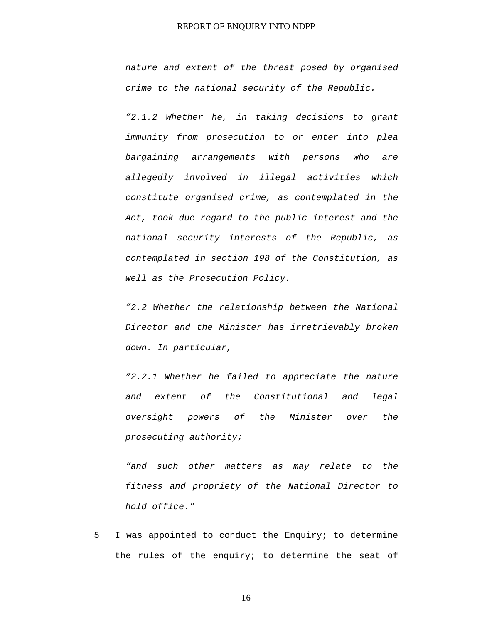*nature and extent of the threat posed by organised crime to the national security of the Republic.* 

*"2.1.2 Whether he, in taking decisions to grant immunity from prosecution to or enter into plea bargaining arrangements with persons who are allegedly involved in illegal activities which constitute organised crime, as contemplated in the Act, took due regard to the public interest and the national security interests of the Republic, as contemplated in section 198 of the Constitution, as well as the Prosecution Policy.* 

*"2.2 Whether the relationship between the National Director and the Minister has irretrievably broken down. In particular,* 

*"2.2.1 Whether he failed to appreciate the nature and extent of the Constitutional and legal oversight powers of the Minister over the prosecuting authority;* 

*"and such other matters as may relate to the fitness and propriety of the National Director to hold office."* 

5 I was appointed to conduct the Enquiry; to determine the rules of the enquiry; to determine the seat of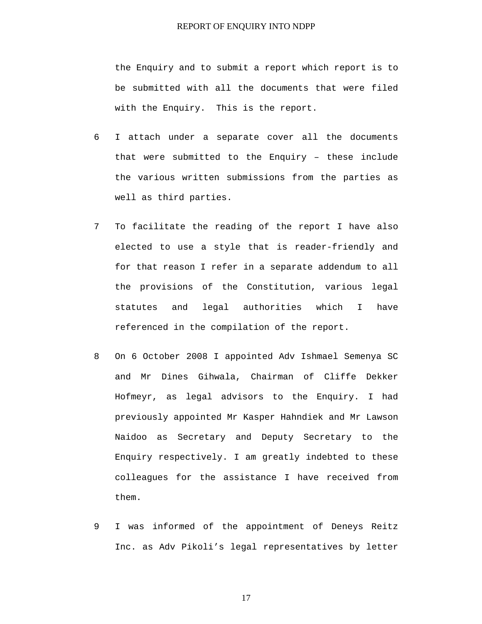the Enquiry and to submit a report which report is to be submitted with all the documents that were filed with the Enquiry. This is the report.

- 6 I attach under a separate cover all the documents that were submitted to the Enquiry – these include the various written submissions from the parties as well as third parties.
- 7 To facilitate the reading of the report I have also elected to use a style that is reader-friendly and for that reason I refer in a separate addendum to all the provisions of the Constitution, various legal statutes and legal authorities which I have referenced in the compilation of the report.
- 8 On 6 October 2008 I appointed Adv Ishmael Semenya SC and Mr Dines Gihwala, Chairman of Cliffe Dekker Hofmeyr, as legal advisors to the Enquiry. I had previously appointed Mr Kasper Hahndiek and Mr Lawson Naidoo as Secretary and Deputy Secretary to the Enquiry respectively. I am greatly indebted to these colleagues for the assistance I have received from them.
- 9 I was informed of the appointment of Deneys Reitz Inc. as Adv Pikoli's legal representatives by letter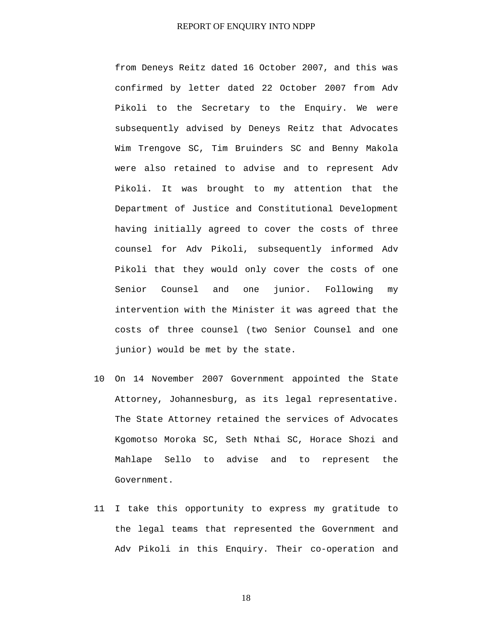from Deneys Reitz dated 16 October 2007, and this was confirmed by letter dated 22 October 2007 from Adv Pikoli to the Secretary to the Enquiry. We were subsequently advised by Deneys Reitz that Advocates Wim Trengove SC, Tim Bruinders SC and Benny Makola were also retained to advise and to represent Adv Pikoli. It was brought to my attention that the Department of Justice and Constitutional Development having initially agreed to cover the costs of three counsel for Adv Pikoli, subsequently informed Adv Pikoli that they would only cover the costs of one Senior Counsel and one junior. Following my intervention with the Minister it was agreed that the costs of three counsel (two Senior Counsel and one junior) would be met by the state.

- 10 On 14 November 2007 Government appointed the State Attorney, Johannesburg, as its legal representative. The State Attorney retained the services of Advocates Kgomotso Moroka SC, Seth Nthai SC, Horace Shozi and Mahlape Sello to advise and to represent the Government.
- 11 I take this opportunity to express my gratitude to the legal teams that represented the Government and Adv Pikoli in this Enquiry. Their co-operation and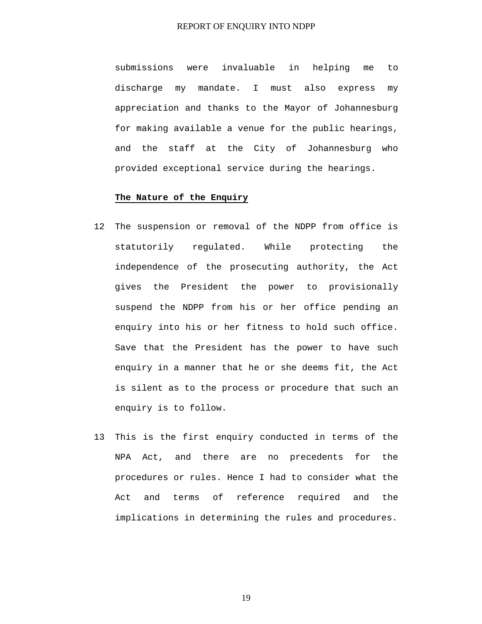submissions were invaluable in helping me to discharge my mandate. I must also express my appreciation and thanks to the Mayor of Johannesburg for making available a venue for the public hearings, and the staff at the City of Johannesburg who provided exceptional service during the hearings.

#### **The Nature of the Enquiry**

- 12 The suspension or removal of the NDPP from office is statutorily regulated. While protecting the independence of the prosecuting authority, the Act gives the President the power to provisionally suspend the NDPP from his or her office pending an enquiry into his or her fitness to hold such office. Save that the President has the power to have such enquiry in a manner that he or she deems fit, the Act is silent as to the process or procedure that such an enquiry is to follow.
- 13 This is the first enquiry conducted in terms of the NPA Act, and there are no precedents for the procedures or rules. Hence I had to consider what the Act and terms of reference required and the implications in determining the rules and procedures.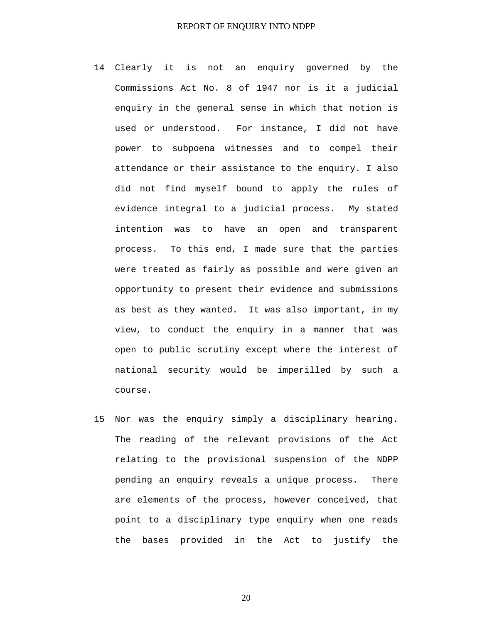- 14 Clearly it is not an enquiry governed by the Commissions Act No. 8 of 1947 nor is it a judicial enquiry in the general sense in which that notion is used or understood. For instance, I did not have power to subpoena witnesses and to compel their attendance or their assistance to the enquiry. I also did not find myself bound to apply the rules of evidence integral to a judicial process. My stated intention was to have an open and transparent process. To this end, I made sure that the parties were treated as fairly as possible and were given an opportunity to present their evidence and submissions as best as they wanted. It was also important, in my view, to conduct the enquiry in a manner that was open to public scrutiny except where the interest of national security would be imperilled by such a course.
- 15 Nor was the enquiry simply a disciplinary hearing. The reading of the relevant provisions of the Act relating to the provisional suspension of the NDPP pending an enquiry reveals a unique process. There are elements of the process, however conceived, that point to a disciplinary type enquiry when one reads the bases provided in the Act to justify the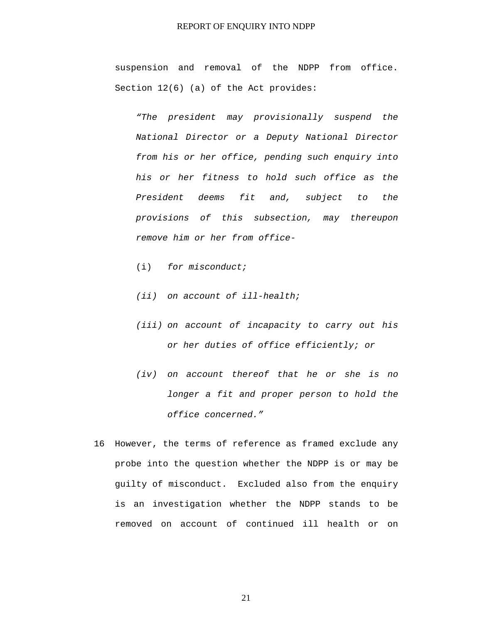suspension and removal of the NDPP from office. Section 12(6) (a) of the Act provides:

*"The president may provisionally suspend the National Director or a Deputy National Director from his or her office, pending such enquiry into his or her fitness to hold such office as the President deems fit and, subject to the provisions of this subsection, may thereupon remove him or her from office-* 

- (i) *for misconduct;*
- *(ii) on account of ill-health;*
- *(iii) on account of incapacity to carry out his or her duties of office efficiently; or*
- *(iv) on account thereof that he or she is no longer a fit and proper person to hold the office concerned."*
- 16 However, the terms of reference as framed exclude any probe into the question whether the NDPP is or may be guilty of misconduct. Excluded also from the enquiry is an investigation whether the NDPP stands to be removed on account of continued ill health or on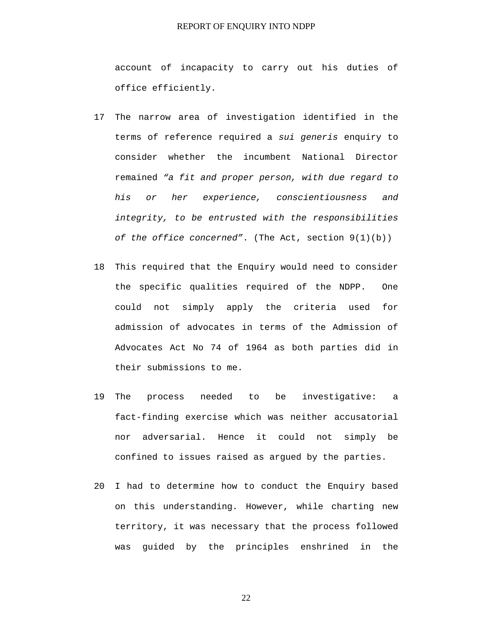account of incapacity to carry out his duties of office efficiently.

- 17 The narrow area of investigation identified in the terms of reference required a *sui generis* enquiry to consider whether the incumbent National Director remained *"a fit and proper person, with due regard to his or her experience, conscientiousness and integrity, to be entrusted with the responsibilities of the office concerned"*. (The Act, section 9(1)(b))
- 18 This required that the Enquiry would need to consider the specific qualities required of the NDPP. One could not simply apply the criteria used for admission of advocates in terms of the Admission of Advocates Act No 74 of 1964 as both parties did in their submissions to me.
- 19 The process needed to be investigative: a fact-finding exercise which was neither accusatorial nor adversarial. Hence it could not simply be confined to issues raised as argued by the parties.
- 20 I had to determine how to conduct the Enquiry based on this understanding. However, while charting new territory, it was necessary that the process followed was guided by the principles enshrined in the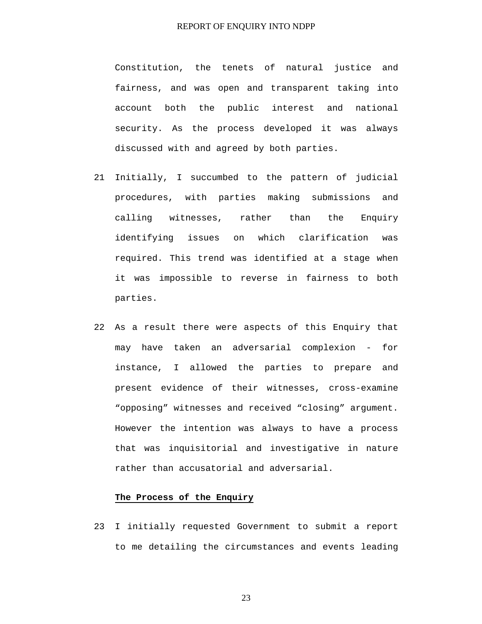Constitution, the tenets of natural justice and fairness, and was open and transparent taking into account both the public interest and national security. As the process developed it was always discussed with and agreed by both parties.

- 21 Initially, I succumbed to the pattern of judicial procedures, with parties making submissions and calling witnesses, rather than the Enquiry identifying issues on which clarification was required. This trend was identified at a stage when it was impossible to reverse in fairness to both parties.
- 22 As a result there were aspects of this Enquiry that may have taken an adversarial complexion - for instance, I allowed the parties to prepare and present evidence of their witnesses, cross-examine "opposing" witnesses and received "closing" argument. However the intention was always to have a process that was inquisitorial and investigative in nature rather than accusatorial and adversarial.

## **The Process of the Enquiry**

23 I initially requested Government to submit a report to me detailing the circumstances and events leading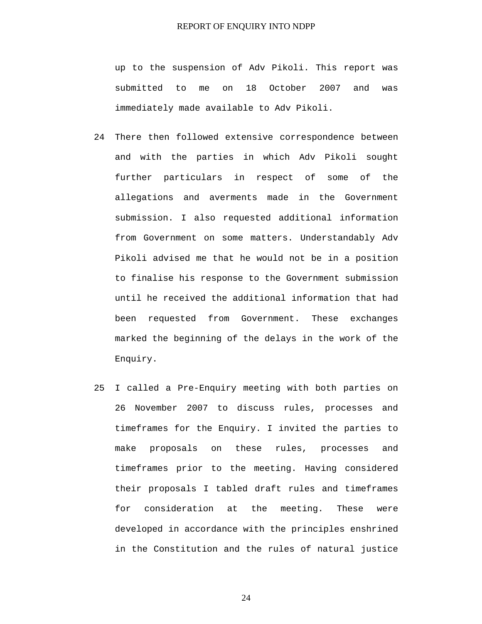up to the suspension of Adv Pikoli. This report was submitted to me on 18 October 2007 and was immediately made available to Adv Pikoli.

- 24 There then followed extensive correspondence between and with the parties in which Adv Pikoli sought further particulars in respect of some of the allegations and averments made in the Government submission. I also requested additional information from Government on some matters. Understandably Adv Pikoli advised me that he would not be in a position to finalise his response to the Government submission until he received the additional information that had been requested from Government. These exchanges marked the beginning of the delays in the work of the Enquiry.
- 25 I called a Pre-Enquiry meeting with both parties on 26 November 2007 to discuss rules, processes and timeframes for the Enquiry. I invited the parties to make proposals on these rules, processes and timeframes prior to the meeting. Having considered their proposals I tabled draft rules and timeframes for consideration at the meeting. These were developed in accordance with the principles enshrined in the Constitution and the rules of natural justice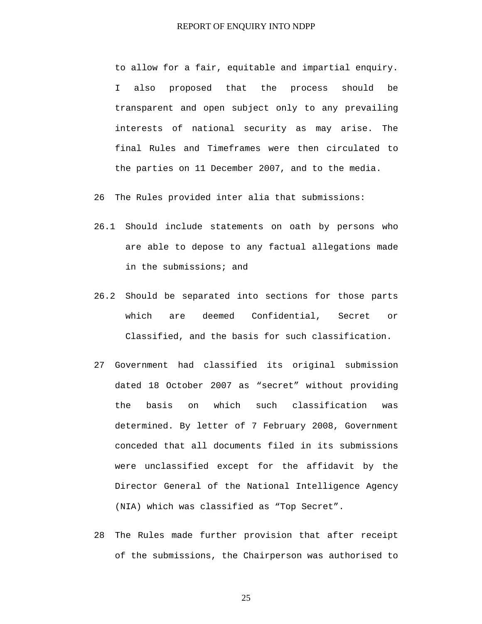to allow for a fair, equitable and impartial enquiry. I also proposed that the process should be transparent and open subject only to any prevailing interests of national security as may arise. The final Rules and Timeframes were then circulated to the parties on 11 December 2007, and to the media.

26 The Rules provided inter alia that submissions:

- 26.1 Should include statements on oath by persons who are able to depose to any factual allegations made in the submissions; and
- 26.2 Should be separated into sections for those parts which are deemed Confidential, Secret or Classified, and the basis for such classification.
- 27 Government had classified its original submission dated 18 October 2007 as "secret" without providing the basis on which such classification was determined. By letter of 7 February 2008, Government conceded that all documents filed in its submissions were unclassified except for the affidavit by the Director General of the National Intelligence Agency (NIA) which was classified as "Top Secret".
- 28 The Rules made further provision that after receipt of the submissions, the Chairperson was authorised to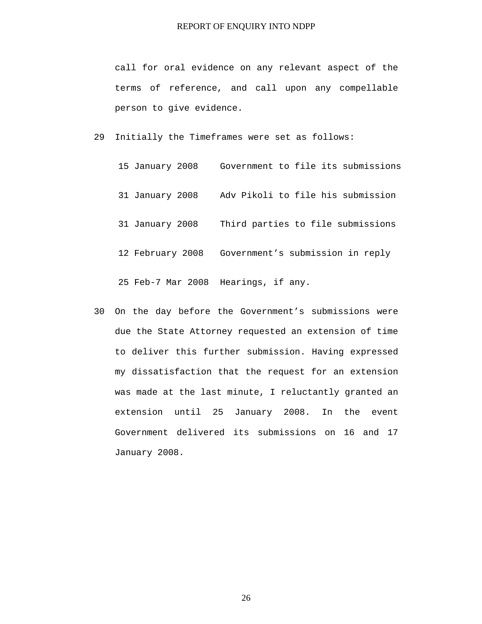call for oral evidence on any relevant aspect of the terms of reference, and call upon any compellable person to give evidence.

29 Initially the Timeframes were set as follows:

| 15 January 2008   | Government to file its submissions |
|-------------------|------------------------------------|
| 31 January 2008   | Adv Pikoli to file his submission  |
| 31 January 2008   | Third parties to file submissions  |
| 12 February 2008  | Government's submission in reply   |
| 25 Feb-7 Mar 2008 | Hearings, if any.                  |

30 On the day before the Government's submissions were due the State Attorney requested an extension of time to deliver this further submission. Having expressed my dissatisfaction that the request for an extension was made at the last minute, I reluctantly granted an extension until 25 January 2008. In the event Government delivered its submissions on 16 and 17 January 2008.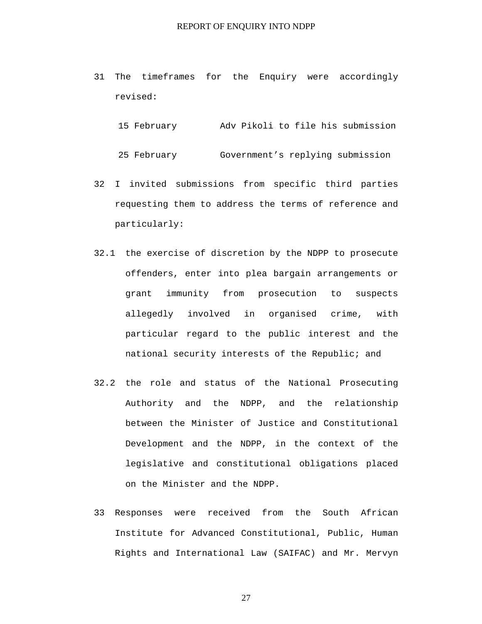31 The timeframes for the Enquiry were accordingly revised:

```
15 February Adv Pikoli to file his submission
```
25 February Government's replying submission

- 32 I invited submissions from specific third parties requesting them to address the terms of reference and particularly:
- 32.1 the exercise of discretion by the NDPP to prosecute offenders, enter into plea bargain arrangements or grant immunity from prosecution to suspects allegedly involved in organised crime, with particular regard to the public interest and the national security interests of the Republic; and
- 32.2 the role and status of the National Prosecuting Authority and the NDPP, and the relationship between the Minister of Justice and Constitutional Development and the NDPP, in the context of the legislative and constitutional obligations placed on the Minister and the NDPP.
- 33 Responses were received from the South African Institute for Advanced Constitutional, Public, Human Rights and International Law (SAIFAC) and Mr. Mervyn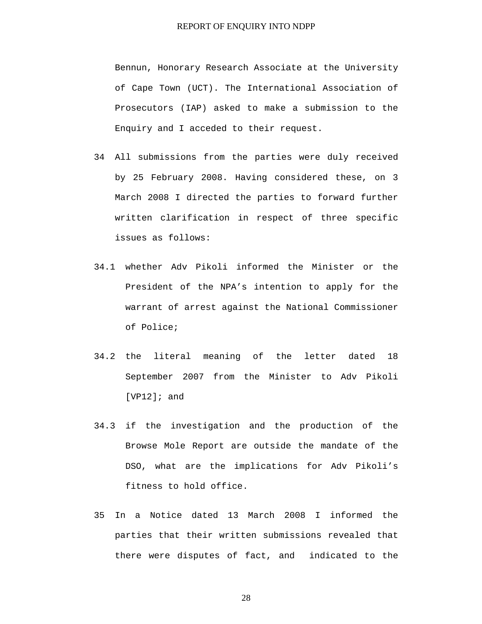Bennun, Honorary Research Associate at the University of Cape Town (UCT). The International Association of Prosecutors (IAP) asked to make a submission to the Enquiry and I acceded to their request.

- 34 All submissions from the parties were duly received by 25 February 2008. Having considered these, on 3 March 2008 I directed the parties to forward further written clarification in respect of three specific issues as follows:
- 34.1 whether Adv Pikoli informed the Minister or the President of the NPA's intention to apply for the warrant of arrest against the National Commissioner of Police;
- 34.2 the literal meaning of the letter dated 18 September 2007 from the Minister to Adv Pikoli [VP12]; and
- 34.3 if the investigation and the production of the Browse Mole Report are outside the mandate of the DSO, what are the implications for Adv Pikoli's fitness to hold office.
- 35 In a Notice dated 13 March 2008 I informed the parties that their written submissions revealed that there were disputes of fact, and indicated to the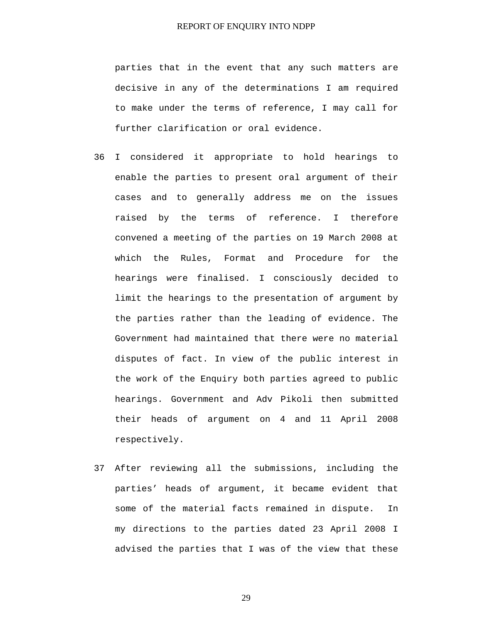parties that in the event that any such matters are decisive in any of the determinations I am required to make under the terms of reference, I may call for further clarification or oral evidence.

- 36 I considered it appropriate to hold hearings to enable the parties to present oral argument of their cases and to generally address me on the issues raised by the terms of reference. I therefore convened a meeting of the parties on 19 March 2008 at which the Rules, Format and Procedure for the hearings were finalised. I consciously decided to limit the hearings to the presentation of argument by the parties rather than the leading of evidence. The Government had maintained that there were no material disputes of fact. In view of the public interest in the work of the Enquiry both parties agreed to public hearings. Government and Adv Pikoli then submitted their heads of argument on 4 and 11 April 2008 respectively.
- 37 After reviewing all the submissions, including the parties' heads of argument, it became evident that some of the material facts remained in dispute. In my directions to the parties dated 23 April 2008 I advised the parties that I was of the view that these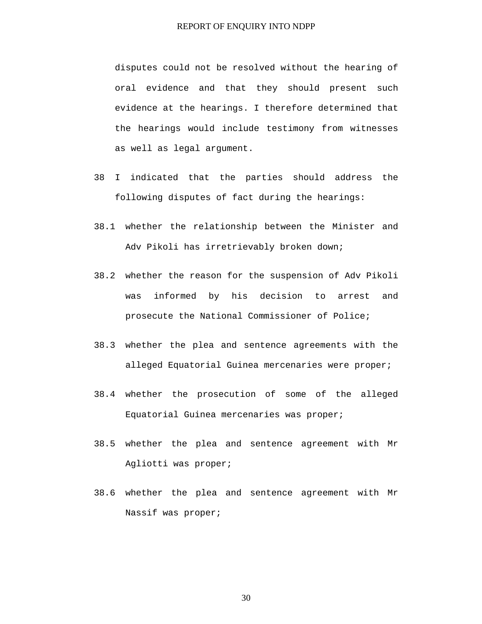disputes could not be resolved without the hearing of oral evidence and that they should present such evidence at the hearings. I therefore determined that the hearings would include testimony from witnesses as well as legal argument.

- 38 I indicated that the parties should address the following disputes of fact during the hearings:
- 38.1 whether the relationship between the Minister and Adv Pikoli has irretrievably broken down;
- 38.2 whether the reason for the suspension of Adv Pikoli was informed by his decision to arrest and prosecute the National Commissioner of Police;
- 38.3 whether the plea and sentence agreements with the alleged Equatorial Guinea mercenaries were proper;
- 38.4 whether the prosecution of some of the alleged Equatorial Guinea mercenaries was proper;
- 38.5 whether the plea and sentence agreement with Mr Agliotti was proper;
- 38.6 whether the plea and sentence agreement with Mr Nassif was proper;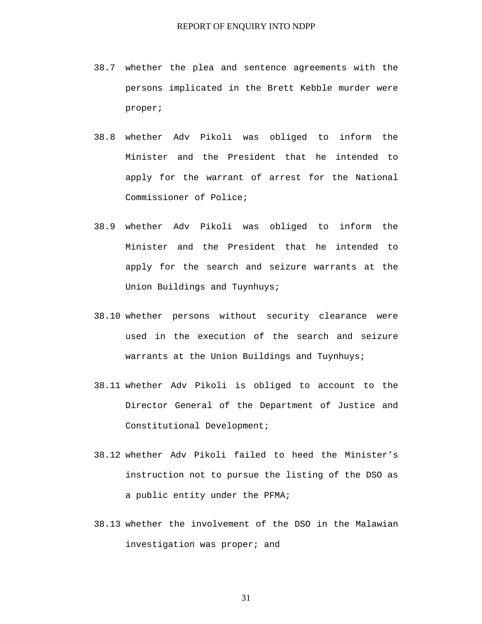- 38.7 whether the plea and sentence agreements with the persons implicated in the Brett Kebble murder were proper;
- 38.8 whether Adv Pikoli was obliged to inform the Minister and the President that he intended to apply for the warrant of arrest for the National Commissioner of Police;
- 38.9 whether Adv Pikoli was obliged to inform the Minister and the President that he intended to apply for the search and seizure warrants at the Union Buildings and Tuynhuys;
- 38.10 whether persons without security clearance were used in the execution of the search and seizure warrants at the Union Buildings and Tuynhuys;
- 38.11 whether Adv Pikoli is obliged to account to the Director General of the Department of Justice and Constitutional Development;
- 38.12 whether Adv Pikoli failed to heed the Minister's instruction not to pursue the listing of the DSO as a public entity under the PFMA;
- 38.13 whether the involvement of the DSO in the Malawian investigation was proper; and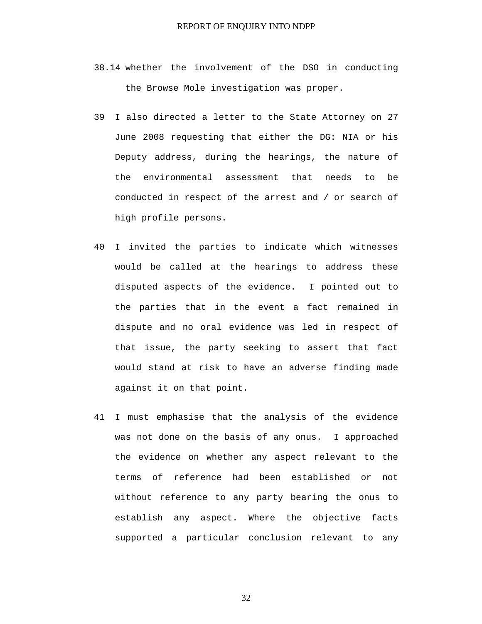- 38.14 whether the involvement of the DSO in conducting the Browse Mole investigation was proper.
- 39 I also directed a letter to the State Attorney on 27 June 2008 requesting that either the DG: NIA or his Deputy address, during the hearings, the nature of the environmental assessment that needs to be conducted in respect of the arrest and / or search of high profile persons.
- 40 I invited the parties to indicate which witnesses would be called at the hearings to address these disputed aspects of the evidence. I pointed out to the parties that in the event a fact remained in dispute and no oral evidence was led in respect of that issue, the party seeking to assert that fact would stand at risk to have an adverse finding made against it on that point.
- 41 I must emphasise that the analysis of the evidence was not done on the basis of any onus. I approached the evidence on whether any aspect relevant to the terms of reference had been established or not without reference to any party bearing the onus to establish any aspect. Where the objective facts supported a particular conclusion relevant to any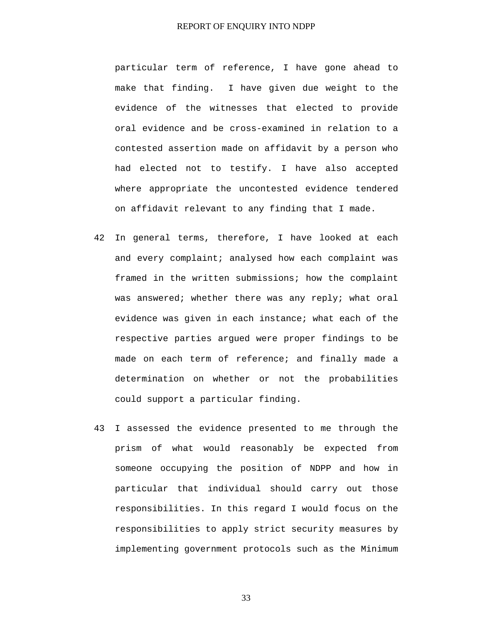particular term of reference, I have gone ahead to make that finding. I have given due weight to the evidence of the witnesses that elected to provide oral evidence and be cross-examined in relation to a contested assertion made on affidavit by a person who had elected not to testify. I have also accepted where appropriate the uncontested evidence tendered on affidavit relevant to any finding that I made.

- 42 In general terms, therefore, I have looked at each and every complaint; analysed how each complaint was framed in the written submissions; how the complaint was answered; whether there was any reply; what oral evidence was given in each instance; what each of the respective parties argued were proper findings to be made on each term of reference; and finally made a determination on whether or not the probabilities could support a particular finding.
- 43 I assessed the evidence presented to me through the prism of what would reasonably be expected from someone occupying the position of NDPP and how in particular that individual should carry out those responsibilities. In this regard I would focus on the responsibilities to apply strict security measures by implementing government protocols such as the Minimum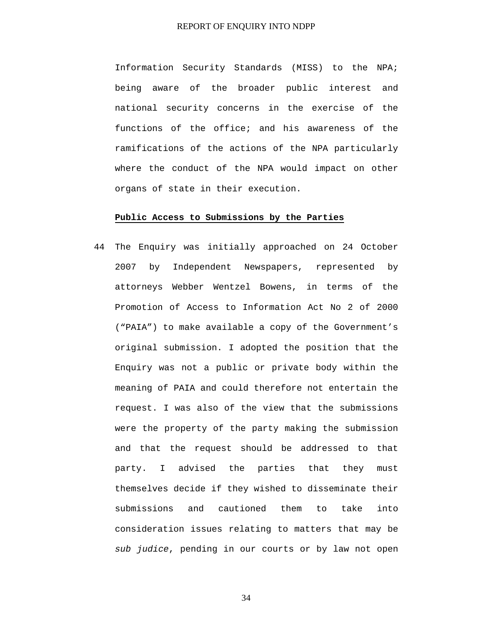Information Security Standards (MISS) to the NPA; being aware of the broader public interest and national security concerns in the exercise of the functions of the office; and his awareness of the ramifications of the actions of the NPA particularly where the conduct of the NPA would impact on other organs of state in their execution.

#### **Public Access to Submissions by the Parties**

44 The Enquiry was initially approached on 24 October 2007 by Independent Newspapers, represented by attorneys Webber Wentzel Bowens, in terms of the Promotion of Access to Information Act No 2 of 2000 ("PAIA") to make available a copy of the Government's original submission. I adopted the position that the Enquiry was not a public or private body within the meaning of PAIA and could therefore not entertain the request. I was also of the view that the submissions were the property of the party making the submission and that the request should be addressed to that party. I advised the parties that they must themselves decide if they wished to disseminate their submissions and cautioned them to take into consideration issues relating to matters that may be *sub judice*, pending in our courts or by law not open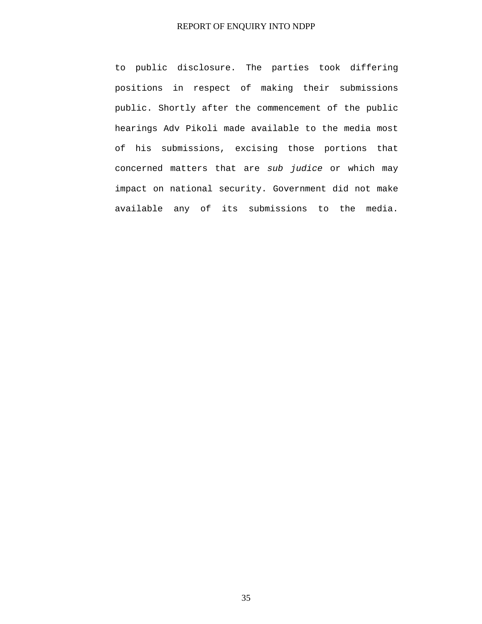to public disclosure. The parties took differing positions in respect of making their submissions public. Shortly after the commencement of the public hearings Adv Pikoli made available to the media most of his submissions, excising those portions that concerned matters that are *sub judice* or which may impact on national security. Government did not make available any of its submissions to the media.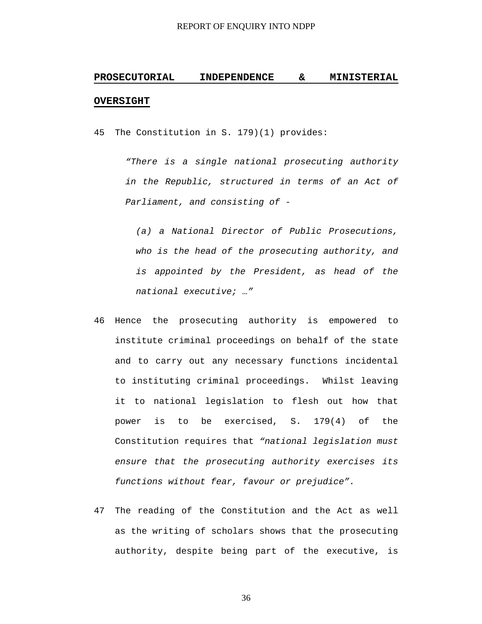# **PROSECUTORIAL INDEPENDENCE & MINISTERIAL OVERSIGHT**

45 The Constitution in S. 179)(1) provides:

*"There is a single national prosecuting authority in the Republic, structured in terms of an Act of Parliament, and consisting of -* 

*(a) a National Director of Public Prosecutions, who is the head of the prosecuting authority, and is appointed by the President, as head of the national executive; …"* 

- 46 Hence the prosecuting authority is empowered to institute criminal proceedings on behalf of the state and to carry out any necessary functions incidental to instituting criminal proceedings. Whilst leaving it to national legislation to flesh out how that power is to be exercised, S. 179(4) of the Constitution requires that *"national legislation must ensure that the prosecuting authority exercises its functions without fear, favour or prejudice".*
- 47 The reading of the Constitution and the Act as well as the writing of scholars shows that the prosecuting authority, despite being part of the executive, is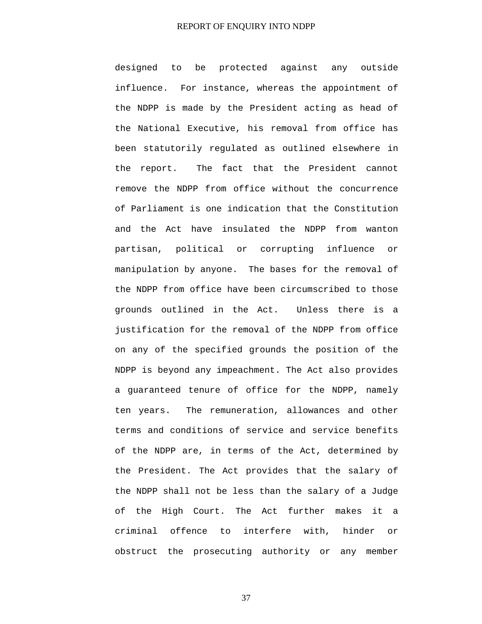designed to be protected against any outside influence. For instance, whereas the appointment of the NDPP is made by the President acting as head of the National Executive, his removal from office has been statutorily regulated as outlined elsewhere in the report. The fact that the President cannot remove the NDPP from office without the concurrence of Parliament is one indication that the Constitution and the Act have insulated the NDPP from wanton partisan, political or corrupting influence or manipulation by anyone. The bases for the removal of the NDPP from office have been circumscribed to those grounds outlined in the Act. Unless there is a justification for the removal of the NDPP from office on any of the specified grounds the position of the NDPP is beyond any impeachment. The Act also provides a guaranteed tenure of office for the NDPP, namely ten years. The remuneration, allowances and other terms and conditions of service and service benefits of the NDPP are, in terms of the Act, determined by the President. The Act provides that the salary of the NDPP shall not be less than the salary of a Judge of the High Court. The Act further makes it a criminal offence to interfere with, hinder or obstruct the prosecuting authority or any member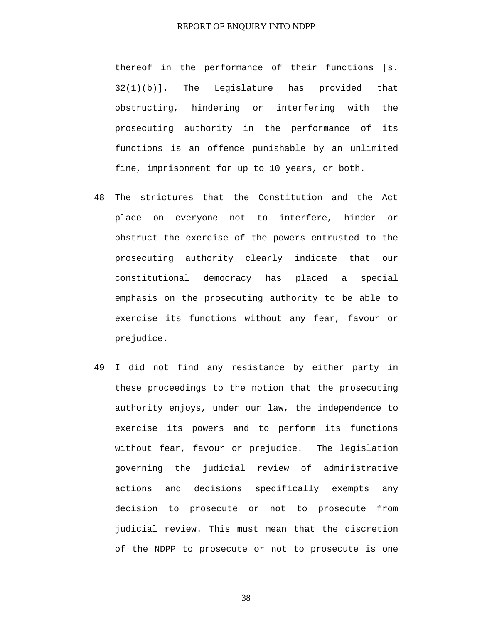thereof in the performance of their functions [s. 32(1)(b)]. The Legislature has provided that obstructing, hindering or interfering with the prosecuting authority in the performance of its functions is an offence punishable by an unlimited fine, imprisonment for up to 10 years, or both.

- 48 The strictures that the Constitution and the Act place on everyone not to interfere, hinder or obstruct the exercise of the powers entrusted to the prosecuting authority clearly indicate that our constitutional democracy has placed a special emphasis on the prosecuting authority to be able to exercise its functions without any fear, favour or prejudice.
- 49 I did not find any resistance by either party in these proceedings to the notion that the prosecuting authority enjoys, under our law, the independence to exercise its powers and to perform its functions without fear, favour or prejudice. The legislation governing the judicial review of administrative actions and decisions specifically exempts any decision to prosecute or not to prosecute from judicial review. This must mean that the discretion of the NDPP to prosecute or not to prosecute is one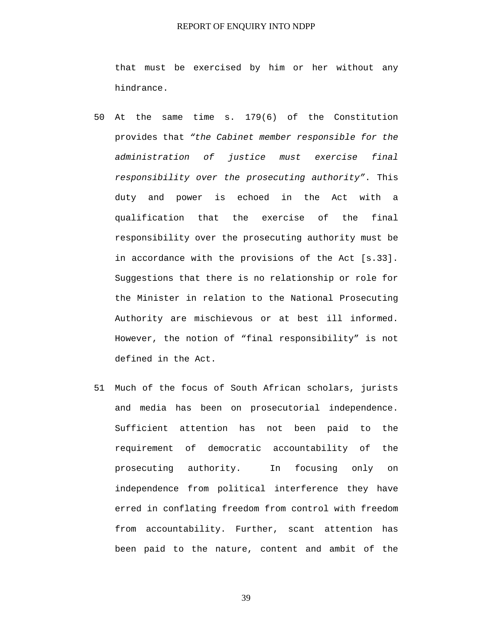that must be exercised by him or her without any hindrance.

- 50 At the same time s. 179(6) of the Constitution provides that *"the Cabinet member responsible for the administration of justice must exercise final responsibility over the prosecuting authority"*. This duty and power is echoed in the Act with a qualification that the exercise of the final responsibility over the prosecuting authority must be in accordance with the provisions of the Act [s.33]. Suggestions that there is no relationship or role for the Minister in relation to the National Prosecuting Authority are mischievous or at best ill informed. However, the notion of "final responsibility" is not defined in the Act.
- 51 Much of the focus of South African scholars, jurists and media has been on prosecutorial independence. Sufficient attention has not been paid to the requirement of democratic accountability of the prosecuting authority. In focusing only on independence from political interference they have erred in conflating freedom from control with freedom from accountability. Further, scant attention has been paid to the nature, content and ambit of the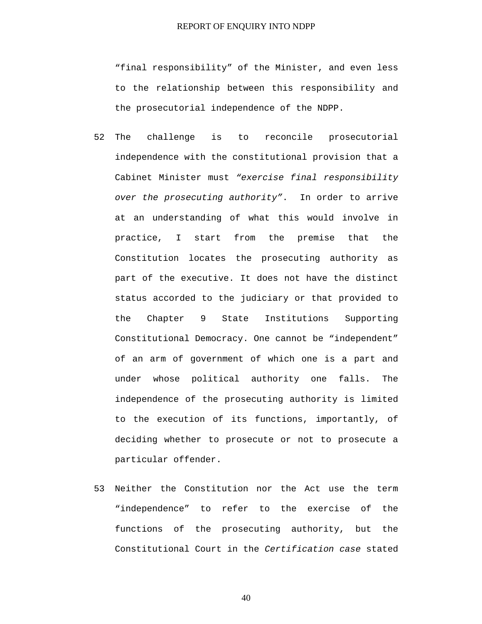"final responsibility" of the Minister, and even less to the relationship between this responsibility and the prosecutorial independence of the NDPP.

- 52 The challenge is to reconcile prosecutorial independence with the constitutional provision that a Cabinet Minister must *"exercise final responsibility over the prosecuting authority"*. In order to arrive at an understanding of what this would involve in practice, I start from the premise that the Constitution locates the prosecuting authority as part of the executive. It does not have the distinct status accorded to the judiciary or that provided to the Chapter 9 State Institutions Supporting Constitutional Democracy. One cannot be "independent" of an arm of government of which one is a part and under whose political authority one falls. The independence of the prosecuting authority is limited to the execution of its functions, importantly, of deciding whether to prosecute or not to prosecute a particular offender.
- 53 Neither the Constitution nor the Act use the term "independence" to refer to the exercise of the functions of the prosecuting authority, but the Constitutional Court in the *Certification case* stated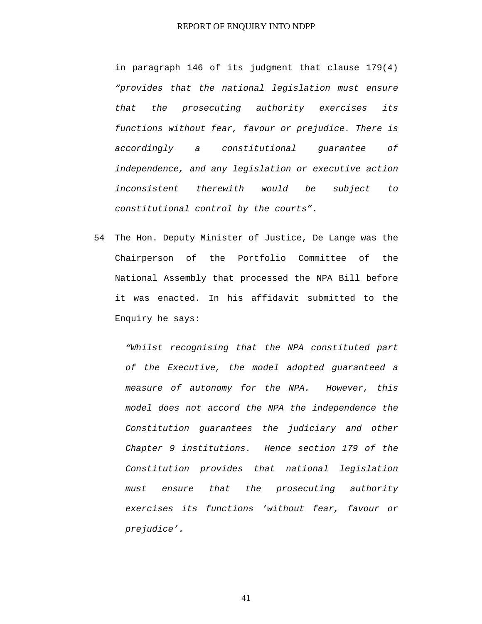in paragraph 146 of its judgment that clause 179(4) *"provides that the national legislation must ensure that the prosecuting authority exercises its functions without fear, favour or prejudice. There is accordingly a constitutional guarantee of independence, and any legislation or executive action inconsistent therewith would be subject to constitutional control by the courts"*.

54 The Hon. Deputy Minister of Justice, De Lange was the Chairperson of the Portfolio Committee of the National Assembly that processed the NPA Bill before it was enacted. In his affidavit submitted to the Enquiry he says:

*"Whilst recognising that the NPA constituted part of the Executive, the model adopted guaranteed a measure of autonomy for the NPA. However, this model does not accord the NPA the independence the Constitution guarantees the judiciary and other Chapter 9 institutions. Hence section 179 of the Constitution provides that national legislation must ensure that the prosecuting authority exercises its functions 'without fear, favour or prejudice'.*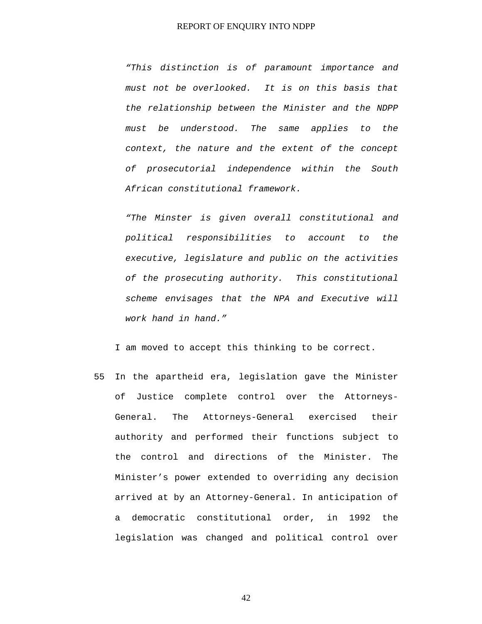*"This distinction is of paramount importance and must not be overlooked. It is on this basis that the relationship between the Minister and the NDPP must be understood. The same applies to the context, the nature and the extent of the concept of prosecutorial independence within the South African constitutional framework.* 

*"The Minster is given overall constitutional and political responsibilities to account to the executive, legislature and public on the activities of the prosecuting authority. This constitutional scheme envisages that the NPA and Executive will work hand in hand."* 

I am moved to accept this thinking to be correct.

55 In the apartheid era, legislation gave the Minister of Justice complete control over the Attorneys-General. The Attorneys-General exercised their authority and performed their functions subject to the control and directions of the Minister. The Minister's power extended to overriding any decision arrived at by an Attorney-General. In anticipation of a democratic constitutional order, in 1992 the legislation was changed and political control over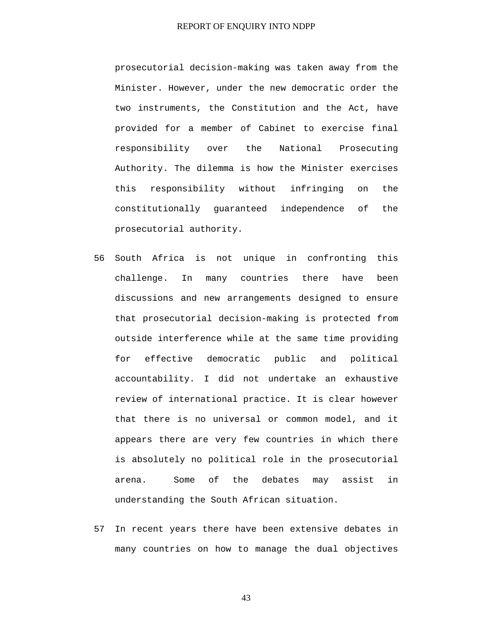prosecutorial decision-making was taken away from the Minister. However, under the new democratic order the two instruments, the Constitution and the Act, have provided for a member of Cabinet to exercise final responsibility over the National Prosecuting Authority. The dilemma is how the Minister exercises this responsibility without infringing on the constitutionally guaranteed independence of the prosecutorial authority.

- 56 South Africa is not unique in confronting this challenge. In many countries there have been discussions and new arrangements designed to ensure that prosecutorial decision-making is protected from outside interference while at the same time providing for effective democratic public and political accountability. I did not undertake an exhaustive review of international practice. It is clear however that there is no universal or common model, and it appears there are very few countries in which there is absolutely no political role in the prosecutorial arena. Some of the debates may assist in understanding the South African situation.
- 57 In recent years there have been extensive debates in many countries on how to manage the dual objectives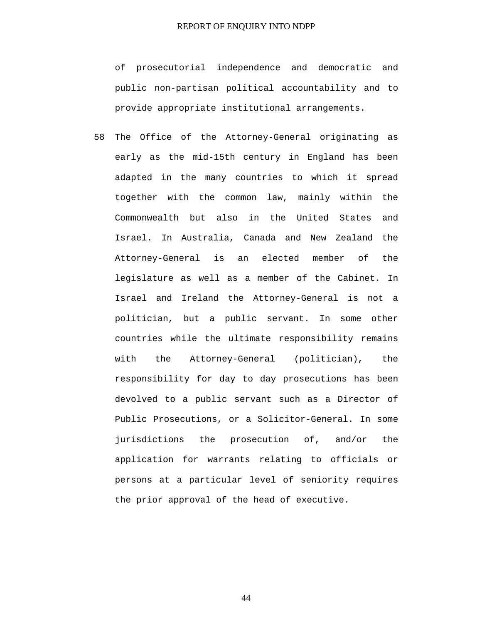of prosecutorial independence and democratic and public non-partisan political accountability and to provide appropriate institutional arrangements.

58 The Office of the Attorney-General originating as early as the mid-15th century in England has been adapted in the many countries to which it spread together with the common law, mainly within the Commonwealth but also in the United States and Israel. In Australia, Canada and New Zealand the Attorney-General is an elected member of the legislature as well as a member of the Cabinet. In Israel and Ireland the Attorney-General is not a politician, but a public servant. In some other countries while the ultimate responsibility remains with the Attorney-General (politician), the responsibility for day to day prosecutions has been devolved to a public servant such as a Director of Public Prosecutions, or a Solicitor-General. In some jurisdictions the prosecution of, and/or the application for warrants relating to officials or persons at a particular level of seniority requires the prior approval of the head of executive.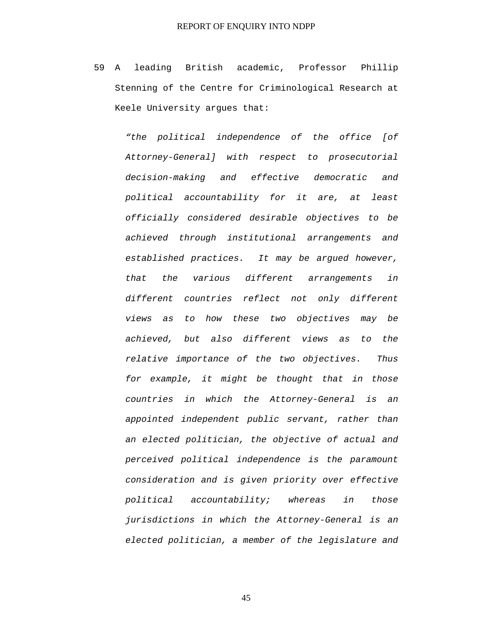59 A leading British academic, Professor Phillip Stenning of the Centre for Criminological Research at Keele University argues that:

> *"the political independence of the office [of Attorney-General] with respect to prosecutorial decision-making and effective democratic and political accountability for it are, at least officially considered desirable objectives to be achieved through institutional arrangements and established practices. It may be argued however, that the various different arrangements in different countries reflect not only different views as to how these two objectives may be achieved, but also different views as to the relative importance of the two objectives. Thus for example, it might be thought that in those countries in which the Attorney-General is an appointed independent public servant, rather than an elected politician, the objective of actual and perceived political independence is the paramount consideration and is given priority over effective political accountability; whereas in those jurisdictions in which the Attorney-General is an elected politician, a member of the legislature and*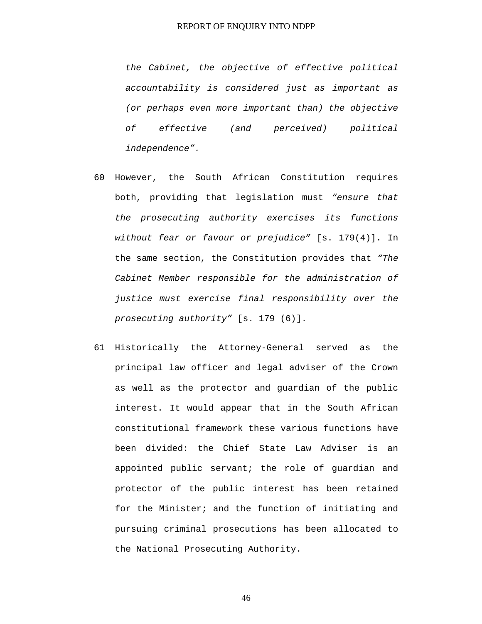*the Cabinet, the objective of effective political accountability is considered just as important as (or perhaps even more important than) the objective of effective (and perceived) political independence".* 

- 60 However, the South African Constitution requires both, providing that legislation must *"ensure that the prosecuting authority exercises its functions without fear or favour or prejudice"* [s. 179(4)]. In the same section, the Constitution provides that *"The Cabinet Member responsible for the administration of justice must exercise final responsibility over the prosecuting authority"* [s. 179 (6)].
- 61 Historically the Attorney-General served as the principal law officer and legal adviser of the Crown as well as the protector and guardian of the public interest. It would appear that in the South African constitutional framework these various functions have been divided: the Chief State Law Adviser is an appointed public servant; the role of guardian and protector of the public interest has been retained for the Minister; and the function of initiating and pursuing criminal prosecutions has been allocated to the National Prosecuting Authority.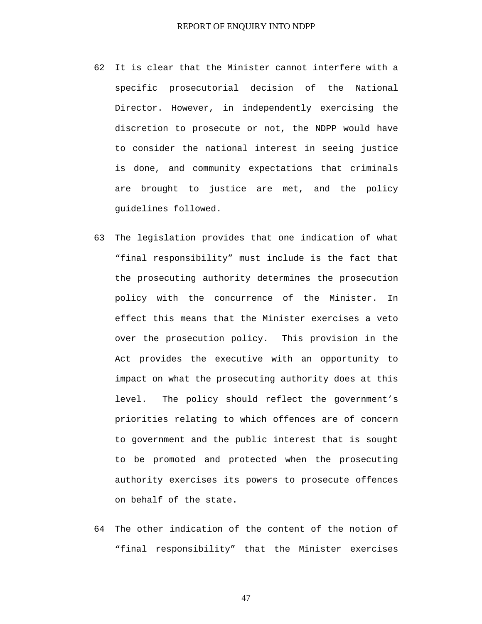- 62 It is clear that the Minister cannot interfere with a specific prosecutorial decision of the National Director. However, in independently exercising the discretion to prosecute or not, the NDPP would have to consider the national interest in seeing justice is done, and community expectations that criminals are brought to justice are met, and the policy guidelines followed.
- 63 The legislation provides that one indication of what "final responsibility" must include is the fact that the prosecuting authority determines the prosecution policy with the concurrence of the Minister. In effect this means that the Minister exercises a veto over the prosecution policy. This provision in the Act provides the executive with an opportunity to impact on what the prosecuting authority does at this level. The policy should reflect the government's priorities relating to which offences are of concern to government and the public interest that is sought to be promoted and protected when the prosecuting authority exercises its powers to prosecute offences on behalf of the state.
- 64 The other indication of the content of the notion of "final responsibility" that the Minister exercises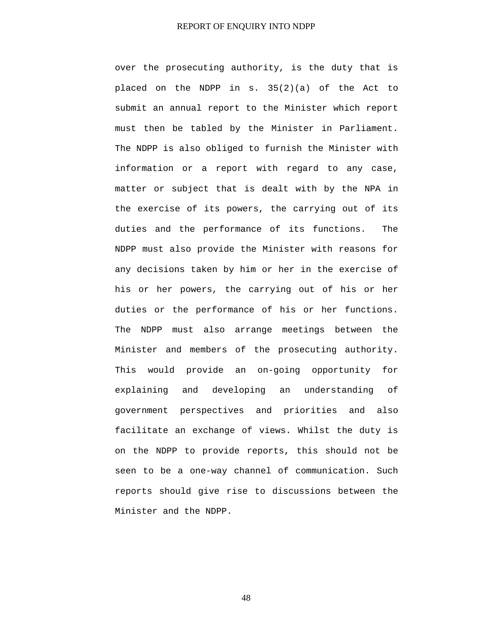over the prosecuting authority, is the duty that is placed on the NDPP in s. 35(2)(a) of the Act to submit an annual report to the Minister which report must then be tabled by the Minister in Parliament. The NDPP is also obliged to furnish the Minister with information or a report with regard to any case, matter or subject that is dealt with by the NPA in the exercise of its powers, the carrying out of its duties and the performance of its functions. The NDPP must also provide the Minister with reasons for any decisions taken by him or her in the exercise of his or her powers, the carrying out of his or her duties or the performance of his or her functions. The NDPP must also arrange meetings between the Minister and members of the prosecuting authority. This would provide an on-going opportunity for explaining and developing an understanding of government perspectives and priorities and also facilitate an exchange of views. Whilst the duty is on the NDPP to provide reports, this should not be seen to be a one-way channel of communication. Such reports should give rise to discussions between the Minister and the NDPP.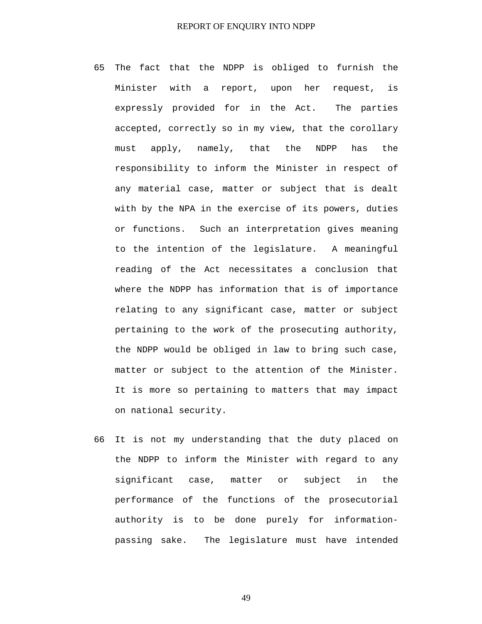- 65 The fact that the NDPP is obliged to furnish the Minister with a report, upon her request, is expressly provided for in the Act. The parties accepted, correctly so in my view, that the corollary must apply, namely, that the NDPP has the responsibility to inform the Minister in respect of any material case, matter or subject that is dealt with by the NPA in the exercise of its powers, duties or functions. Such an interpretation gives meaning to the intention of the legislature. A meaningful reading of the Act necessitates a conclusion that where the NDPP has information that is of importance relating to any significant case, matter or subject pertaining to the work of the prosecuting authority, the NDPP would be obliged in law to bring such case, matter or subject to the attention of the Minister. It is more so pertaining to matters that may impact on national security.
- 66 It is not my understanding that the duty placed on the NDPP to inform the Minister with regard to any significant case, matter or subject in the performance of the functions of the prosecutorial authority is to be done purely for informationpassing sake. The legislature must have intended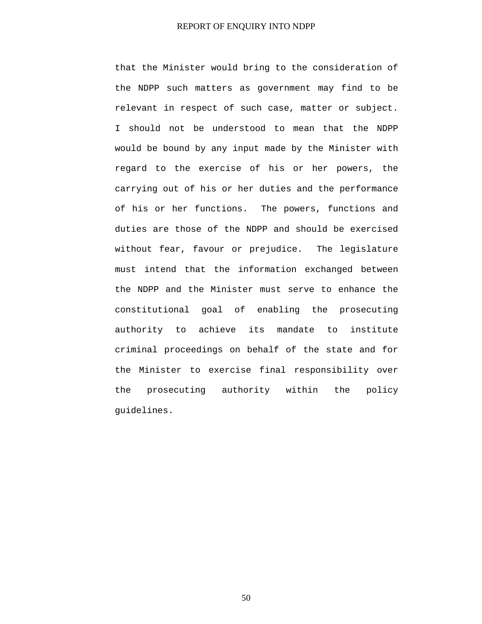that the Minister would bring to the consideration of the NDPP such matters as government may find to be relevant in respect of such case, matter or subject. I should not be understood to mean that the NDPP would be bound by any input made by the Minister with regard to the exercise of his or her powers, the carrying out of his or her duties and the performance of his or her functions. The powers, functions and duties are those of the NDPP and should be exercised without fear, favour or prejudice. The legislature must intend that the information exchanged between the NDPP and the Minister must serve to enhance the constitutional goal of enabling the prosecuting authority to achieve its mandate to institute criminal proceedings on behalf of the state and for the Minister to exercise final responsibility over the prosecuting authority within the policy guidelines.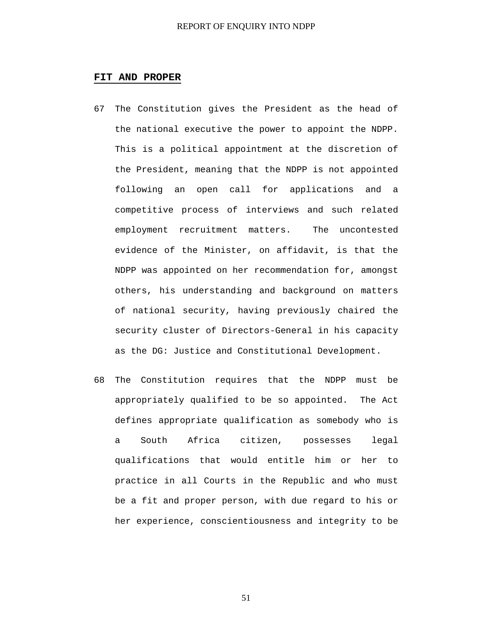#### **FIT AND PROPER**

- 67 The Constitution gives the President as the head of the national executive the power to appoint the NDPP. This is a political appointment at the discretion of the President, meaning that the NDPP is not appointed following an open call for applications and a competitive process of interviews and such related employment recruitment matters. The uncontested evidence of the Minister, on affidavit, is that the NDPP was appointed on her recommendation for, amongst others, his understanding and background on matters of national security, having previously chaired the security cluster of Directors-General in his capacity as the DG: Justice and Constitutional Development.
- 68 The Constitution requires that the NDPP must be appropriately qualified to be so appointed. The Act defines appropriate qualification as somebody who is a South Africa citizen, possesses legal qualifications that would entitle him or her to practice in all Courts in the Republic and who must be a fit and proper person, with due regard to his or her experience, conscientiousness and integrity to be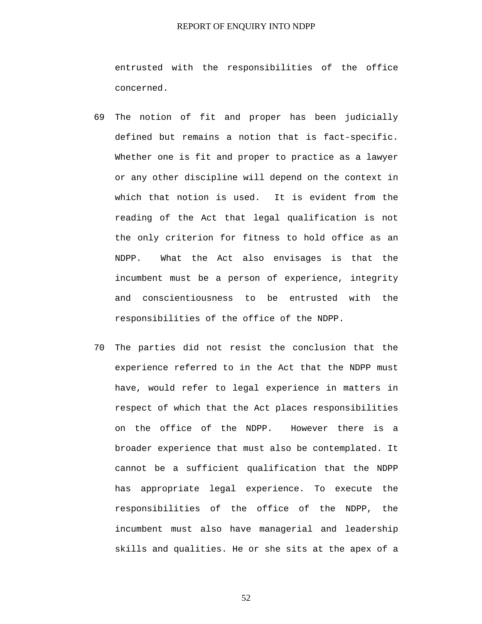entrusted with the responsibilities of the office concerned.

- 69 The notion of fit and proper has been judicially defined but remains a notion that is fact-specific. Whether one is fit and proper to practice as a lawyer or any other discipline will depend on the context in which that notion is used. It is evident from the reading of the Act that legal qualification is not the only criterion for fitness to hold office as an NDPP. What the Act also envisages is that the incumbent must be a person of experience, integrity and conscientiousness to be entrusted with the responsibilities of the office of the NDPP.
- 70 The parties did not resist the conclusion that the experience referred to in the Act that the NDPP must have, would refer to legal experience in matters in respect of which that the Act places responsibilities on the office of the NDPP. However there is a broader experience that must also be contemplated. It cannot be a sufficient qualification that the NDPP has appropriate legal experience. To execute the responsibilities of the office of the NDPP, the incumbent must also have managerial and leadership skills and qualities. He or she sits at the apex of a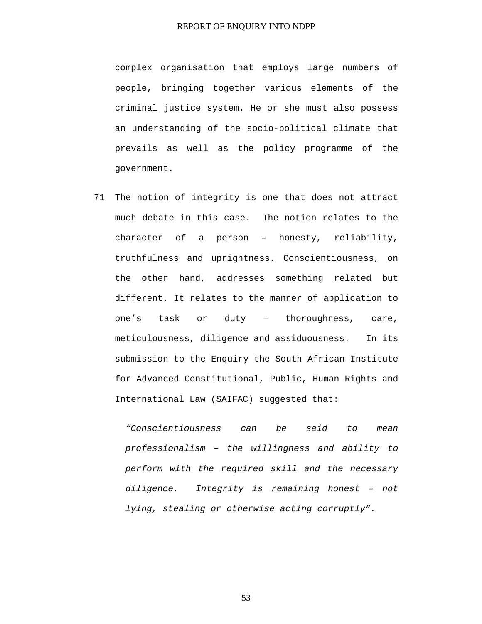complex organisation that employs large numbers of people, bringing together various elements of the criminal justice system. He or she must also possess an understanding of the socio-political climate that prevails as well as the policy programme of the government.

71 The notion of integrity is one that does not attract much debate in this case. The notion relates to the character of a person – honesty, reliability, truthfulness and uprightness. Conscientiousness, on the other hand, addresses something related but different. It relates to the manner of application to one's task or duty – thoroughness, care, meticulousness, diligence and assiduousness. In its submission to the Enquiry the South African Institute for Advanced Constitutional, Public, Human Rights and International Law (SAIFAC) suggested that:

> *"Conscientiousness can be said to mean professionalism – the willingness and ability to perform with the required skill and the necessary diligence. Integrity is remaining honest – not lying, stealing or otherwise acting corruptly".*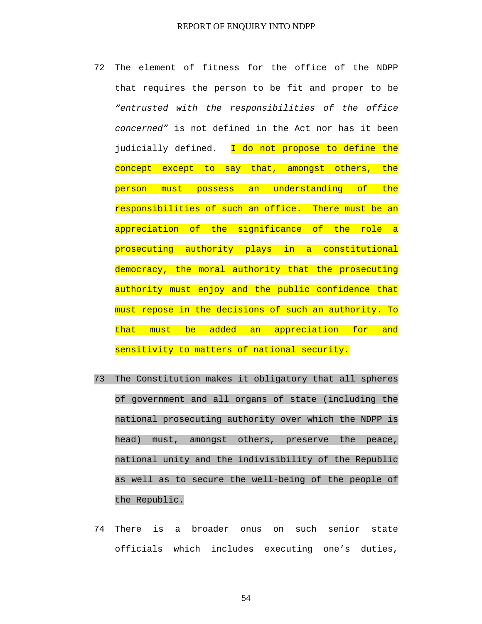- 72 The element of fitness for the office of the NDPP that requires the person to be fit and proper to be *"entrusted with the responsibilities of the office concerned"* is not defined in the Act nor has it been judicially defined. I do not propose to define the concept except to say that, amongst others, the person must possess an understanding of the responsibilities of such an office. There must be an appreciation of the significance of the role a prosecuting authority plays in a constitutional democracy, the moral authority that the prosecuting authority must enjoy and the public confidence that must repose in the decisions of such an authority. To that must be added an appreciation for and sensitivity to matters of national security.
- 73 The Constitution makes it obligatory that all spheres of government and all organs of state (including the national prosecuting authority over which the NDPP is head) must, amongst others, preserve the peace, national unity and the indivisibility of the Republic as well as to secure the well-being of the people of the Republic.
- 74 There is a broader onus on such senior state officials which includes executing one's duties,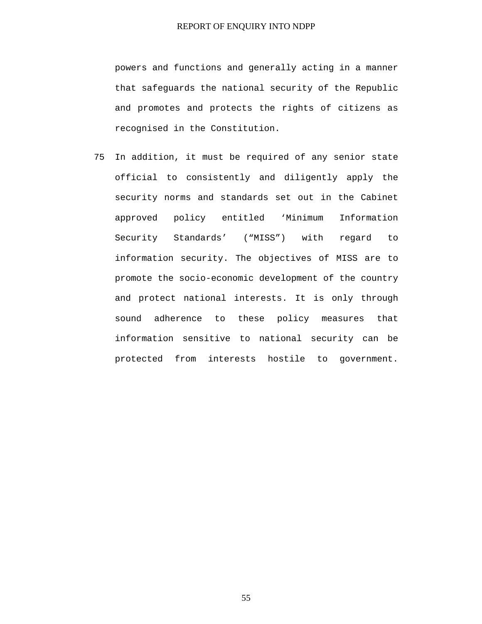powers and functions and generally acting in a manner that safeguards the national security of the Republic and promotes and protects the rights of citizens as recognised in the Constitution.

75 In addition, it must be required of any senior state official to consistently and diligently apply the security norms and standards set out in the Cabinet approved policy entitled 'Minimum Information Security Standards' ("MISS") with regard to information security. The objectives of MISS are to promote the socio-economic development of the country and protect national interests. It is only through sound adherence to these policy measures that information sensitive to national security can be protected from interests hostile to government.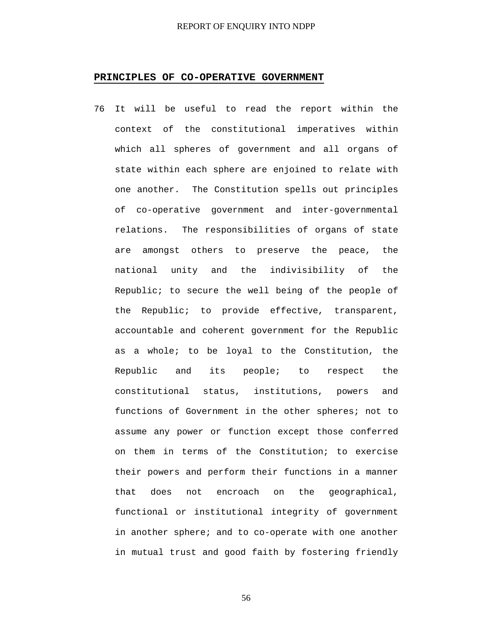#### **PRINCIPLES OF CO-OPERATIVE GOVERNMENT**

76 It will be useful to read the report within the context of the constitutional imperatives within which all spheres of government and all organs of state within each sphere are enjoined to relate with one another. The Constitution spells out principles of co-operative government and inter-governmental relations. The responsibilities of organs of state are amongst others to preserve the peace, the national unity and the indivisibility of the Republic; to secure the well being of the people of the Republic; to provide effective, transparent, accountable and coherent government for the Republic as a whole; to be loyal to the Constitution, the Republic and its people; to respect the constitutional status, institutions, powers and functions of Government in the other spheres; not to assume any power or function except those conferred on them in terms of the Constitution; to exercise their powers and perform their functions in a manner that does not encroach on the geographical, functional or institutional integrity of government in another sphere; and to co-operate with one another in mutual trust and good faith by fostering friendly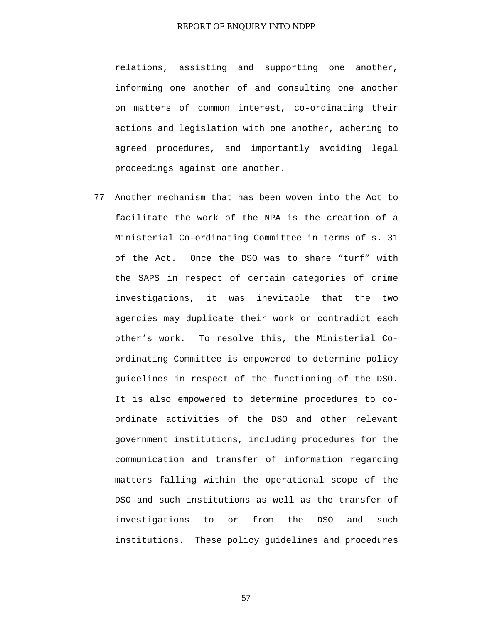relations, assisting and supporting one another, informing one another of and consulting one another on matters of common interest, co-ordinating their actions and legislation with one another, adhering to agreed procedures, and importantly avoiding legal proceedings against one another.

77 Another mechanism that has been woven into the Act to facilitate the work of the NPA is the creation of a Ministerial Co-ordinating Committee in terms of s. 31 of the Act. Once the DSO was to share "turf" with the SAPS in respect of certain categories of crime investigations, it was inevitable that the two agencies may duplicate their work or contradict each other's work. To resolve this, the Ministerial Coordinating Committee is empowered to determine policy guidelines in respect of the functioning of the DSO. It is also empowered to determine procedures to coordinate activities of the DSO and other relevant government institutions, including procedures for the communication and transfer of information regarding matters falling within the operational scope of the DSO and such institutions as well as the transfer of investigations to or from the DSO and such institutions. These policy guidelines and procedures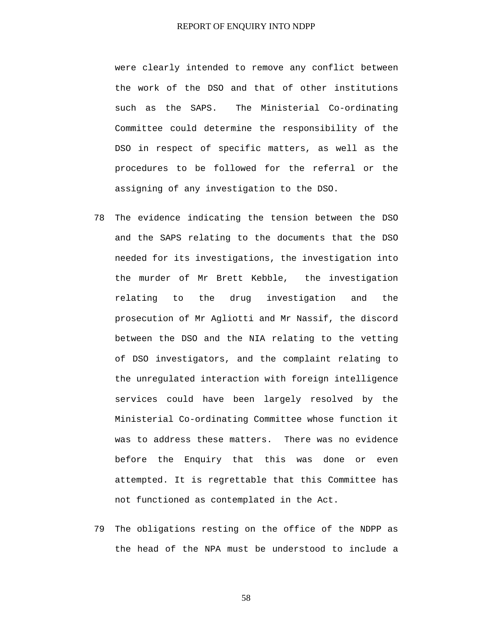were clearly intended to remove any conflict between the work of the DSO and that of other institutions such as the SAPS. The Ministerial Co-ordinating Committee could determine the responsibility of the DSO in respect of specific matters, as well as the procedures to be followed for the referral or the assigning of any investigation to the DSO.

- 78 The evidence indicating the tension between the DSO and the SAPS relating to the documents that the DSO needed for its investigations, the investigation into the murder of Mr Brett Kebble, the investigation relating to the drug investigation and the prosecution of Mr Agliotti and Mr Nassif, the discord between the DSO and the NIA relating to the vetting of DSO investigators, and the complaint relating to the unregulated interaction with foreign intelligence services could have been largely resolved by the Ministerial Co-ordinating Committee whose function it was to address these matters. There was no evidence before the Enquiry that this was done or even attempted. It is regrettable that this Committee has not functioned as contemplated in the Act.
- 79 The obligations resting on the office of the NDPP as the head of the NPA must be understood to include a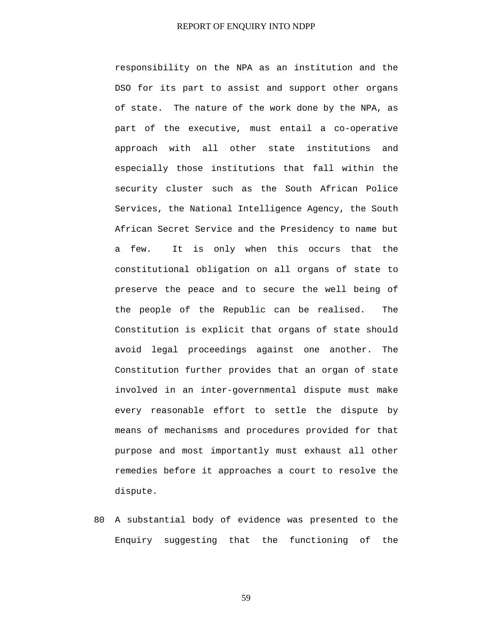responsibility on the NPA as an institution and the DSO for its part to assist and support other organs of state. The nature of the work done by the NPA, as part of the executive, must entail a co-operative approach with all other state institutions and especially those institutions that fall within the security cluster such as the South African Police Services, the National Intelligence Agency, the South African Secret Service and the Presidency to name but a few. It is only when this occurs that the constitutional obligation on all organs of state to preserve the peace and to secure the well being of the people of the Republic can be realised. The Constitution is explicit that organs of state should avoid legal proceedings against one another. The Constitution further provides that an organ of state involved in an inter-governmental dispute must make every reasonable effort to settle the dispute by means of mechanisms and procedures provided for that purpose and most importantly must exhaust all other remedies before it approaches a court to resolve the dispute.

80 A substantial body of evidence was presented to the Enquiry suggesting that the functioning of the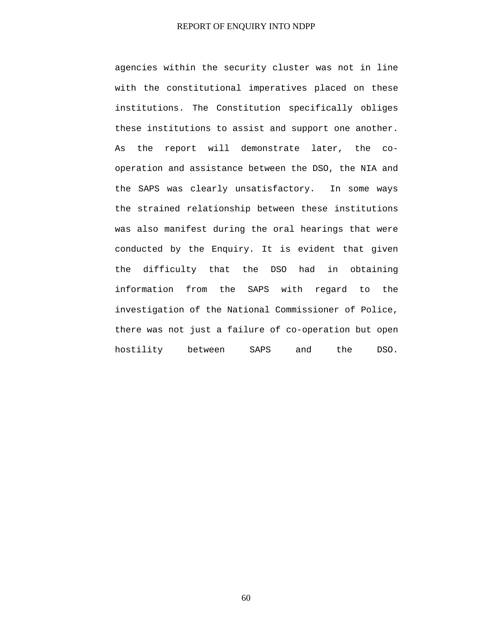agencies within the security cluster was not in line with the constitutional imperatives placed on these institutions. The Constitution specifically obliges these institutions to assist and support one another. As the report will demonstrate later, the cooperation and assistance between the DSO, the NIA and the SAPS was clearly unsatisfactory. In some ways the strained relationship between these institutions was also manifest during the oral hearings that were conducted by the Enquiry. It is evident that given the difficulty that the DSO had in obtaining information from the SAPS with regard to the investigation of the National Commissioner of Police, there was not just a failure of co-operation but open hostility between SAPS and the DSO.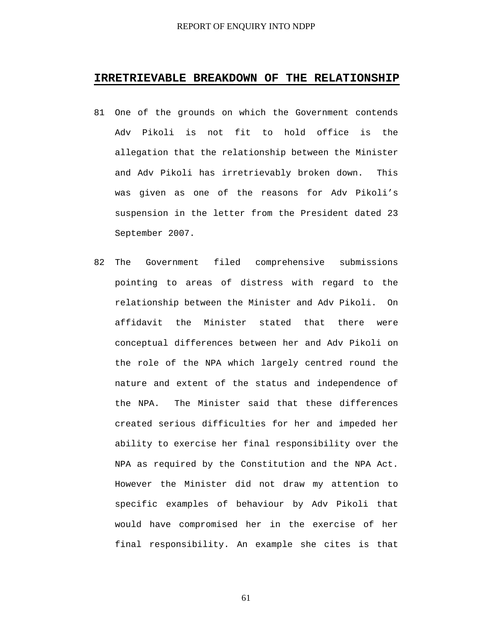## **IRRETRIEVABLE BREAKDOWN OF THE RELATIONSHIP**

- 81 One of the grounds on which the Government contends Adv Pikoli is not fit to hold office is the allegation that the relationship between the Minister and Adv Pikoli has irretrievably broken down. This was given as one of the reasons for Adv Pikoli's suspension in the letter from the President dated 23 September 2007.
- 82 The Government filed comprehensive submissions pointing to areas of distress with regard to the relationship between the Minister and Adv Pikoli. On affidavit the Minister stated that there were conceptual differences between her and Adv Pikoli on the role of the NPA which largely centred round the nature and extent of the status and independence of the NPA. The Minister said that these differences created serious difficulties for her and impeded her ability to exercise her final responsibility over the NPA as required by the Constitution and the NPA Act. However the Minister did not draw my attention to specific examples of behaviour by Adv Pikoli that would have compromised her in the exercise of her final responsibility. An example she cites is that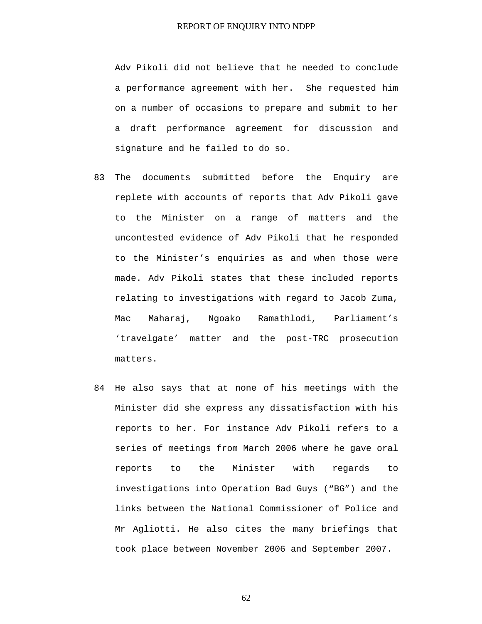Adv Pikoli did not believe that he needed to conclude a performance agreement with her. She requested him on a number of occasions to prepare and submit to her a draft performance agreement for discussion and signature and he failed to do so.

- 83 The documents submitted before the Enquiry are replete with accounts of reports that Adv Pikoli gave to the Minister on a range of matters and the uncontested evidence of Adv Pikoli that he responded to the Minister's enquiries as and when those were made. Adv Pikoli states that these included reports relating to investigations with regard to Jacob Zuma, Mac Maharaj, Ngoako Ramathlodi, Parliament's 'travelgate' matter and the post-TRC prosecution matters.
- 84 He also says that at none of his meetings with the Minister did she express any dissatisfaction with his reports to her. For instance Adv Pikoli refers to a series of meetings from March 2006 where he gave oral reports to the Minister with regards to investigations into Operation Bad Guys ("BG") and the links between the National Commissioner of Police and Mr Agliotti. He also cites the many briefings that took place between November 2006 and September 2007.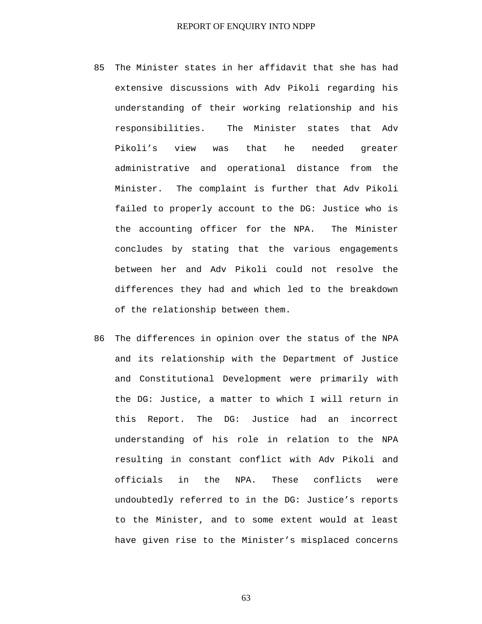- 85 The Minister states in her affidavit that she has had extensive discussions with Adv Pikoli regarding his understanding of their working relationship and his responsibilities. The Minister states that Adv Pikoli's view was that he needed greater administrative and operational distance from the Minister. The complaint is further that Adv Pikoli failed to properly account to the DG: Justice who is the accounting officer for the NPA. The Minister concludes by stating that the various engagements between her and Adv Pikoli could not resolve the differences they had and which led to the breakdown of the relationship between them.
- 86 The differences in opinion over the status of the NPA and its relationship with the Department of Justice and Constitutional Development were primarily with the DG: Justice, a matter to which I will return in this Report. The DG: Justice had an incorrect understanding of his role in relation to the NPA resulting in constant conflict with Adv Pikoli and officials in the NPA. These conflicts were undoubtedly referred to in the DG: Justice's reports to the Minister, and to some extent would at least have given rise to the Minister's misplaced concerns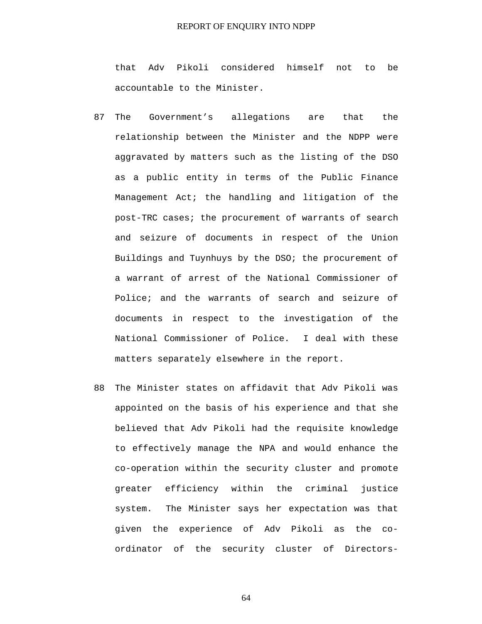that Adv Pikoli considered himself not to be accountable to the Minister.

- 87 The Government's allegations are that the relationship between the Minister and the NDPP were aggravated by matters such as the listing of the DSO as a public entity in terms of the Public Finance Management Act; the handling and litigation of the post-TRC cases; the procurement of warrants of search and seizure of documents in respect of the Union Buildings and Tuynhuys by the DSO; the procurement of a warrant of arrest of the National Commissioner of Police; and the warrants of search and seizure of documents in respect to the investigation of the National Commissioner of Police. I deal with these matters separately elsewhere in the report.
- 88 The Minister states on affidavit that Adv Pikoli was appointed on the basis of his experience and that she believed that Adv Pikoli had the requisite knowledge to effectively manage the NPA and would enhance the co-operation within the security cluster and promote greater efficiency within the criminal justice system. The Minister says her expectation was that given the experience of Adv Pikoli as the coordinator of the security cluster of Directors-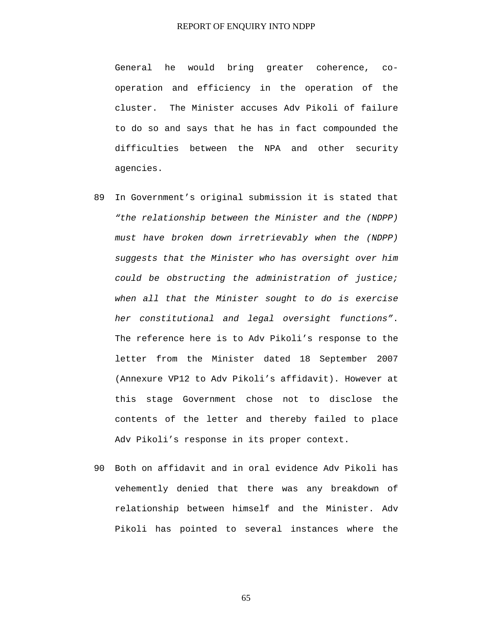General he would bring greater coherence, cooperation and efficiency in the operation of the cluster. The Minister accuses Adv Pikoli of failure to do so and says that he has in fact compounded the difficulties between the NPA and other security agencies.

- 89 In Government's original submission it is stated that *"the relationship between the Minister and the (NDPP) must have broken down irretrievably when the (NDPP) suggests that the Minister who has oversight over him could be obstructing the administration of justice; when all that the Minister sought to do is exercise her constitutional and legal oversight functions"*. The reference here is to Adv Pikoli's response to the letter from the Minister dated 18 September 2007 (Annexure VP12 to Adv Pikoli's affidavit). However at this stage Government chose not to disclose the contents of the letter and thereby failed to place Adv Pikoli's response in its proper context.
- 90 Both on affidavit and in oral evidence Adv Pikoli has vehemently denied that there was any breakdown of relationship between himself and the Minister. Adv Pikoli has pointed to several instances where the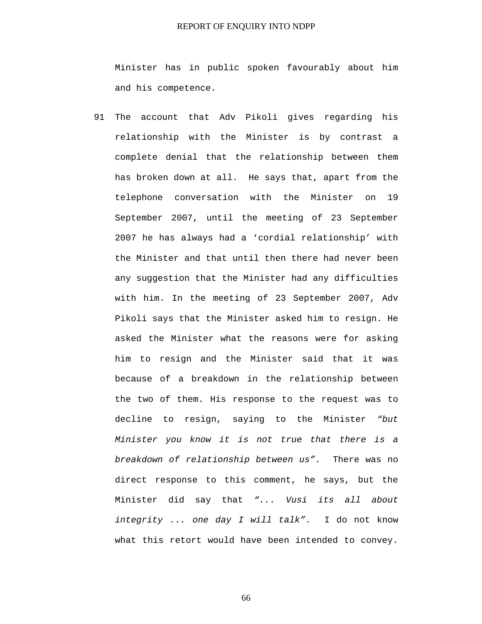Minister has in public spoken favourably about him and his competence.

91 The account that Adv Pikoli gives regarding his relationship with the Minister is by contrast a complete denial that the relationship between them has broken down at all. He says that, apart from the telephone conversation with the Minister on 19 September 2007, until the meeting of 23 September 2007 he has always had a 'cordial relationship' with the Minister and that until then there had never been any suggestion that the Minister had any difficulties with him. In the meeting of 23 September 2007, Adv Pikoli says that the Minister asked him to resign. He asked the Minister what the reasons were for asking him to resign and the Minister said that it was because of a breakdown in the relationship between the two of them. His response to the request was to decline to resign, saying to the Minister *"but Minister you know it is not true that there is a breakdown of relationship between us"*. There was no direct response to this comment, he says, but the Minister did say that *"... Vusi its all about integrity ... one day I will talk"*. I do not know what this retort would have been intended to convey.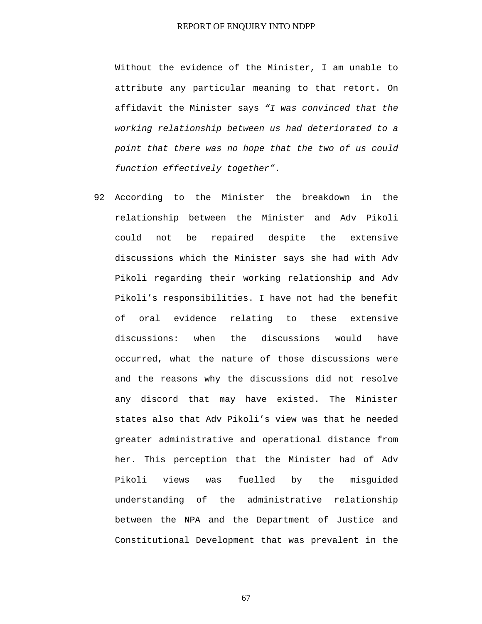Without the evidence of the Minister, I am unable to attribute any particular meaning to that retort. On affidavit the Minister says *"I was convinced that the working relationship between us had deteriorated to a point that there was no hope that the two of us could function effectively together"*.

92 According to the Minister the breakdown in the relationship between the Minister and Adv Pikoli could not be repaired despite the extensive discussions which the Minister says she had with Adv Pikoli regarding their working relationship and Adv Pikoli's responsibilities. I have not had the benefit of oral evidence relating to these extensive discussions: when the discussions would have occurred, what the nature of those discussions were and the reasons why the discussions did not resolve any discord that may have existed. The Minister states also that Adv Pikoli's view was that he needed greater administrative and operational distance from her. This perception that the Minister had of Adv Pikoli views was fuelled by the misguided understanding of the administrative relationship between the NPA and the Department of Justice and Constitutional Development that was prevalent in the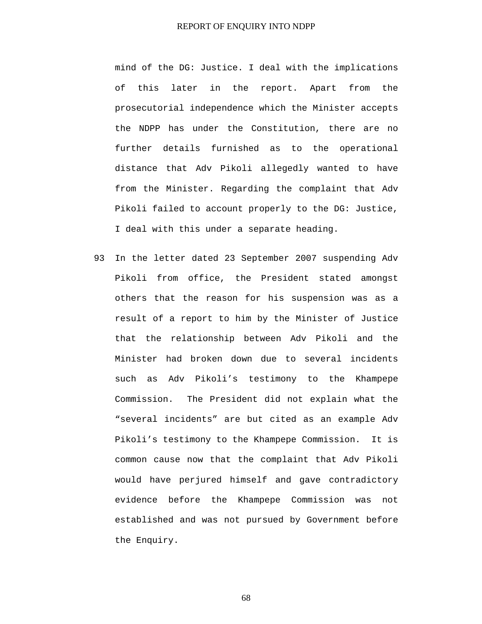mind of the DG: Justice. I deal with the implications of this later in the report. Apart from the prosecutorial independence which the Minister accepts the NDPP has under the Constitution, there are no further details furnished as to the operational distance that Adv Pikoli allegedly wanted to have from the Minister. Regarding the complaint that Adv Pikoli failed to account properly to the DG: Justice, I deal with this under a separate heading.

93 In the letter dated 23 September 2007 suspending Adv Pikoli from office, the President stated amongst others that the reason for his suspension was as a result of a report to him by the Minister of Justice that the relationship between Adv Pikoli and the Minister had broken down due to several incidents such as Adv Pikoli's testimony to the Khampepe Commission. The President did not explain what the "several incidents" are but cited as an example Adv Pikoli's testimony to the Khampepe Commission. It is common cause now that the complaint that Adv Pikoli would have perjured himself and gave contradictory evidence before the Khampepe Commission was not established and was not pursued by Government before the Enquiry.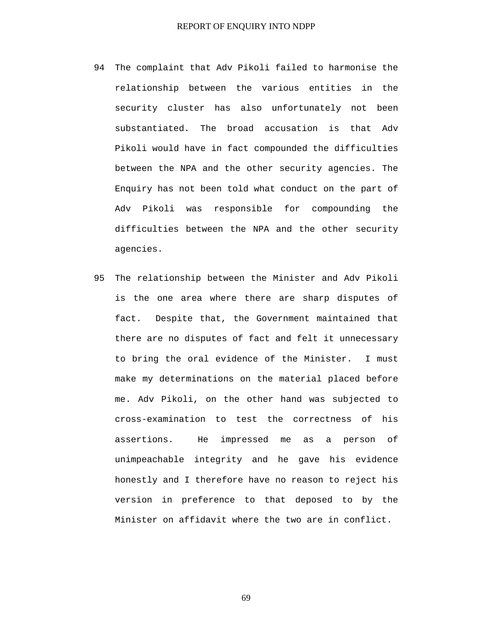- 94 The complaint that Adv Pikoli failed to harmonise the relationship between the various entities in the security cluster has also unfortunately not been substantiated. The broad accusation is that Adv Pikoli would have in fact compounded the difficulties between the NPA and the other security agencies. The Enquiry has not been told what conduct on the part of Adv Pikoli was responsible for compounding the difficulties between the NPA and the other security agencies.
- 95 The relationship between the Minister and Adv Pikoli is the one area where there are sharp disputes of fact. Despite that, the Government maintained that there are no disputes of fact and felt it unnecessary to bring the oral evidence of the Minister. I must make my determinations on the material placed before me. Adv Pikoli, on the other hand was subjected to cross-examination to test the correctness of his assertions. He impressed me as a person of unimpeachable integrity and he gave his evidence honestly and I therefore have no reason to reject his version in preference to that deposed to by the Minister on affidavit where the two are in conflict.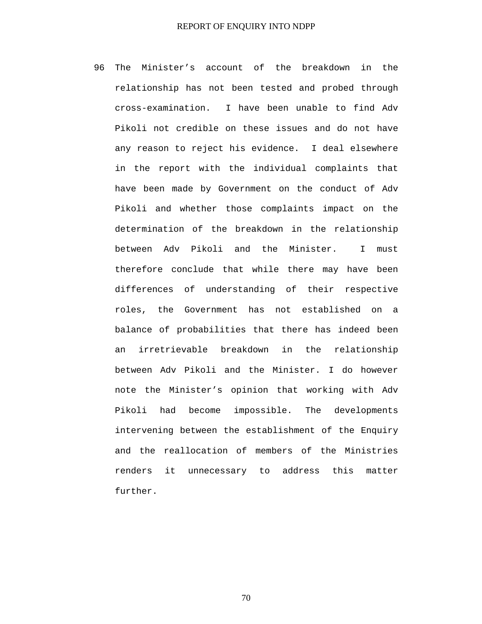96 The Minister's account of the breakdown in the relationship has not been tested and probed through cross-examination. I have been unable to find Adv Pikoli not credible on these issues and do not have any reason to reject his evidence. I deal elsewhere in the report with the individual complaints that have been made by Government on the conduct of Adv Pikoli and whether those complaints impact on the determination of the breakdown in the relationship between Adv Pikoli and the Minister. I must therefore conclude that while there may have been differences of understanding of their respective roles, the Government has not established on a balance of probabilities that there has indeed been an irretrievable breakdown in the relationship between Adv Pikoli and the Minister. I do however note the Minister's opinion that working with Adv Pikoli had become impossible. The developments intervening between the establishment of the Enquiry and the reallocation of members of the Ministries renders it unnecessary to address this matter further.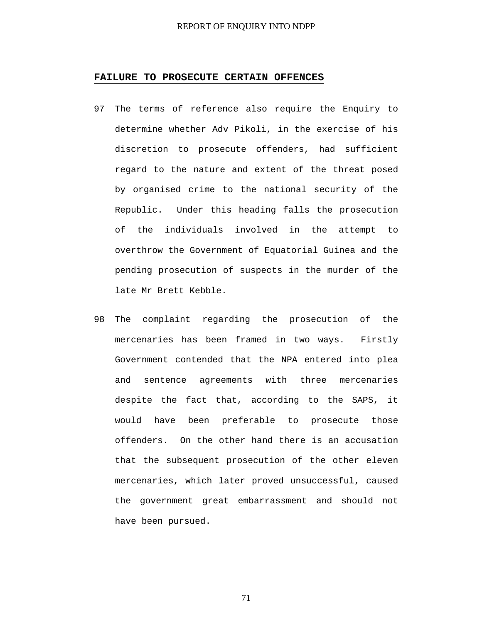# **FAILURE TO PROSECUTE CERTAIN OFFENCES**

- 97 The terms of reference also require the Enquiry to determine whether Adv Pikoli, in the exercise of his discretion to prosecute offenders, had sufficient regard to the nature and extent of the threat posed by organised crime to the national security of the Republic. Under this heading falls the prosecution of the individuals involved in the attempt to overthrow the Government of Equatorial Guinea and the pending prosecution of suspects in the murder of the late Mr Brett Kebble.
- 98 The complaint regarding the prosecution of the mercenaries has been framed in two ways. Firstly Government contended that the NPA entered into plea and sentence agreements with three mercenaries despite the fact that, according to the SAPS, it would have been preferable to prosecute those offenders. On the other hand there is an accusation that the subsequent prosecution of the other eleven mercenaries, which later proved unsuccessful, caused the government great embarrassment and should not have been pursued.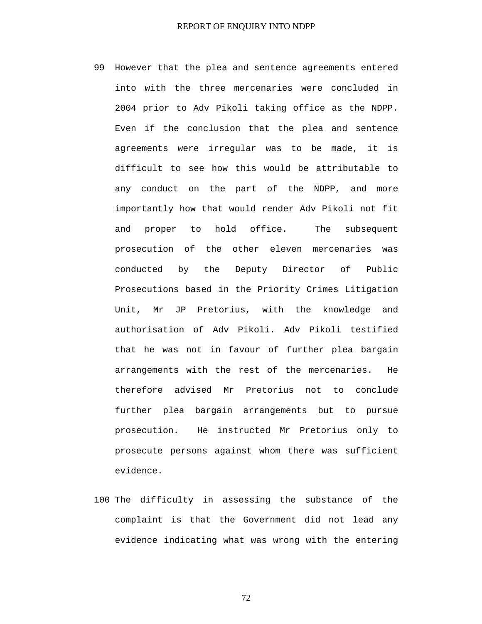- 99 However that the plea and sentence agreements entered into with the three mercenaries were concluded in 2004 prior to Adv Pikoli taking office as the NDPP. Even if the conclusion that the plea and sentence agreements were irregular was to be made, it is difficult to see how this would be attributable to any conduct on the part of the NDPP, and more importantly how that would render Adv Pikoli not fit and proper to hold office. The subsequent prosecution of the other eleven mercenaries was conducted by the Deputy Director of Public Prosecutions based in the Priority Crimes Litigation Unit, Mr JP Pretorius, with the knowledge and authorisation of Adv Pikoli. Adv Pikoli testified that he was not in favour of further plea bargain arrangements with the rest of the mercenaries. He therefore advised Mr Pretorius not to conclude further plea bargain arrangements but to pursue prosecution. He instructed Mr Pretorius only to prosecute persons against whom there was sufficient evidence.
- 100 The difficulty in assessing the substance of the complaint is that the Government did not lead any evidence indicating what was wrong with the entering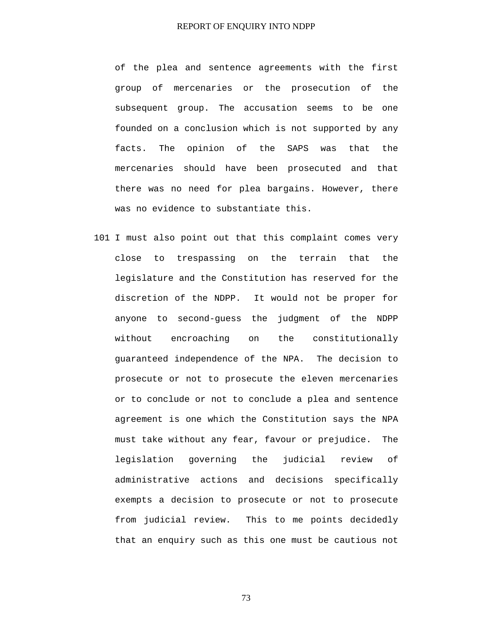of the plea and sentence agreements with the first group of mercenaries or the prosecution of the subsequent group. The accusation seems to be one founded on a conclusion which is not supported by any facts. The opinion of the SAPS was that the mercenaries should have been prosecuted and that there was no need for plea bargains. However, there was no evidence to substantiate this.

101 I must also point out that this complaint comes very close to trespassing on the terrain that the legislature and the Constitution has reserved for the discretion of the NDPP. It would not be proper for anyone to second-guess the judgment of the NDPP without encroaching on the constitutionally guaranteed independence of the NPA. The decision to prosecute or not to prosecute the eleven mercenaries or to conclude or not to conclude a plea and sentence agreement is one which the Constitution says the NPA must take without any fear, favour or prejudice. The legislation governing the judicial review of administrative actions and decisions specifically exempts a decision to prosecute or not to prosecute from judicial review. This to me points decidedly that an enquiry such as this one must be cautious not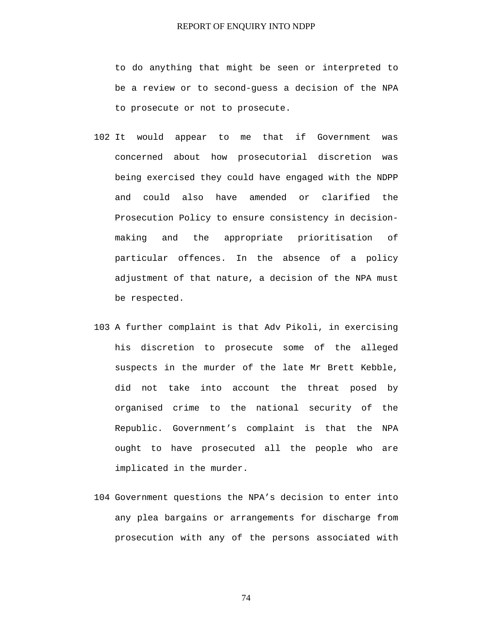to do anything that might be seen or interpreted to be a review or to second-guess a decision of the NPA to prosecute or not to prosecute.

- 102 It would appear to me that if Government was concerned about how prosecutorial discretion was being exercised they could have engaged with the NDPP and could also have amended or clarified the Prosecution Policy to ensure consistency in decisionmaking and the appropriate prioritisation of particular offences. In the absence of a policy adjustment of that nature, a decision of the NPA must be respected.
- 103 A further complaint is that Adv Pikoli, in exercising his discretion to prosecute some of the alleged suspects in the murder of the late Mr Brett Kebble, did not take into account the threat posed by organised crime to the national security of the Republic. Government's complaint is that the NPA ought to have prosecuted all the people who are implicated in the murder.
- 104 Government questions the NPA's decision to enter into any plea bargains or arrangements for discharge from prosecution with any of the persons associated with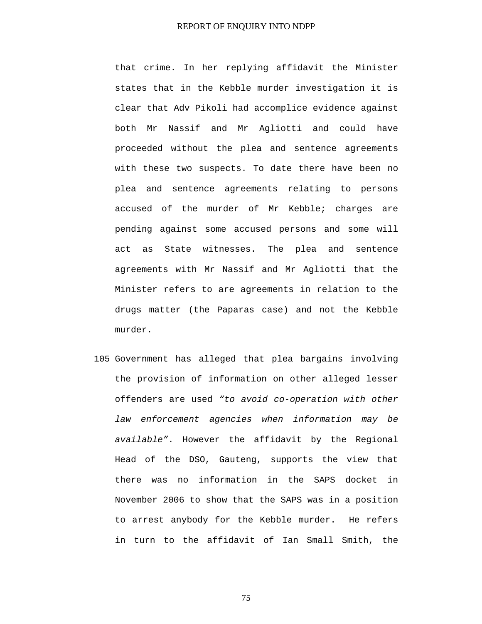that crime. In her replying affidavit the Minister states that in the Kebble murder investigation it is clear that Adv Pikoli had accomplice evidence against both Mr Nassif and Mr Agliotti and could have proceeded without the plea and sentence agreements with these two suspects. To date there have been no plea and sentence agreements relating to persons accused of the murder of Mr Kebble; charges are pending against some accused persons and some will act as State witnesses. The plea and sentence agreements with Mr Nassif and Mr Agliotti that the Minister refers to are agreements in relation to the drugs matter (the Paparas case) and not the Kebble murder.

105 Government has alleged that plea bargains involving the provision of information on other alleged lesser offenders are used *"to avoid co-operation with other law enforcement agencies when information may be available"*. However the affidavit by the Regional Head of the DSO, Gauteng, supports the view that there was no information in the SAPS docket in November 2006 to show that the SAPS was in a position to arrest anybody for the Kebble murder. He refers in turn to the affidavit of Ian Small Smith, the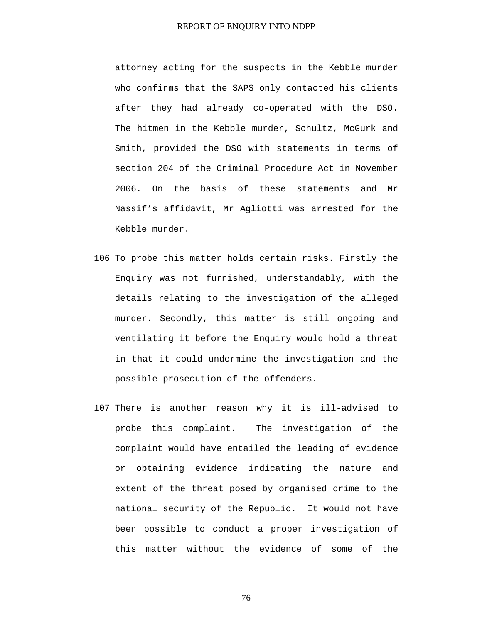attorney acting for the suspects in the Kebble murder who confirms that the SAPS only contacted his clients after they had already co-operated with the DSO. The hitmen in the Kebble murder, Schultz, McGurk and Smith, provided the DSO with statements in terms of section 204 of the Criminal Procedure Act in November 2006. On the basis of these statements and Mr Nassif's affidavit, Mr Agliotti was arrested for the Kebble murder.

- 106 To probe this matter holds certain risks. Firstly the Enquiry was not furnished, understandably, with the details relating to the investigation of the alleged murder. Secondly, this matter is still ongoing and ventilating it before the Enquiry would hold a threat in that it could undermine the investigation and the possible prosecution of the offenders.
- 107 There is another reason why it is ill-advised to probe this complaint. The investigation of the complaint would have entailed the leading of evidence or obtaining evidence indicating the nature and extent of the threat posed by organised crime to the national security of the Republic. It would not have been possible to conduct a proper investigation of this matter without the evidence of some of the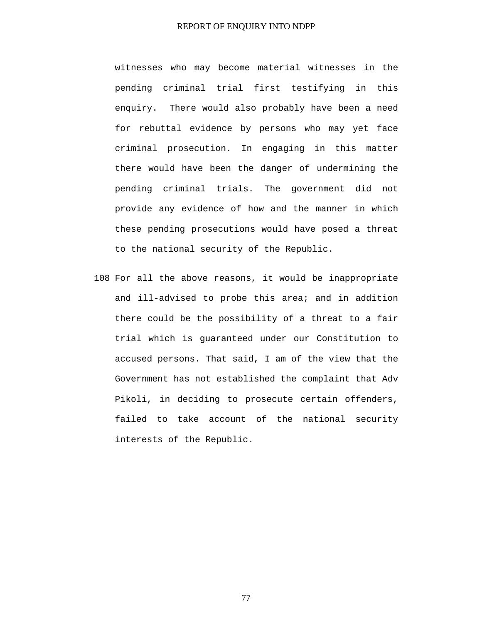witnesses who may become material witnesses in the pending criminal trial first testifying in this enquiry. There would also probably have been a need for rebuttal evidence by persons who may yet face criminal prosecution. In engaging in this matter there would have been the danger of undermining the pending criminal trials. The government did not provide any evidence of how and the manner in which these pending prosecutions would have posed a threat to the national security of the Republic.

108 For all the above reasons, it would be inappropriate and ill-advised to probe this area; and in addition there could be the possibility of a threat to a fair trial which is guaranteed under our Constitution to accused persons. That said, I am of the view that the Government has not established the complaint that Adv Pikoli, in deciding to prosecute certain offenders, failed to take account of the national security interests of the Republic.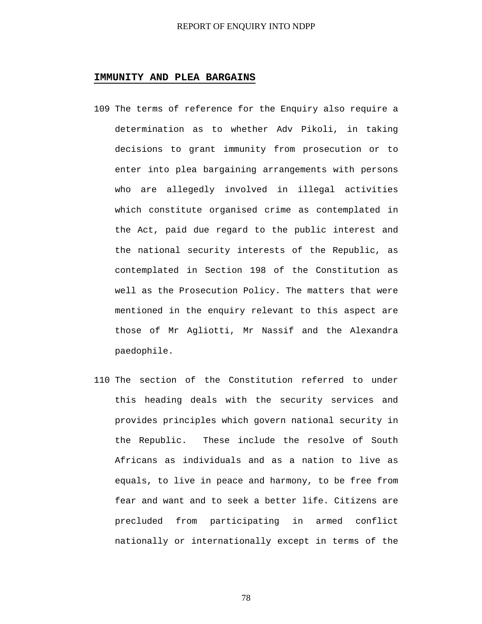#### **IMMUNITY AND PLEA BARGAINS**

- 109 The terms of reference for the Enquiry also require a determination as to whether Adv Pikoli, in taking decisions to grant immunity from prosecution or to enter into plea bargaining arrangements with persons who are allegedly involved in illegal activities which constitute organised crime as contemplated in the Act, paid due regard to the public interest and the national security interests of the Republic, as contemplated in Section 198 of the Constitution as well as the Prosecution Policy. The matters that were mentioned in the enquiry relevant to this aspect are those of Mr Agliotti, Mr Nassif and the Alexandra paedophile.
- 110 The section of the Constitution referred to under this heading deals with the security services and provides principles which govern national security in the Republic. These include the resolve of South Africans as individuals and as a nation to live as equals, to live in peace and harmony, to be free from fear and want and to seek a better life. Citizens are precluded from participating in armed conflict nationally or internationally except in terms of the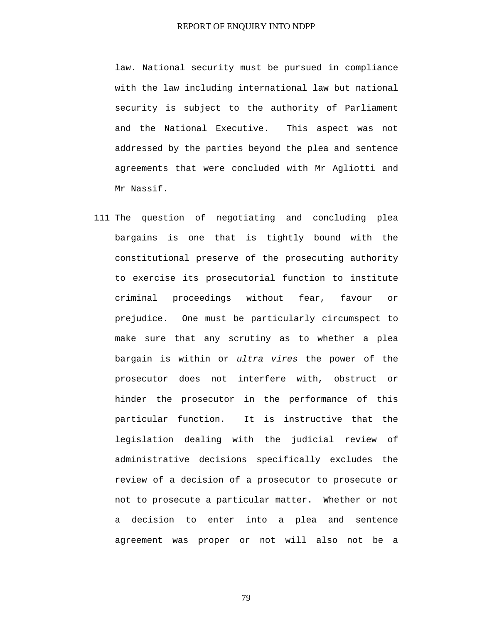law. National security must be pursued in compliance with the law including international law but national security is subject to the authority of Parliament and the National Executive. This aspect was not addressed by the parties beyond the plea and sentence agreements that were concluded with Mr Agliotti and Mr Nassif.

111 The question of negotiating and concluding plea bargains is one that is tightly bound with the constitutional preserve of the prosecuting authority to exercise its prosecutorial function to institute criminal proceedings without fear, favour or prejudice. One must be particularly circumspect to make sure that any scrutiny as to whether a plea bargain is within or *ultra vires* the power of the prosecutor does not interfere with, obstruct or hinder the prosecutor in the performance of this particular function. It is instructive that the legislation dealing with the judicial review of administrative decisions specifically excludes the review of a decision of a prosecutor to prosecute or not to prosecute a particular matter. Whether or not a decision to enter into a plea and sentence agreement was proper or not will also not be a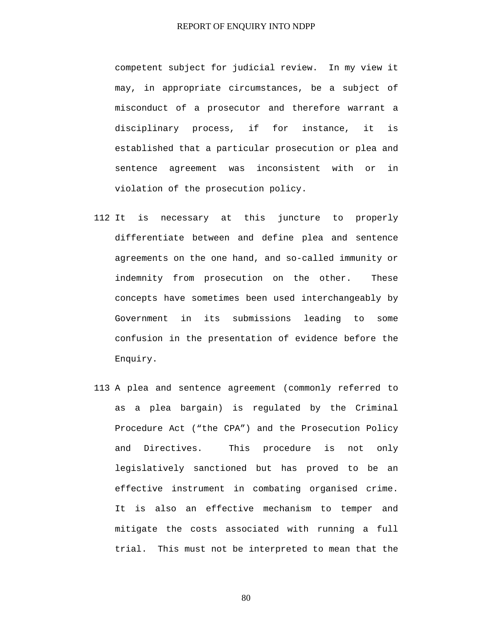competent subject for judicial review. In my view it may, in appropriate circumstances, be a subject of misconduct of a prosecutor and therefore warrant a disciplinary process, if for instance, it is established that a particular prosecution or plea and sentence agreement was inconsistent with or in violation of the prosecution policy.

- 112 It is necessary at this juncture to properly differentiate between and define plea and sentence agreements on the one hand, and so-called immunity or indemnity from prosecution on the other. These concepts have sometimes been used interchangeably by Government in its submissions leading to some confusion in the presentation of evidence before the Enquiry.
- 113 A plea and sentence agreement (commonly referred to as a plea bargain) is regulated by the Criminal Procedure Act ("the CPA") and the Prosecution Policy and Directives. This procedure is not only legislatively sanctioned but has proved to be an effective instrument in combating organised crime. It is also an effective mechanism to temper and mitigate the costs associated with running a full trial. This must not be interpreted to mean that the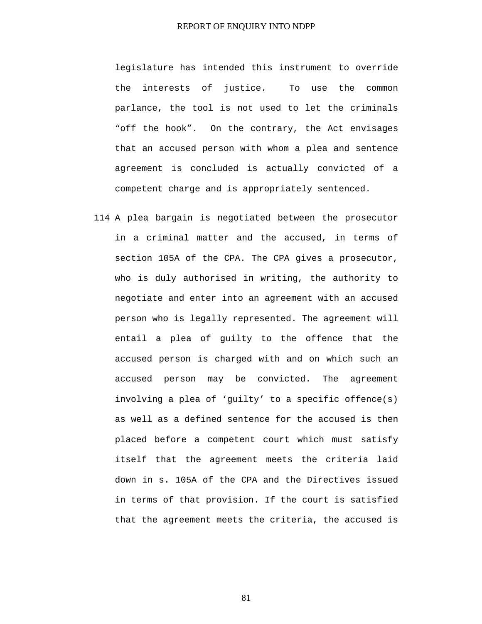legislature has intended this instrument to override the interests of justice. To use the common parlance, the tool is not used to let the criminals "off the hook". On the contrary, the Act envisages that an accused person with whom a plea and sentence agreement is concluded is actually convicted of a competent charge and is appropriately sentenced.

114 A plea bargain is negotiated between the prosecutor in a criminal matter and the accused, in terms of section 105A of the CPA. The CPA gives a prosecutor, who is duly authorised in writing, the authority to negotiate and enter into an agreement with an accused person who is legally represented. The agreement will entail a plea of guilty to the offence that the accused person is charged with and on which such an accused person may be convicted. The agreement involving a plea of 'guilty' to a specific offence(s) as well as a defined sentence for the accused is then placed before a competent court which must satisfy itself that the agreement meets the criteria laid down in s. 105A of the CPA and the Directives issued in terms of that provision. If the court is satisfied that the agreement meets the criteria, the accused is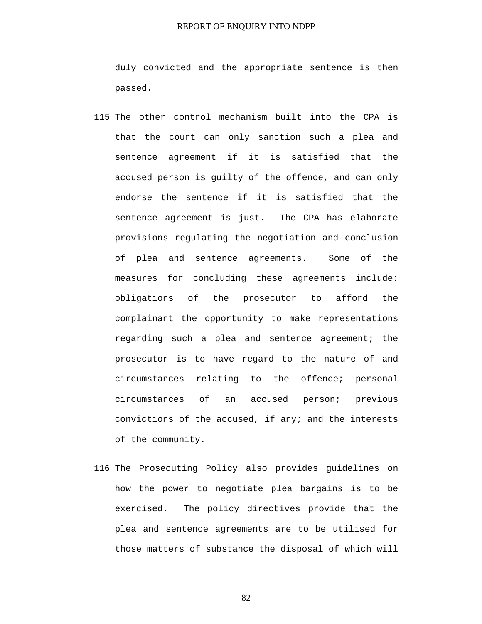duly convicted and the appropriate sentence is then passed.

- 115 The other control mechanism built into the CPA is that the court can only sanction such a plea and sentence agreement if it is satisfied that the accused person is guilty of the offence, and can only endorse the sentence if it is satisfied that the sentence agreement is just. The CPA has elaborate provisions regulating the negotiation and conclusion of plea and sentence agreements. Some of the measures for concluding these agreements include: obligations of the prosecutor to afford the complainant the opportunity to make representations regarding such a plea and sentence agreement; the prosecutor is to have regard to the nature of and circumstances relating to the offence; personal circumstances of an accused person; previous convictions of the accused, if any; and the interests of the community.
- 116 The Prosecuting Policy also provides guidelines on how the power to negotiate plea bargains is to be exercised. The policy directives provide that the plea and sentence agreements are to be utilised for those matters of substance the disposal of which will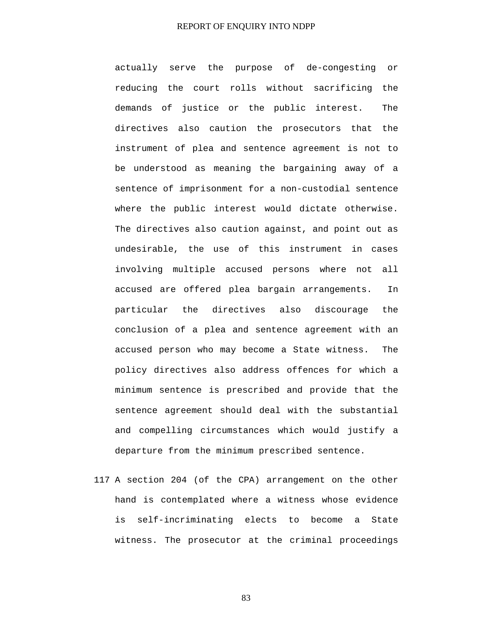actually serve the purpose of de-congesting or reducing the court rolls without sacrificing the demands of justice or the public interest. The directives also caution the prosecutors that the instrument of plea and sentence agreement is not to be understood as meaning the bargaining away of a sentence of imprisonment for a non-custodial sentence where the public interest would dictate otherwise. The directives also caution against, and point out as undesirable, the use of this instrument in cases involving multiple accused persons where not all accused are offered plea bargain arrangements. In particular the directives also discourage the conclusion of a plea and sentence agreement with an accused person who may become a State witness. The policy directives also address offences for which a minimum sentence is prescribed and provide that the sentence agreement should deal with the substantial and compelling circumstances which would justify a departure from the minimum prescribed sentence.

117 A section 204 (of the CPA) arrangement on the other hand is contemplated where a witness whose evidence is self-incriminating elects to become a State witness. The prosecutor at the criminal proceedings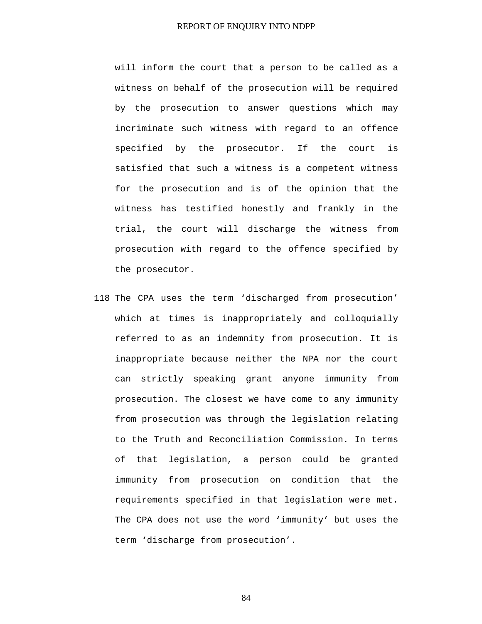will inform the court that a person to be called as a witness on behalf of the prosecution will be required by the prosecution to answer questions which may incriminate such witness with regard to an offence specified by the prosecutor. If the court is satisfied that such a witness is a competent witness for the prosecution and is of the opinion that the witness has testified honestly and frankly in the trial, the court will discharge the witness from prosecution with regard to the offence specified by the prosecutor.

118 The CPA uses the term 'discharged from prosecution' which at times is inappropriately and colloquially referred to as an indemnity from prosecution. It is inappropriate because neither the NPA nor the court can strictly speaking grant anyone immunity from prosecution. The closest we have come to any immunity from prosecution was through the legislation relating to the Truth and Reconciliation Commission. In terms of that legislation, a person could be granted immunity from prosecution on condition that the requirements specified in that legislation were met. The CPA does not use the word 'immunity' but uses the term 'discharge from prosecution'.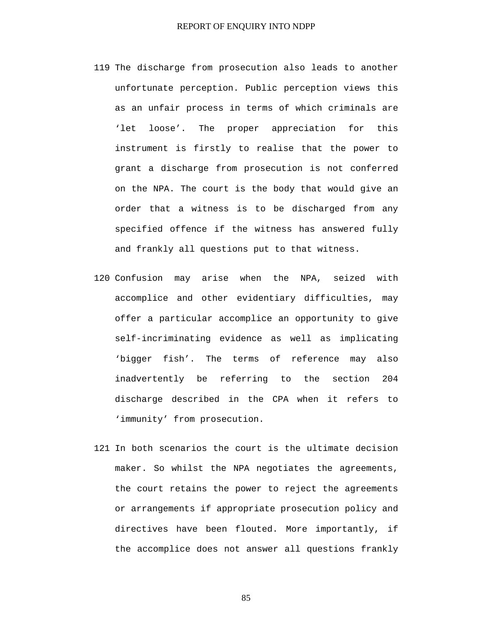- 119 The discharge from prosecution also leads to another unfortunate perception. Public perception views this as an unfair process in terms of which criminals are 'let loose'. The proper appreciation for this instrument is firstly to realise that the power to grant a discharge from prosecution is not conferred on the NPA. The court is the body that would give an order that a witness is to be discharged from any specified offence if the witness has answered fully and frankly all questions put to that witness.
- 120 Confusion may arise when the NPA, seized with accomplice and other evidentiary difficulties, may offer a particular accomplice an opportunity to give self-incriminating evidence as well as implicating 'bigger fish'. The terms of reference may also inadvertently be referring to the section 204 discharge described in the CPA when it refers to 'immunity' from prosecution.
- 121 In both scenarios the court is the ultimate decision maker. So whilst the NPA negotiates the agreements, the court retains the power to reject the agreements or arrangements if appropriate prosecution policy and directives have been flouted. More importantly, if the accomplice does not answer all questions frankly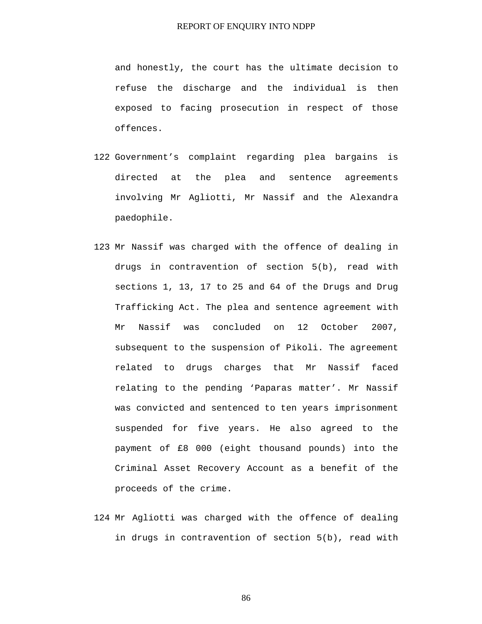and honestly, the court has the ultimate decision to refuse the discharge and the individual is then exposed to facing prosecution in respect of those offences.

- 122 Government's complaint regarding plea bargains is directed at the plea and sentence agreements involving Mr Agliotti, Mr Nassif and the Alexandra paedophile.
- 123 Mr Nassif was charged with the offence of dealing in drugs in contravention of section 5(b), read with sections 1, 13, 17 to 25 and 64 of the Drugs and Drug Trafficking Act. The plea and sentence agreement with Mr Nassif was concluded on 12 October 2007, subsequent to the suspension of Pikoli. The agreement related to drugs charges that Mr Nassif faced relating to the pending 'Paparas matter'. Mr Nassif was convicted and sentenced to ten years imprisonment suspended for five years. He also agreed to the payment of £8 000 (eight thousand pounds) into the Criminal Asset Recovery Account as a benefit of the proceeds of the crime.
- 124 Mr Agliotti was charged with the offence of dealing in drugs in contravention of section 5(b), read with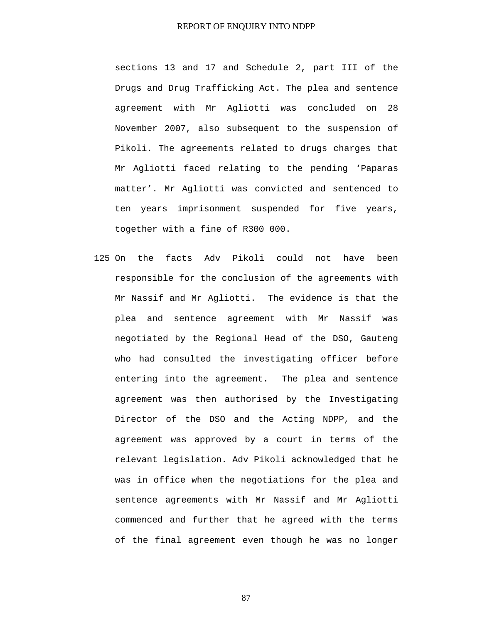sections 13 and 17 and Schedule 2, part III of the Drugs and Drug Trafficking Act. The plea and sentence agreement with Mr Agliotti was concluded on 28 November 2007, also subsequent to the suspension of Pikoli. The agreements related to drugs charges that Mr Agliotti faced relating to the pending 'Paparas matter'. Mr Agliotti was convicted and sentenced to ten years imprisonment suspended for five years, together with a fine of R300 000.

125 On the facts Adv Pikoli could not have been responsible for the conclusion of the agreements with Mr Nassif and Mr Agliotti. The evidence is that the plea and sentence agreement with Mr Nassif was negotiated by the Regional Head of the DSO, Gauteng who had consulted the investigating officer before entering into the agreement. The plea and sentence agreement was then authorised by the Investigating Director of the DSO and the Acting NDPP, and the agreement was approved by a court in terms of the relevant legislation. Adv Pikoli acknowledged that he was in office when the negotiations for the plea and sentence agreements with Mr Nassif and Mr Agliotti commenced and further that he agreed with the terms of the final agreement even though he was no longer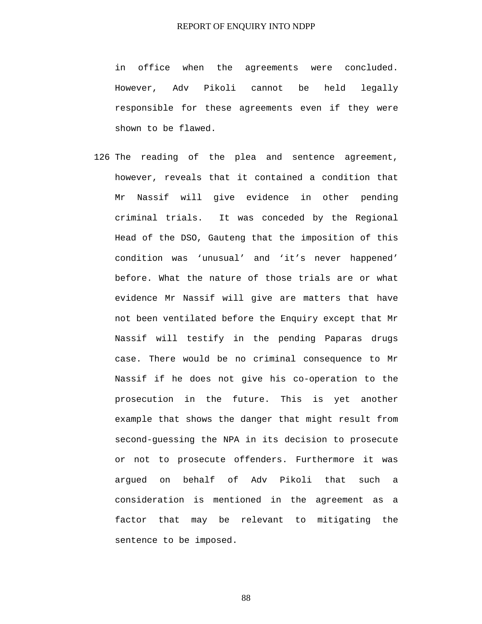in office when the agreements were concluded. However, Adv Pikoli cannot be held legally responsible for these agreements even if they were shown to be flawed.

126 The reading of the plea and sentence agreement, however, reveals that it contained a condition that Mr Nassif will give evidence in other pending criminal trials. It was conceded by the Regional Head of the DSO, Gauteng that the imposition of this condition was 'unusual' and 'it's never happened' before. What the nature of those trials are or what evidence Mr Nassif will give are matters that have not been ventilated before the Enquiry except that Mr Nassif will testify in the pending Paparas drugs case. There would be no criminal consequence to Mr Nassif if he does not give his co-operation to the prosecution in the future. This is yet another example that shows the danger that might result from second-guessing the NPA in its decision to prosecute or not to prosecute offenders. Furthermore it was argued on behalf of Adv Pikoli that such a consideration is mentioned in the agreement as a factor that may be relevant to mitigating the sentence to be imposed.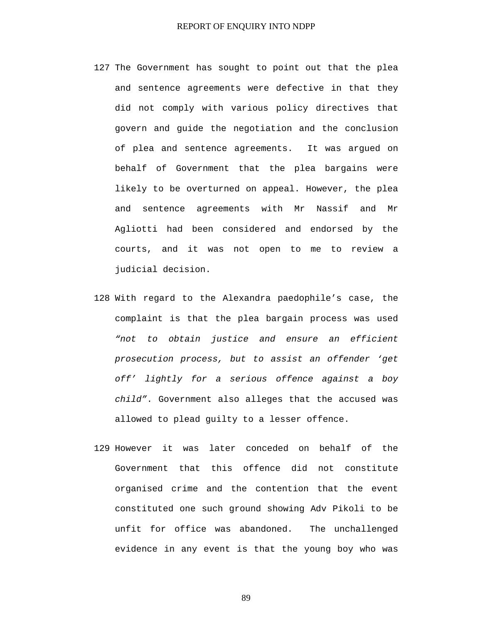- 127 The Government has sought to point out that the plea and sentence agreements were defective in that they did not comply with various policy directives that govern and guide the negotiation and the conclusion of plea and sentence agreements. It was argued on behalf of Government that the plea bargains were likely to be overturned on appeal. However, the plea and sentence agreements with Mr Nassif and Mr Agliotti had been considered and endorsed by the courts, and it was not open to me to review a judicial decision.
- 128 With regard to the Alexandra paedophile's case, the complaint is that the plea bargain process was used *"not to obtain justice and ensure an efficient prosecution process, but to assist an offender 'get off' lightly for a serious offence against a boy child"*. Government also alleges that the accused was allowed to plead guilty to a lesser offence.
- 129 However it was later conceded on behalf of the Government that this offence did not constitute organised crime and the contention that the event constituted one such ground showing Adv Pikoli to be unfit for office was abandoned. The unchallenged evidence in any event is that the young boy who was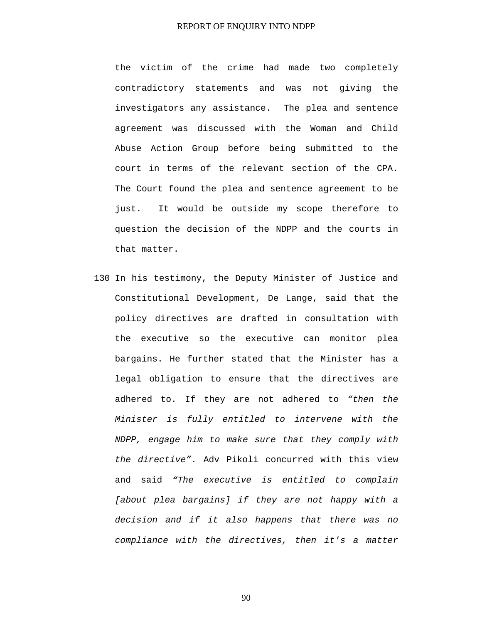the victim of the crime had made two completely contradictory statements and was not giving the investigators any assistance. The plea and sentence agreement was discussed with the Woman and Child Abuse Action Group before being submitted to the court in terms of the relevant section of the CPA. The Court found the plea and sentence agreement to be just. It would be outside my scope therefore to question the decision of the NDPP and the courts in that matter.

130 In his testimony, the Deputy Minister of Justice and Constitutional Development, De Lange, said that the policy directives are drafted in consultation with the executive so the executive can monitor plea bargains. He further stated that the Minister has a legal obligation to ensure that the directives are adhered to. If they are not adhered to *"then the Minister is fully entitled to intervene with the NDPP, engage him to make sure that they comply with the directive"*. Adv Pikoli concurred with this view and said *"The executive is entitled to complain [about plea bargains] if they are not happy with a decision and if it also happens that there was no compliance with the directives, then it's a matter*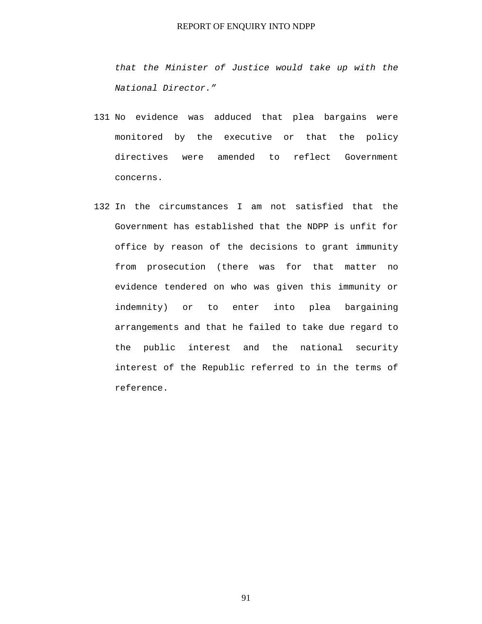*that the Minister of Justice would take up with the National Director."*

- 131 No evidence was adduced that plea bargains were monitored by the executive or that the policy directives were amended to reflect Government concerns.
- 132 In the circumstances I am not satisfied that the Government has established that the NDPP is unfit for office by reason of the decisions to grant immunity from prosecution (there was for that matter no evidence tendered on who was given this immunity or indemnity) or to enter into plea bargaining arrangements and that he failed to take due regard to the public interest and the national security interest of the Republic referred to in the terms of reference.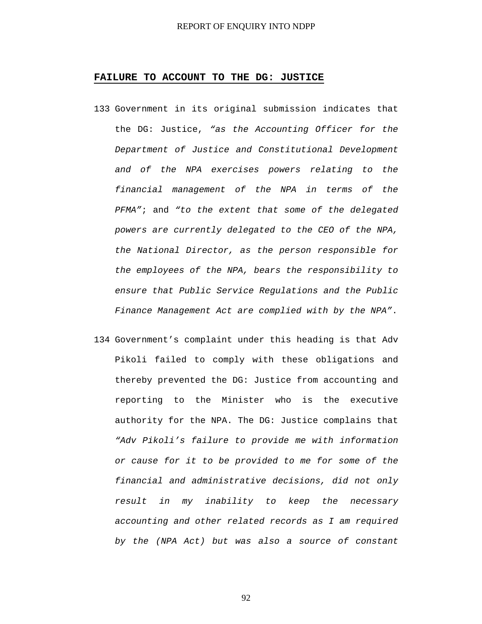#### **FAILURE TO ACCOUNT TO THE DG: JUSTICE**

- 133 Government in its original submission indicates that the DG: Justice, *"as the Accounting Officer for the Department of Justice and Constitutional Development and of the NPA exercises powers relating to the financial management of the NPA in terms of the PFMA"*; and *"to the extent that some of the delegated powers are currently delegated to the CEO of the NPA, the National Director, as the person responsible for the employees of the NPA, bears the responsibility to ensure that Public Service Regulations and the Public Finance Management Act are complied with by the NPA"*.
- 134 Government's complaint under this heading is that Adv Pikoli failed to comply with these obligations and thereby prevented the DG: Justice from accounting and reporting to the Minister who is the executive authority for the NPA. The DG: Justice complains that *"Adv Pikoli's failure to provide me with information or cause for it to be provided to me for some of the financial and administrative decisions, did not only result in my inability to keep the necessary accounting and other related records as I am required by the (NPA Act) but was also a source of constant*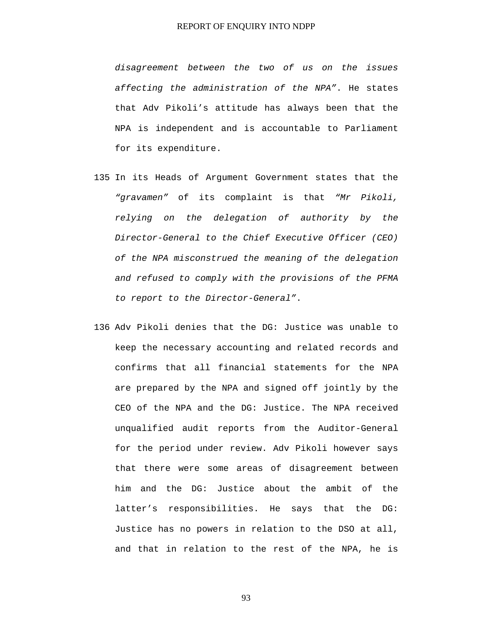*disagreement between the two of us on the issues affecting the administration of the NPA"*. He states that Adv Pikoli's attitude has always been that the NPA is independent and is accountable to Parliament for its expenditure.

- 135 In its Heads of Argument Government states that the *"gravamen"* of its complaint is that *"Mr Pikoli, relying on the delegation of authority by the Director-General to the Chief Executive Officer (CEO) of the NPA misconstrued the meaning of the delegation and refused to comply with the provisions of the PFMA to report to the Director-General"*.
- 136 Adv Pikoli denies that the DG: Justice was unable to keep the necessary accounting and related records and confirms that all financial statements for the NPA are prepared by the NPA and signed off jointly by the CEO of the NPA and the DG: Justice. The NPA received unqualified audit reports from the Auditor-General for the period under review. Adv Pikoli however says that there were some areas of disagreement between him and the DG: Justice about the ambit of the latter's responsibilities. He says that the DG: Justice has no powers in relation to the DSO at all, and that in relation to the rest of the NPA, he is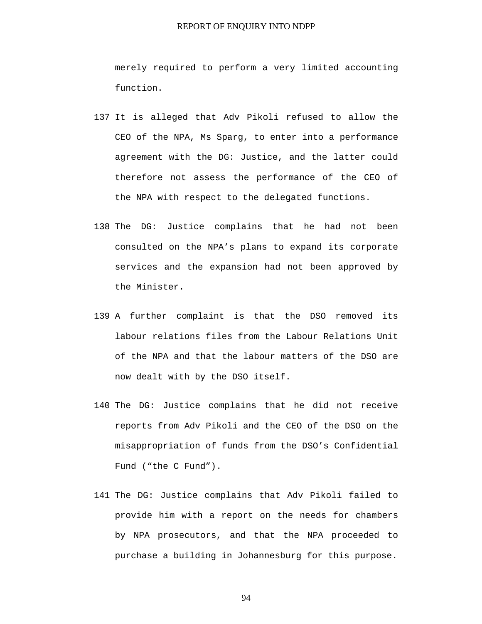merely required to perform a very limited accounting function.

- 137 It is alleged that Adv Pikoli refused to allow the CEO of the NPA, Ms Sparg, to enter into a performance agreement with the DG: Justice, and the latter could therefore not assess the performance of the CEO of the NPA with respect to the delegated functions.
- 138 The DG: Justice complains that he had not been consulted on the NPA's plans to expand its corporate services and the expansion had not been approved by the Minister.
- 139 A further complaint is that the DSO removed its labour relations files from the Labour Relations Unit of the NPA and that the labour matters of the DSO are now dealt with by the DSO itself.
- 140 The DG: Justice complains that he did not receive reports from Adv Pikoli and the CEO of the DSO on the misappropriation of funds from the DSO's Confidential Fund ("the C Fund").
- 141 The DG: Justice complains that Adv Pikoli failed to provide him with a report on the needs for chambers by NPA prosecutors, and that the NPA proceeded to purchase a building in Johannesburg for this purpose.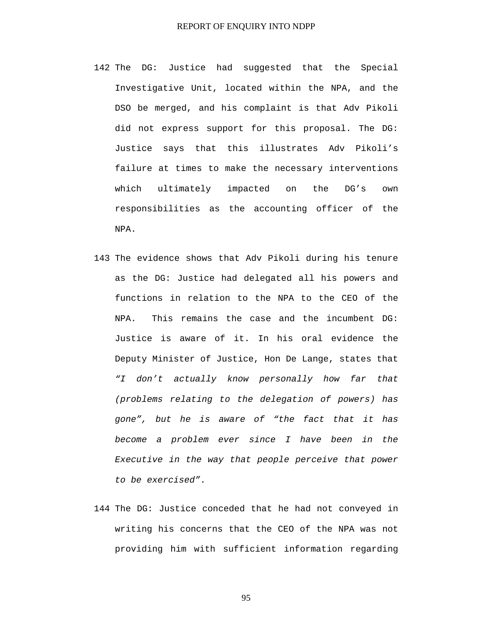- 142 The DG: Justice had suggested that the Special Investigative Unit, located within the NPA, and the DSO be merged, and his complaint is that Adv Pikoli did not express support for this proposal. The DG: Justice says that this illustrates Adv Pikoli's failure at times to make the necessary interventions which ultimately impacted on the DG's own responsibilities as the accounting officer of the NPA.
- 143 The evidence shows that Adv Pikoli during his tenure as the DG: Justice had delegated all his powers and functions in relation to the NPA to the CEO of the NPA. This remains the case and the incumbent DG: Justice is aware of it. In his oral evidence the Deputy Minister of Justice, Hon De Lange, states that *"I don't actually know personally how far that (problems relating to the delegation of powers) has gone", but he is aware of "the fact that it has become a problem ever since I have been in the Executive in the way that people perceive that power to be exercised"*.
- 144 The DG: Justice conceded that he had not conveyed in writing his concerns that the CEO of the NPA was not providing him with sufficient information regarding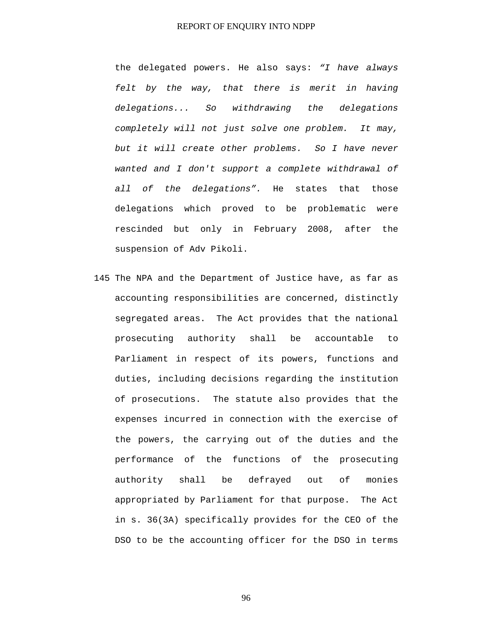the delegated powers. He also says: *"I have always felt by the way, that there is merit in having delegations... So withdrawing the delegations completely will not just solve one problem. It may, but it will create other problems. So I have never wanted and I don't support a complete withdrawal of all of the delegations".* He states that those delegations which proved to be problematic were rescinded but only in February 2008, after the suspension of Adv Pikoli.

145 The NPA and the Department of Justice have, as far as accounting responsibilities are concerned, distinctly segregated areas. The Act provides that the national prosecuting authority shall be accountable to Parliament in respect of its powers, functions and duties, including decisions regarding the institution of prosecutions. The statute also provides that the expenses incurred in connection with the exercise of the powers, the carrying out of the duties and the performance of the functions of the prosecuting authority shall be defrayed out of monies appropriated by Parliament for that purpose. The Act in s. 36(3A) specifically provides for the CEO of the DSO to be the accounting officer for the DSO in terms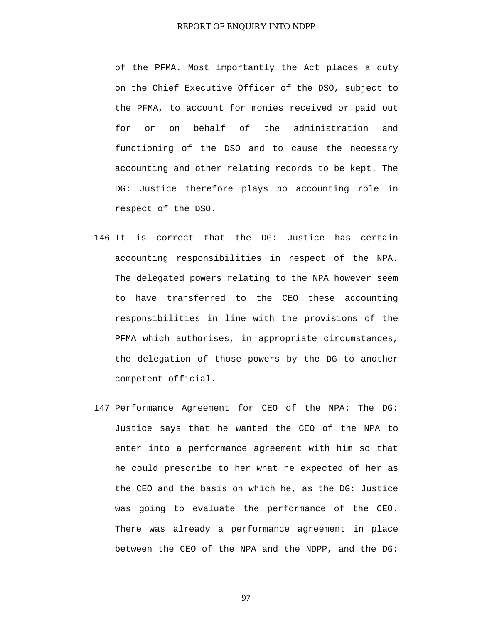of the PFMA. Most importantly the Act places a duty on the Chief Executive Officer of the DSO, subject to the PFMA, to account for monies received or paid out for or on behalf of the administration and functioning of the DSO and to cause the necessary accounting and other relating records to be kept. The DG: Justice therefore plays no accounting role in respect of the DSO.

- 146 It is correct that the DG: Justice has certain accounting responsibilities in respect of the NPA. The delegated powers relating to the NPA however seem to have transferred to the CEO these accounting responsibilities in line with the provisions of the PFMA which authorises, in appropriate circumstances, the delegation of those powers by the DG to another competent official.
- 147 Performance Agreement for CEO of the NPA: The DG: Justice says that he wanted the CEO of the NPA to enter into a performance agreement with him so that he could prescribe to her what he expected of her as the CEO and the basis on which he, as the DG: Justice was going to evaluate the performance of the CEO. There was already a performance agreement in place between the CEO of the NPA and the NDPP, and the DG: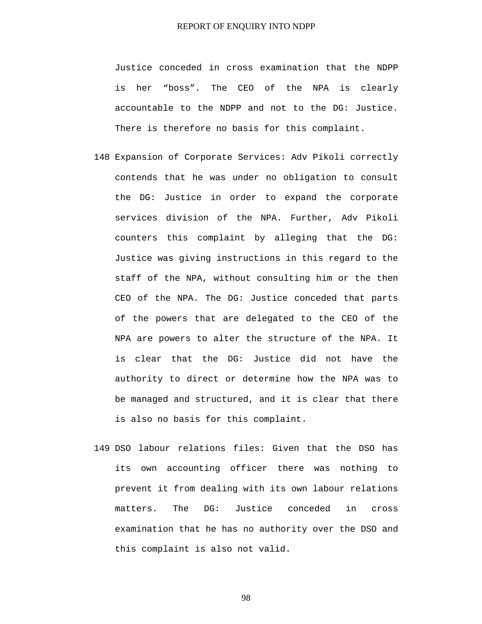Justice conceded in cross examination that the NDPP is her "boss". The CEO of the NPA is clearly accountable to the NDPP and not to the DG: Justice. There is therefore no basis for this complaint.

- 148 Expansion of Corporate Services: Adv Pikoli correctly contends that he was under no obligation to consult the DG: Justice in order to expand the corporate services division of the NPA. Further, Adv Pikoli counters this complaint by alleging that the DG: Justice was giving instructions in this regard to the staff of the NPA, without consulting him or the then CEO of the NPA. The DG: Justice conceded that parts of the powers that are delegated to the CEO of the NPA are powers to alter the structure of the NPA. It is clear that the DG: Justice did not have the authority to direct or determine how the NPA was to be managed and structured, and it is clear that there is also no basis for this complaint.
- 149 DSO labour relations files: Given that the DSO has its own accounting officer there was nothing to prevent it from dealing with its own labour relations matters. The DG: Justice conceded in cross examination that he has no authority over the DSO and this complaint is also not valid.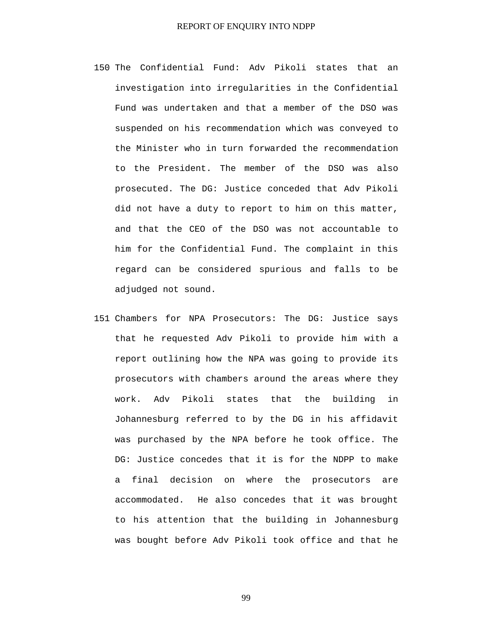- 150 The Confidential Fund: Adv Pikoli states that an investigation into irregularities in the Confidential Fund was undertaken and that a member of the DSO was suspended on his recommendation which was conveyed to the Minister who in turn forwarded the recommendation to the President. The member of the DSO was also prosecuted. The DG: Justice conceded that Adv Pikoli did not have a duty to report to him on this matter, and that the CEO of the DSO was not accountable to him for the Confidential Fund. The complaint in this regard can be considered spurious and falls to be adjudged not sound.
- 151 Chambers for NPA Prosecutors: The DG: Justice says that he requested Adv Pikoli to provide him with a report outlining how the NPA was going to provide its prosecutors with chambers around the areas where they work. Adv Pikoli states that the building in Johannesburg referred to by the DG in his affidavit was purchased by the NPA before he took office. The DG: Justice concedes that it is for the NDPP to make a final decision on where the prosecutors are accommodated. He also concedes that it was brought to his attention that the building in Johannesburg was bought before Adv Pikoli took office and that he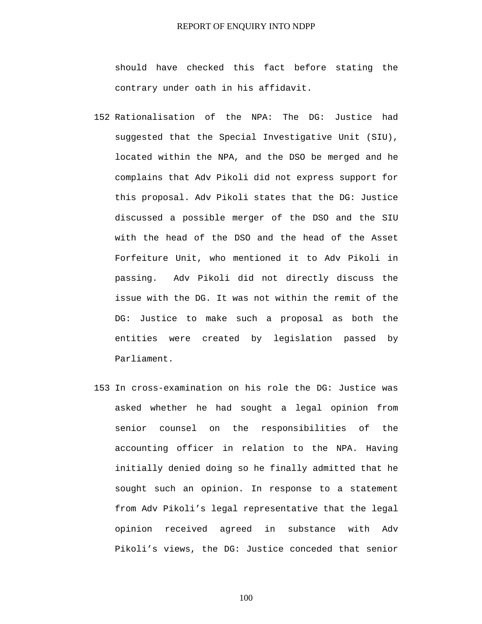should have checked this fact before stating the contrary under oath in his affidavit.

- 152 Rationalisation of the NPA: The DG: Justice had suggested that the Special Investigative Unit (SIU), located within the NPA, and the DSO be merged and he complains that Adv Pikoli did not express support for this proposal. Adv Pikoli states that the DG: Justice discussed a possible merger of the DSO and the SIU with the head of the DSO and the head of the Asset Forfeiture Unit, who mentioned it to Adv Pikoli in passing. Adv Pikoli did not directly discuss the issue with the DG. It was not within the remit of the DG: Justice to make such a proposal as both the entities were created by legislation passed by Parliament.
- 153 In cross-examination on his role the DG: Justice was asked whether he had sought a legal opinion from senior counsel on the responsibilities of the accounting officer in relation to the NPA. Having initially denied doing so he finally admitted that he sought such an opinion. In response to a statement from Adv Pikoli's legal representative that the legal opinion received agreed in substance with Adv Pikoli's views, the DG: Justice conceded that senior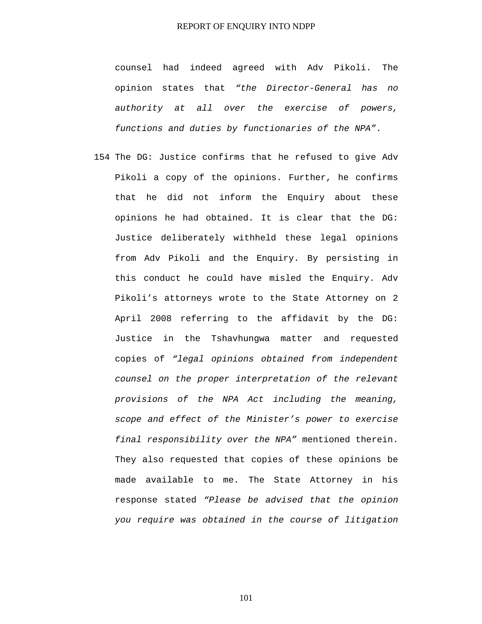counsel had indeed agreed with Adv Pikoli. The opinion states that *"the Director-General has no authority at all over the exercise of powers, functions and duties by functionaries of the NPA"*.

154 The DG: Justice confirms that he refused to give Adv Pikoli a copy of the opinions. Further, he confirms that he did not inform the Enquiry about these opinions he had obtained. It is clear that the DG: Justice deliberately withheld these legal opinions from Adv Pikoli and the Enquiry. By persisting in this conduct he could have misled the Enquiry. Adv Pikoli's attorneys wrote to the State Attorney on 2 April 2008 referring to the affidavit by the DG: Justice in the Tshavhungwa matter and requested copies of *"legal opinions obtained from independent counsel on the proper interpretation of the relevant provisions of the NPA Act including the meaning, scope and effect of the Minister's power to exercise final responsibility over the NPA"* mentioned therein. They also requested that copies of these opinions be made available to me. The State Attorney in his response stated *"Please be advised that the opinion you require was obtained in the course of litigation*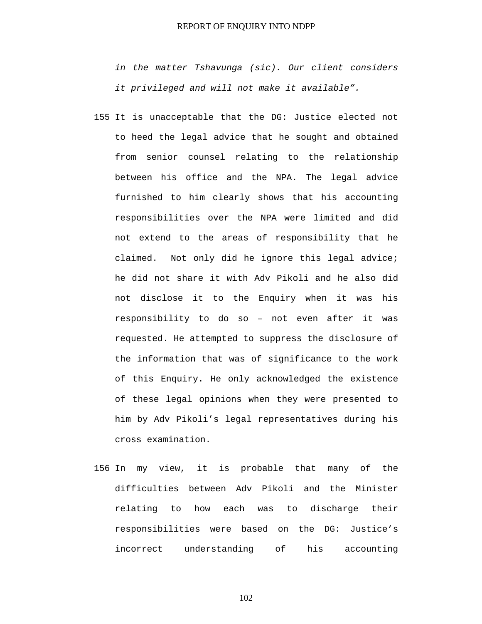*in the matter Tshavunga (sic). Our client considers it privileged and will not make it available".*

- 155 It is unacceptable that the DG: Justice elected not to heed the legal advice that he sought and obtained from senior counsel relating to the relationship between his office and the NPA. The legal advice furnished to him clearly shows that his accounting responsibilities over the NPA were limited and did not extend to the areas of responsibility that he claimed. Not only did he ignore this legal advice; he did not share it with Adv Pikoli and he also did not disclose it to the Enquiry when it was his responsibility to do so – not even after it was requested. He attempted to suppress the disclosure of the information that was of significance to the work of this Enquiry. He only acknowledged the existence of these legal opinions when they were presented to him by Adv Pikoli's legal representatives during his cross examination.
- 156 In my view, it is probable that many of the difficulties between Adv Pikoli and the Minister relating to how each was to discharge their responsibilities were based on the DG: Justice's incorrect understanding of his accounting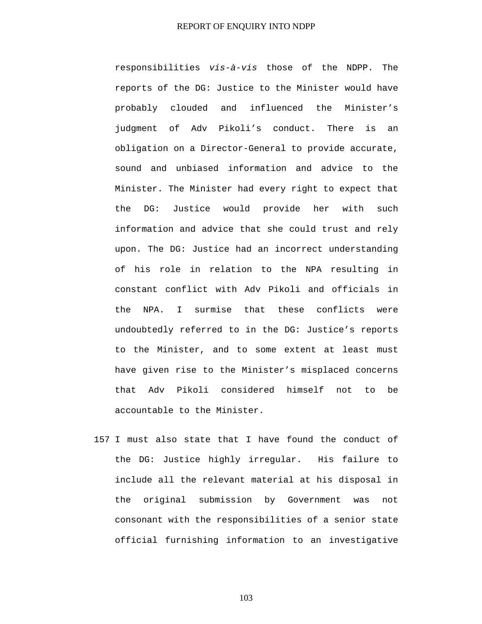responsibilities *vis-à-vis* those of the NDPP. The reports of the DG: Justice to the Minister would have probably clouded and influenced the Minister's judgment of Adv Pikoli's conduct. There is an obligation on a Director-General to provide accurate, sound and unbiased information and advice to the Minister. The Minister had every right to expect that the DG: Justice would provide her with such information and advice that she could trust and rely upon. The DG: Justice had an incorrect understanding of his role in relation to the NPA resulting in constant conflict with Adv Pikoli and officials in the NPA. I surmise that these conflicts were undoubtedly referred to in the DG: Justice's reports to the Minister, and to some extent at least must have given rise to the Minister's misplaced concerns that Adv Pikoli considered himself not to be accountable to the Minister.

157 I must also state that I have found the conduct of the DG: Justice highly irregular. His failure to include all the relevant material at his disposal in the original submission by Government was not consonant with the responsibilities of a senior state official furnishing information to an investigative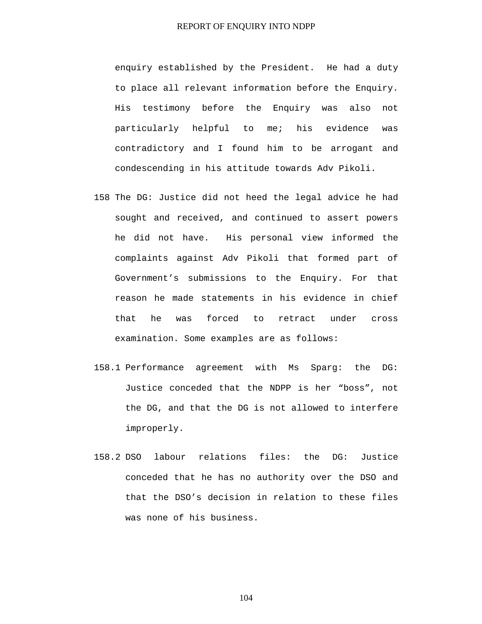enquiry established by the President. He had a duty to place all relevant information before the Enquiry. His testimony before the Enquiry was also not particularly helpful to me; his evidence was contradictory and I found him to be arrogant and condescending in his attitude towards Adv Pikoli.

- 158 The DG: Justice did not heed the legal advice he had sought and received, and continued to assert powers he did not have. His personal view informed the complaints against Adv Pikoli that formed part of Government's submissions to the Enquiry. For that reason he made statements in his evidence in chief that he was forced to retract under cross examination. Some examples are as follows:
- 158.1 Performance agreement with Ms Sparg: the DG: Justice conceded that the NDPP is her "boss", not the DG, and that the DG is not allowed to interfere improperly.
- 158.2 DSO labour relations files: the DG: Justice conceded that he has no authority over the DSO and that the DSO's decision in relation to these files was none of his business.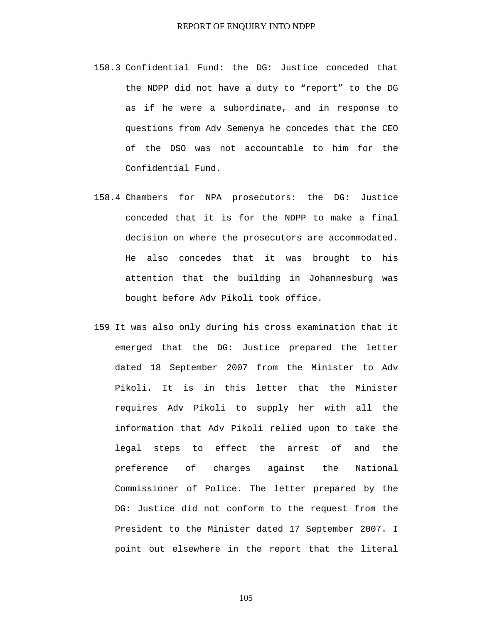- 158.3 Confidential Fund: the DG: Justice conceded that the NDPP did not have a duty to "report" to the DG as if he were a subordinate, and in response to questions from Adv Semenya he concedes that the CEO of the DSO was not accountable to him for the Confidential Fund.
- 158.4 Chambers for NPA prosecutors: the DG: Justice conceded that it is for the NDPP to make a final decision on where the prosecutors are accommodated. He also concedes that it was brought to his attention that the building in Johannesburg was bought before Adv Pikoli took office.
- 159 It was also only during his cross examination that it emerged that the DG: Justice prepared the letter dated 18 September 2007 from the Minister to Adv Pikoli. It is in this letter that the Minister requires Adv Pikoli to supply her with all the information that Adv Pikoli relied upon to take the legal steps to effect the arrest of and the preference of charges against the National Commissioner of Police. The letter prepared by the DG: Justice did not conform to the request from the President to the Minister dated 17 September 2007. I point out elsewhere in the report that the literal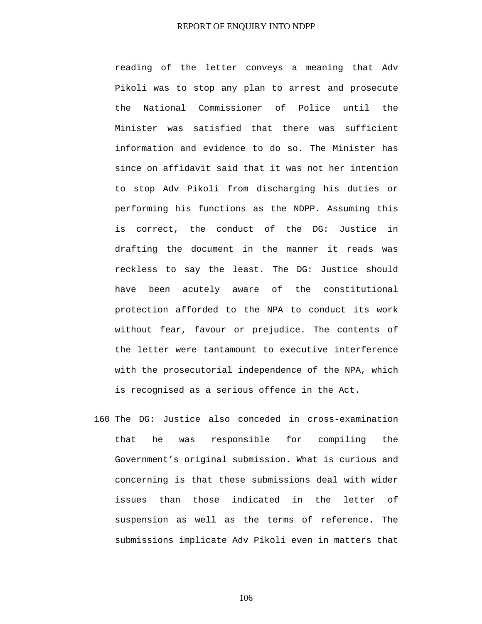reading of the letter conveys a meaning that Adv Pikoli was to stop any plan to arrest and prosecute the National Commissioner of Police until the Minister was satisfied that there was sufficient information and evidence to do so. The Minister has since on affidavit said that it was not her intention to stop Adv Pikoli from discharging his duties or performing his functions as the NDPP. Assuming this is correct, the conduct of the DG: Justice in drafting the document in the manner it reads was reckless to say the least. The DG: Justice should have been acutely aware of the constitutional protection afforded to the NPA to conduct its work without fear, favour or prejudice. The contents of the letter were tantamount to executive interference with the prosecutorial independence of the NPA, which is recognised as a serious offence in the Act.

160 The DG: Justice also conceded in cross-examination that he was responsible for compiling the Government's original submission. What is curious and concerning is that these submissions deal with wider issues than those indicated in the letter of suspension as well as the terms of reference. The submissions implicate Adv Pikoli even in matters that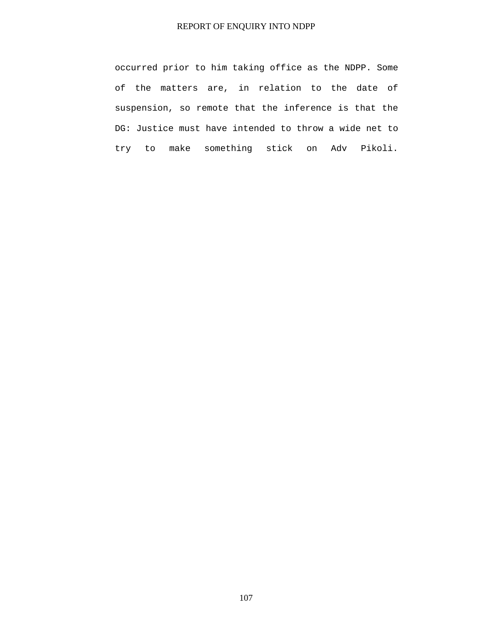occurred prior to him taking office as the NDPP. Some of the matters are, in relation to the date of suspension, so remote that the inference is that the DG: Justice must have intended to throw a wide net to try to make something stick on Adv Pikoli.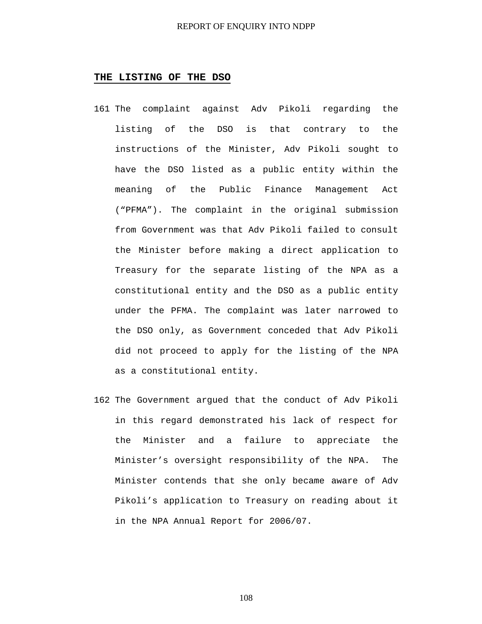### **THE LISTING OF THE DSO**

- 161 The complaint against Adv Pikoli regarding the listing of the DSO is that contrary to the instructions of the Minister, Adv Pikoli sought to have the DSO listed as a public entity within the meaning of the Public Finance Management Act ("PFMA"). The complaint in the original submission from Government was that Adv Pikoli failed to consult the Minister before making a direct application to Treasury for the separate listing of the NPA as a constitutional entity and the DSO as a public entity under the PFMA. The complaint was later narrowed to the DSO only, as Government conceded that Adv Pikoli did not proceed to apply for the listing of the NPA as a constitutional entity.
- 162 The Government argued that the conduct of Adv Pikoli in this regard demonstrated his lack of respect for the Minister and a failure to appreciate the Minister's oversight responsibility of the NPA. The Minister contends that she only became aware of Adv Pikoli's application to Treasury on reading about it in the NPA Annual Report for 2006/07.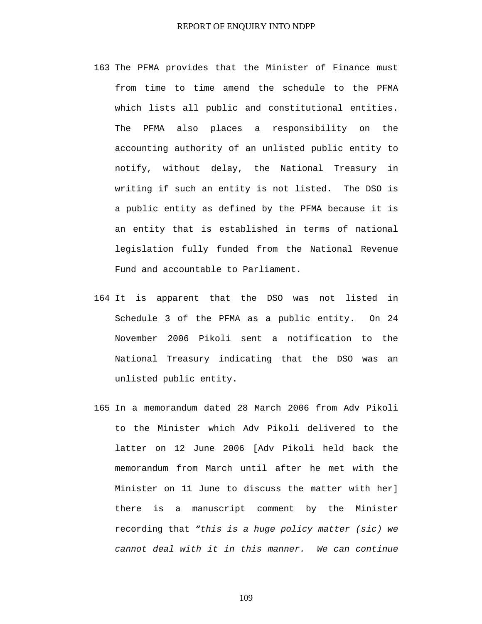- 163 The PFMA provides that the Minister of Finance must from time to time amend the schedule to the PFMA which lists all public and constitutional entities. The PFMA also places a responsibility on the accounting authority of an unlisted public entity to notify, without delay, the National Treasury in writing if such an entity is not listed. The DSO is a public entity as defined by the PFMA because it is an entity that is established in terms of national legislation fully funded from the National Revenue Fund and accountable to Parliament.
- 164 It is apparent that the DSO was not listed in Schedule 3 of the PFMA as a public entity. On 24 November 2006 Pikoli sent a notification to the National Treasury indicating that the DSO was an unlisted public entity.
- 165 In a memorandum dated 28 March 2006 from Adv Pikoli to the Minister which Adv Pikoli delivered to the latter on 12 June 2006 [Adv Pikoli held back the memorandum from March until after he met with the Minister on 11 June to discuss the matter with her] there is a manuscript comment by the Minister recording that *"this is a huge policy matter (sic) we cannot deal with it in this manner. We can continue*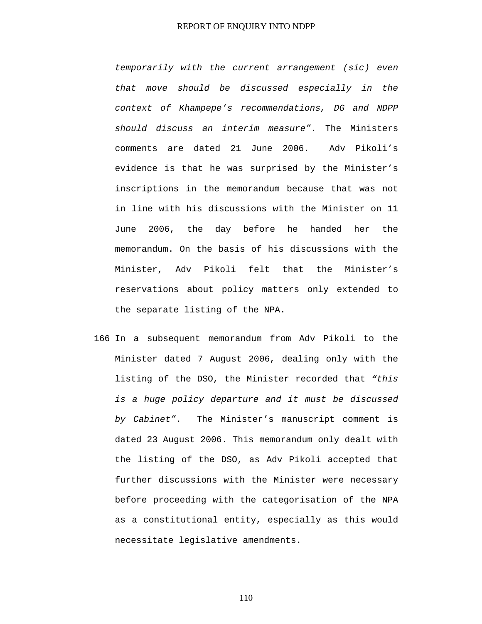*temporarily with the current arrangement (sic) even that move should be discussed especially in the context of Khampepe's recommendations, DG and NDPP should discuss an interim measure"*. The Ministers comments are dated 21 June 2006. Adv Pikoli's evidence is that he was surprised by the Minister's inscriptions in the memorandum because that was not in line with his discussions with the Minister on 11 June 2006, the day before he handed her the memorandum. On the basis of his discussions with the Minister, Adv Pikoli felt that the Minister's reservations about policy matters only extended to the separate listing of the NPA.

166 In a subsequent memorandum from Adv Pikoli to the Minister dated 7 August 2006, dealing only with the listing of the DSO, the Minister recorded that *"this is a huge policy departure and it must be discussed by Cabinet"*. The Minister's manuscript comment is dated 23 August 2006. This memorandum only dealt with the listing of the DSO, as Adv Pikoli accepted that further discussions with the Minister were necessary before proceeding with the categorisation of the NPA as a constitutional entity, especially as this would necessitate legislative amendments.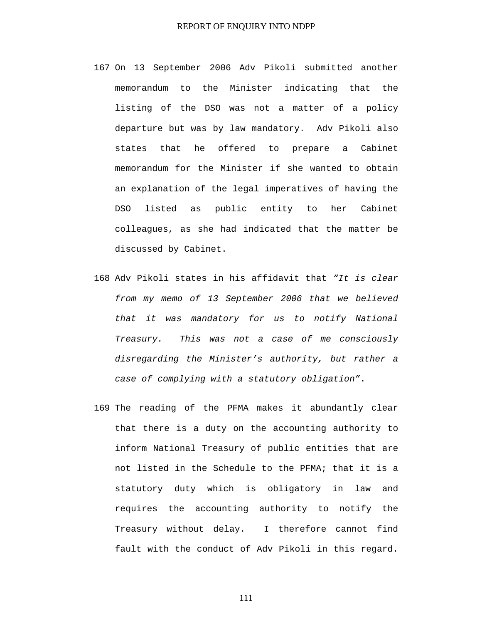- 167 On 13 September 2006 Adv Pikoli submitted another memorandum to the Minister indicating that the listing of the DSO was not a matter of a policy departure but was by law mandatory. Adv Pikoli also states that he offered to prepare a Cabinet memorandum for the Minister if she wanted to obtain an explanation of the legal imperatives of having the DSO listed as public entity to her Cabinet colleagues, as she had indicated that the matter be discussed by Cabinet.
- 168 Adv Pikoli states in his affidavit that *"It is clear from my memo of 13 September 2006 that we believed that it was mandatory for us to notify National Treasury. This was not a case of me consciously disregarding the Minister's authority, but rather a case of complying with a statutory obligation"*.
- 169 The reading of the PFMA makes it abundantly clear that there is a duty on the accounting authority to inform National Treasury of public entities that are not listed in the Schedule to the PFMA; that it is a statutory duty which is obligatory in law and requires the accounting authority to notify the Treasury without delay. I therefore cannot find fault with the conduct of Adv Pikoli in this regard.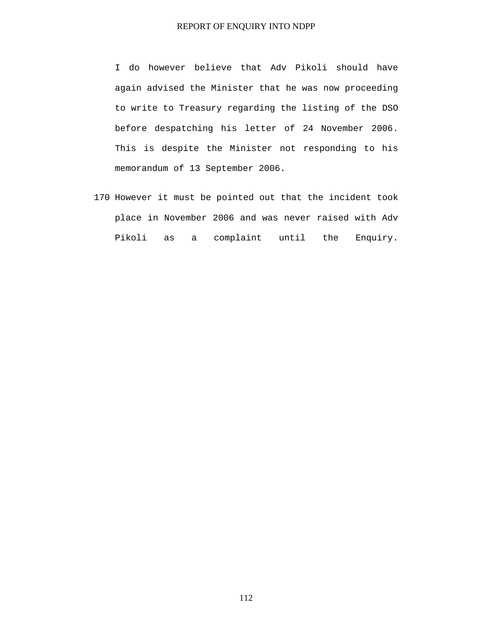I do however believe that Adv Pikoli should have again advised the Minister that he was now proceeding to write to Treasury regarding the listing of the DSO before despatching his letter of 24 November 2006. This is despite the Minister not responding to his memorandum of 13 September 2006.

170 However it must be pointed out that the incident took place in November 2006 and was never raised with Adv Pikoli as a complaint until the Enquiry.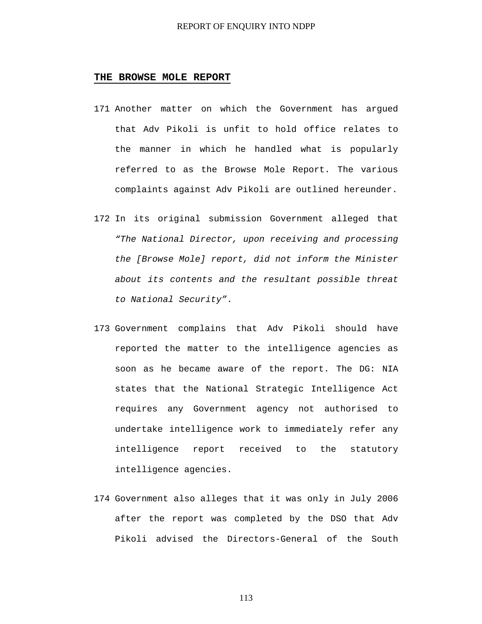### **THE BROWSE MOLE REPORT**

- 171 Another matter on which the Government has argued that Adv Pikoli is unfit to hold office relates to the manner in which he handled what is popularly referred to as the Browse Mole Report. The various complaints against Adv Pikoli are outlined hereunder.
- 172 In its original submission Government alleged that *"The National Director, upon receiving and processing the [Browse Mole] report, did not inform the Minister about its contents and the resultant possible threat to National Security"*.
- 173 Government complains that Adv Pikoli should have reported the matter to the intelligence agencies as soon as he became aware of the report. The DG: NIA states that the National Strategic Intelligence Act requires any Government agency not authorised to undertake intelligence work to immediately refer any intelligence report received to the statutory intelligence agencies.
- 174 Government also alleges that it was only in July 2006 after the report was completed by the DSO that Adv Pikoli advised the Directors-General of the South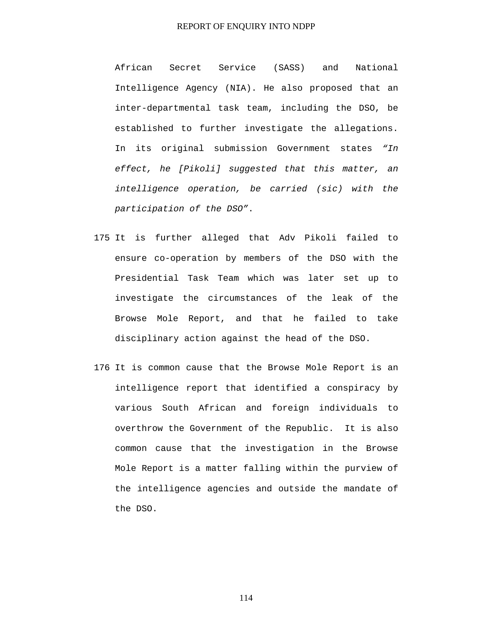African Secret Service (SASS) and National Intelligence Agency (NIA). He also proposed that an inter-departmental task team, including the DSO, be established to further investigate the allegations. In its original submission Government states *"In effect, he [Pikoli] suggested that this matter, an intelligence operation, be carried (sic) with the participation of the DSO"*.

- 175 It is further alleged that Adv Pikoli failed to ensure co-operation by members of the DSO with the Presidential Task Team which was later set up to investigate the circumstances of the leak of the Browse Mole Report, and that he failed to take disciplinary action against the head of the DSO.
- 176 It is common cause that the Browse Mole Report is an intelligence report that identified a conspiracy by various South African and foreign individuals to overthrow the Government of the Republic. It is also common cause that the investigation in the Browse Mole Report is a matter falling within the purview of the intelligence agencies and outside the mandate of the DSO.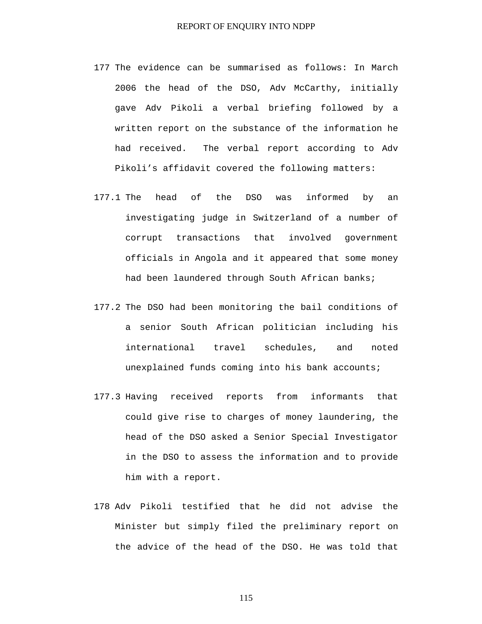- 177 The evidence can be summarised as follows: In March 2006 the head of the DSO, Adv McCarthy, initially gave Adv Pikoli a verbal briefing followed by a written report on the substance of the information he had received. The verbal report according to Adv Pikoli's affidavit covered the following matters:
- 177.1 The head of the DSO was informed by an investigating judge in Switzerland of a number of corrupt transactions that involved government officials in Angola and it appeared that some money had been laundered through South African banks;
- 177.2 The DSO had been monitoring the bail conditions of a senior South African politician including his international travel schedules, and noted unexplained funds coming into his bank accounts;
- 177.3 Having received reports from informants that could give rise to charges of money laundering, the head of the DSO asked a Senior Special Investigator in the DSO to assess the information and to provide him with a report.
- 178 Adv Pikoli testified that he did not advise the Minister but simply filed the preliminary report on the advice of the head of the DSO. He was told that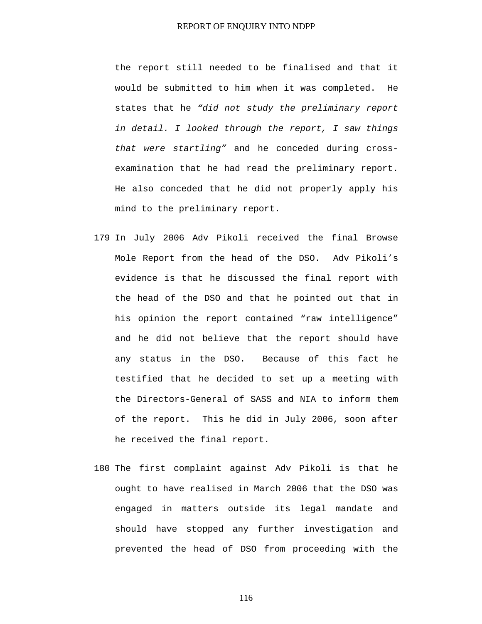the report still needed to be finalised and that it would be submitted to him when it was completed. He states that he *"did not study the preliminary report in detail. I looked through the report, I saw things that were startling"* and he conceded during crossexamination that he had read the preliminary report. He also conceded that he did not properly apply his mind to the preliminary report.

- 179 In July 2006 Adv Pikoli received the final Browse Mole Report from the head of the DSO. Adv Pikoli's evidence is that he discussed the final report with the head of the DSO and that he pointed out that in his opinion the report contained "raw intelligence" and he did not believe that the report should have any status in the DSO. Because of this fact he testified that he decided to set up a meeting with the Directors-General of SASS and NIA to inform them of the report. This he did in July 2006, soon after he received the final report.
- 180 The first complaint against Adv Pikoli is that he ought to have realised in March 2006 that the DSO was engaged in matters outside its legal mandate and should have stopped any further investigation and prevented the head of DSO from proceeding with the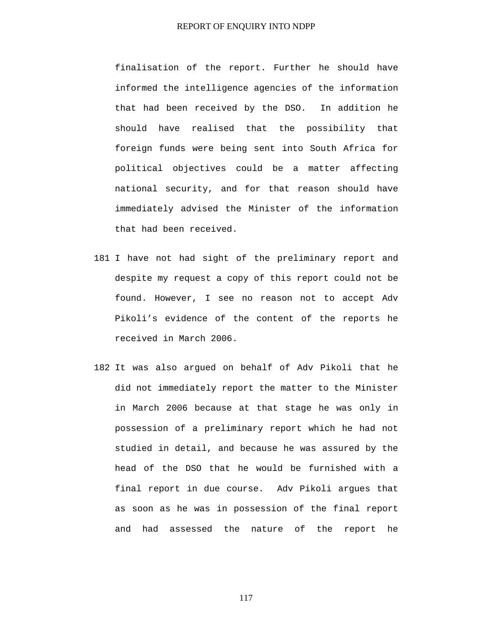finalisation of the report. Further he should have informed the intelligence agencies of the information that had been received by the DSO. In addition he should have realised that the possibility that foreign funds were being sent into South Africa for political objectives could be a matter affecting national security, and for that reason should have immediately advised the Minister of the information that had been received.

- 181 I have not had sight of the preliminary report and despite my request a copy of this report could not be found. However, I see no reason not to accept Adv Pikoli's evidence of the content of the reports he received in March 2006.
- 182 It was also argued on behalf of Adv Pikoli that he did not immediately report the matter to the Minister in March 2006 because at that stage he was only in possession of a preliminary report which he had not studied in detail, and because he was assured by the head of the DSO that he would be furnished with a final report in due course. Adv Pikoli argues that as soon as he was in possession of the final report and had assessed the nature of the report he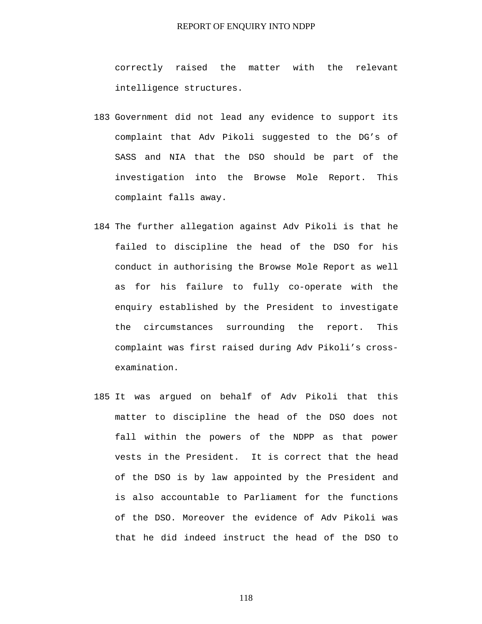correctly raised the matter with the relevant intelligence structures.

- 183 Government did not lead any evidence to support its complaint that Adv Pikoli suggested to the DG's of SASS and NIA that the DSO should be part of the investigation into the Browse Mole Report. This complaint falls away.
- 184 The further allegation against Adv Pikoli is that he failed to discipline the head of the DSO for his conduct in authorising the Browse Mole Report as well as for his failure to fully co-operate with the enquiry established by the President to investigate the circumstances surrounding the report. This complaint was first raised during Adv Pikoli's crossexamination.
- 185 It was argued on behalf of Adv Pikoli that this matter to discipline the head of the DSO does not fall within the powers of the NDPP as that power vests in the President. It is correct that the head of the DSO is by law appointed by the President and is also accountable to Parliament for the functions of the DSO. Moreover the evidence of Adv Pikoli was that he did indeed instruct the head of the DSO to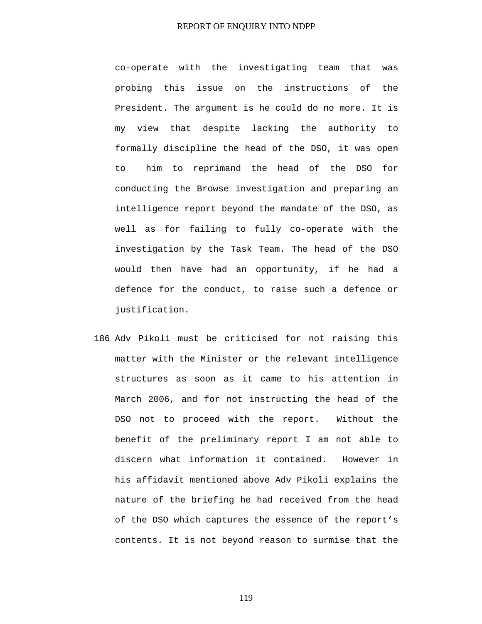co-operate with the investigating team that was probing this issue on the instructions of the President. The argument is he could do no more. It is my view that despite lacking the authority to formally discipline the head of the DSO, it was open to him to reprimand the head of the DSO for conducting the Browse investigation and preparing an intelligence report beyond the mandate of the DSO, as well as for failing to fully co-operate with the investigation by the Task Team. The head of the DSO would then have had an opportunity, if he had a defence for the conduct, to raise such a defence or justification.

186 Adv Pikoli must be criticised for not raising this matter with the Minister or the relevant intelligence structures as soon as it came to his attention in March 2006, and for not instructing the head of the DSO not to proceed with the report. Without the benefit of the preliminary report I am not able to discern what information it contained. However in his affidavit mentioned above Adv Pikoli explains the nature of the briefing he had received from the head of the DSO which captures the essence of the report's contents. It is not beyond reason to surmise that the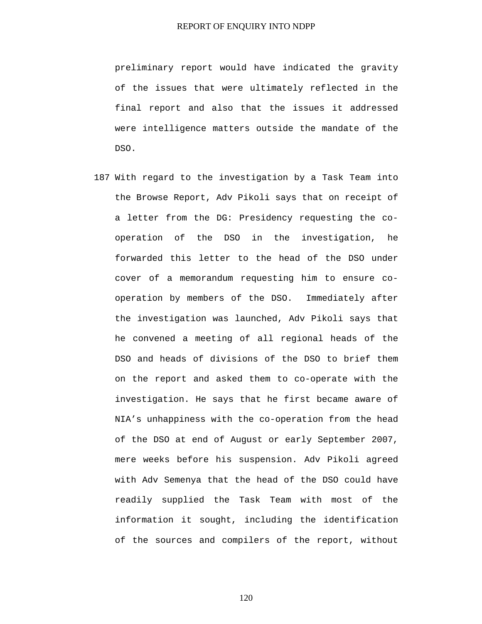preliminary report would have indicated the gravity of the issues that were ultimately reflected in the final report and also that the issues it addressed were intelligence matters outside the mandate of the DSO.

187 With regard to the investigation by a Task Team into the Browse Report, Adv Pikoli says that on receipt of a letter from the DG: Presidency requesting the cooperation of the DSO in the investigation, he forwarded this letter to the head of the DSO under cover of a memorandum requesting him to ensure cooperation by members of the DSO. Immediately after the investigation was launched, Adv Pikoli says that he convened a meeting of all regional heads of the DSO and heads of divisions of the DSO to brief them on the report and asked them to co-operate with the investigation. He says that he first became aware of NIA's unhappiness with the co-operation from the head of the DSO at end of August or early September 2007, mere weeks before his suspension. Adv Pikoli agreed with Adv Semenya that the head of the DSO could have readily supplied the Task Team with most of the information it sought, including the identification of the sources and compilers of the report, without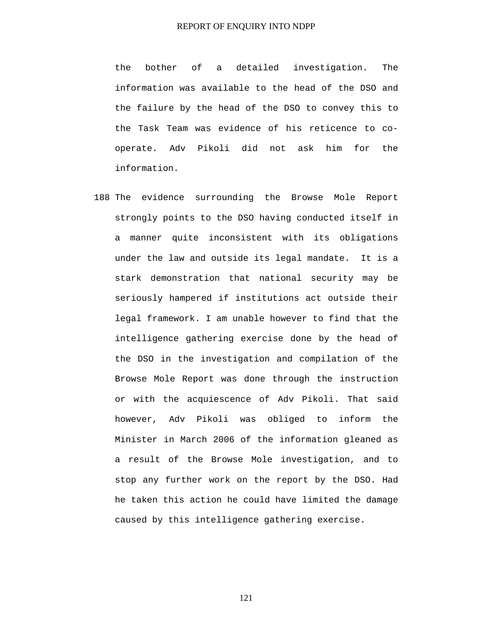the bother of a detailed investigation. The information was available to the head of the DSO and the failure by the head of the DSO to convey this to the Task Team was evidence of his reticence to cooperate. Adv Pikoli did not ask him for the information.

188 The evidence surrounding the Browse Mole Report strongly points to the DSO having conducted itself in a manner quite inconsistent with its obligations under the law and outside its legal mandate. It is a stark demonstration that national security may be seriously hampered if institutions act outside their legal framework. I am unable however to find that the intelligence gathering exercise done by the head of the DSO in the investigation and compilation of the Browse Mole Report was done through the instruction or with the acquiescence of Adv Pikoli. That said however, Adv Pikoli was obliged to inform the Minister in March 2006 of the information gleaned as a result of the Browse Mole investigation, and to stop any further work on the report by the DSO. Had he taken this action he could have limited the damage caused by this intelligence gathering exercise.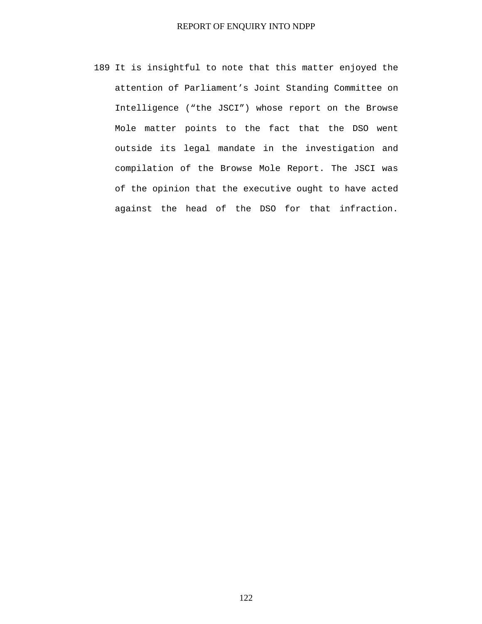189 It is insightful to note that this matter enjoyed the attention of Parliament's Joint Standing Committee on Intelligence ("the JSCI") whose report on the Browse Mole matter points to the fact that the DSO went outside its legal mandate in the investigation and compilation of the Browse Mole Report. The JSCI was of the opinion that the executive ought to have acted against the head of the DSO for that infraction.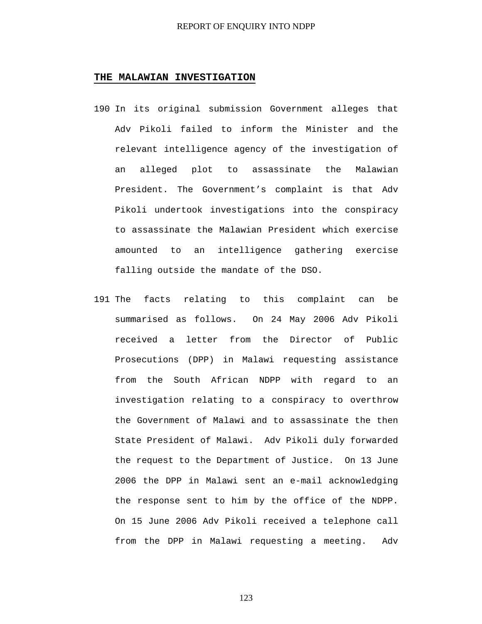#### **THE MALAWIAN INVESTIGATION**

- 190 In its original submission Government alleges that Adv Pikoli failed to inform the Minister and the relevant intelligence agency of the investigation of an alleged plot to assassinate the Malawian President. The Government's complaint is that Adv Pikoli undertook investigations into the conspiracy to assassinate the Malawian President which exercise amounted to an intelligence gathering exercise falling outside the mandate of the DSO.
- 191 The facts relating to this complaint can be summarised as follows. On 24 May 2006 Adv Pikoli received a letter from the Director of Public Prosecutions (DPP) in Malawi requesting assistance from the South African NDPP with regard to an investigation relating to a conspiracy to overthrow the Government of Malawi and to assassinate the then State President of Malawi. Adv Pikoli duly forwarded the request to the Department of Justice. On 13 June 2006 the DPP in Malawi sent an e-mail acknowledging the response sent to him by the office of the NDPP. On 15 June 2006 Adv Pikoli received a telephone call from the DPP in Malawi requesting a meeting. Adv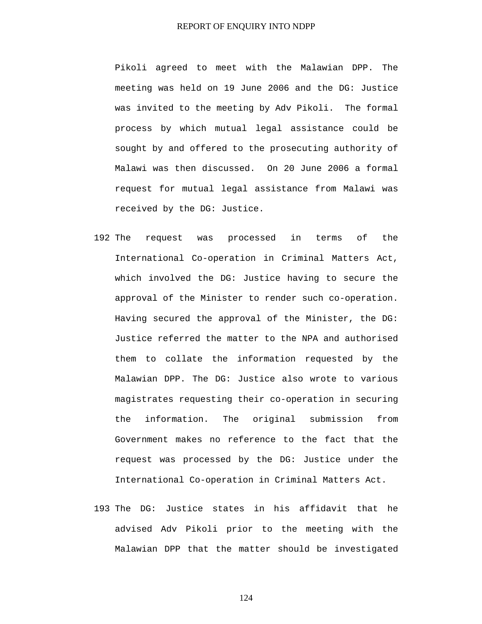Pikoli agreed to meet with the Malawian DPP. The meeting was held on 19 June 2006 and the DG: Justice was invited to the meeting by Adv Pikoli. The formal process by which mutual legal assistance could be sought by and offered to the prosecuting authority of Malawi was then discussed. On 20 June 2006 a formal request for mutual legal assistance from Malawi was received by the DG: Justice.

- 192 The request was processed in terms of the International Co-operation in Criminal Matters Act, which involved the DG: Justice having to secure the approval of the Minister to render such co-operation. Having secured the approval of the Minister, the DG: Justice referred the matter to the NPA and authorised them to collate the information requested by the Malawian DPP. The DG: Justice also wrote to various magistrates requesting their co-operation in securing the information. The original submission from Government makes no reference to the fact that the request was processed by the DG: Justice under the International Co-operation in Criminal Matters Act.
- 193 The DG: Justice states in his affidavit that he advised Adv Pikoli prior to the meeting with the Malawian DPP that the matter should be investigated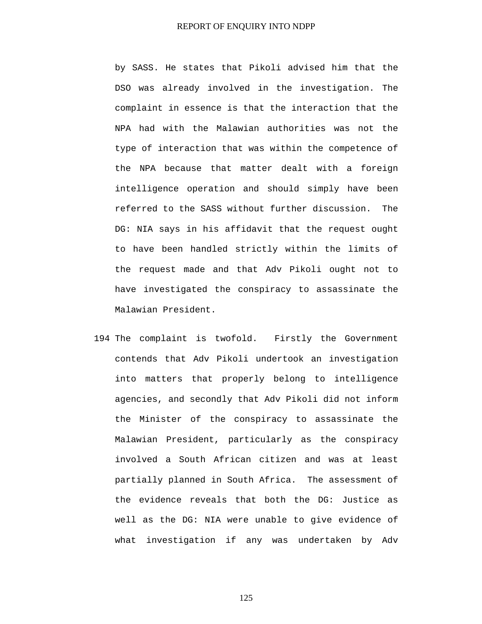by SASS. He states that Pikoli advised him that the DSO was already involved in the investigation. The complaint in essence is that the interaction that the NPA had with the Malawian authorities was not the type of interaction that was within the competence of the NPA because that matter dealt with a foreign intelligence operation and should simply have been referred to the SASS without further discussion. The DG: NIA says in his affidavit that the request ought to have been handled strictly within the limits of the request made and that Adv Pikoli ought not to have investigated the conspiracy to assassinate the Malawian President.

194 The complaint is twofold. Firstly the Government contends that Adv Pikoli undertook an investigation into matters that properly belong to intelligence agencies, and secondly that Adv Pikoli did not inform the Minister of the conspiracy to assassinate the Malawian President, particularly as the conspiracy involved a South African citizen and was at least partially planned in South Africa. The assessment of the evidence reveals that both the DG: Justice as well as the DG: NIA were unable to give evidence of what investigation if any was undertaken by Adv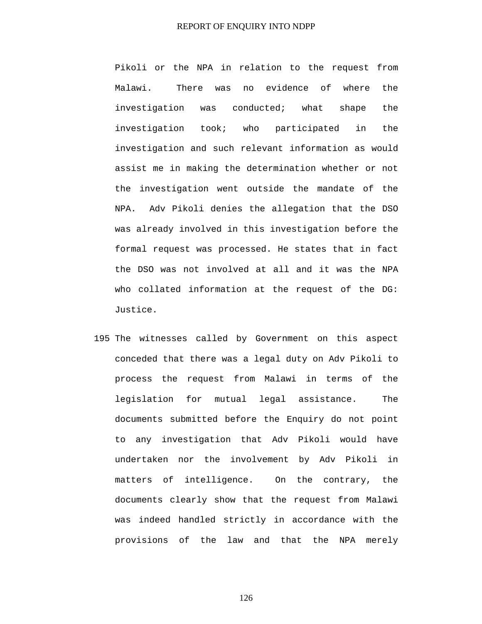Pikoli or the NPA in relation to the request from Malawi. There was no evidence of where the investigation was conducted; what shape the investigation took; who participated in the investigation and such relevant information as would assist me in making the determination whether or not the investigation went outside the mandate of the NPA. Adv Pikoli denies the allegation that the DSO was already involved in this investigation before the formal request was processed. He states that in fact the DSO was not involved at all and it was the NPA who collated information at the request of the DG: Justice.

195 The witnesses called by Government on this aspect conceded that there was a legal duty on Adv Pikoli to process the request from Malawi in terms of the legislation for mutual legal assistance. The documents submitted before the Enquiry do not point to any investigation that Adv Pikoli would have undertaken nor the involvement by Adv Pikoli in matters of intelligence. On the contrary, the documents clearly show that the request from Malawi was indeed handled strictly in accordance with the provisions of the law and that the NPA merely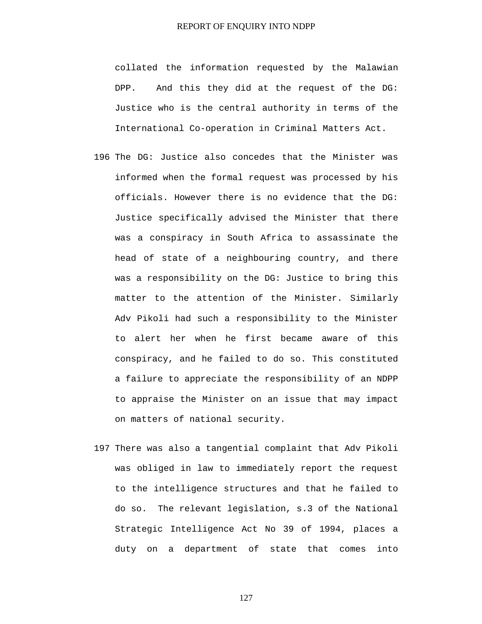collated the information requested by the Malawian DPP. And this they did at the request of the DG: Justice who is the central authority in terms of the International Co-operation in Criminal Matters Act.

- 196 The DG: Justice also concedes that the Minister was informed when the formal request was processed by his officials. However there is no evidence that the DG: Justice specifically advised the Minister that there was a conspiracy in South Africa to assassinate the head of state of a neighbouring country, and there was a responsibility on the DG: Justice to bring this matter to the attention of the Minister. Similarly Adv Pikoli had such a responsibility to the Minister to alert her when he first became aware of this conspiracy, and he failed to do so. This constituted a failure to appreciate the responsibility of an NDPP to appraise the Minister on an issue that may impact on matters of national security.
- 197 There was also a tangential complaint that Adv Pikoli was obliged in law to immediately report the request to the intelligence structures and that he failed to do so. The relevant legislation, s.3 of the National Strategic Intelligence Act No 39 of 1994, places a duty on a department of state that comes into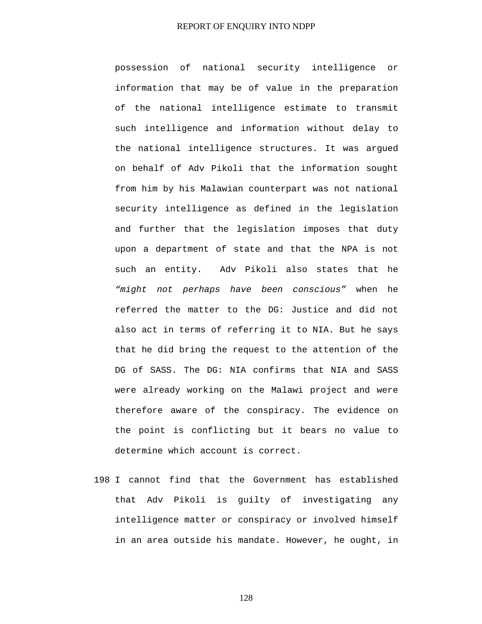possession of national security intelligence or information that may be of value in the preparation of the national intelligence estimate to transmit such intelligence and information without delay to the national intelligence structures. It was argued on behalf of Adv Pikoli that the information sought from him by his Malawian counterpart was not national security intelligence as defined in the legislation and further that the legislation imposes that duty upon a department of state and that the NPA is not such an entity. Adv Pikoli also states that he *"might not perhaps have been conscious"* when he referred the matter to the DG: Justice and did not also act in terms of referring it to NIA. But he says that he did bring the request to the attention of the DG of SASS. The DG: NIA confirms that NIA and SASS were already working on the Malawi project and were therefore aware of the conspiracy. The evidence on the point is conflicting but it bears no value to determine which account is correct.

198 I cannot find that the Government has established that Adv Pikoli is guilty of investigating any intelligence matter or conspiracy or involved himself in an area outside his mandate. However, he ought, in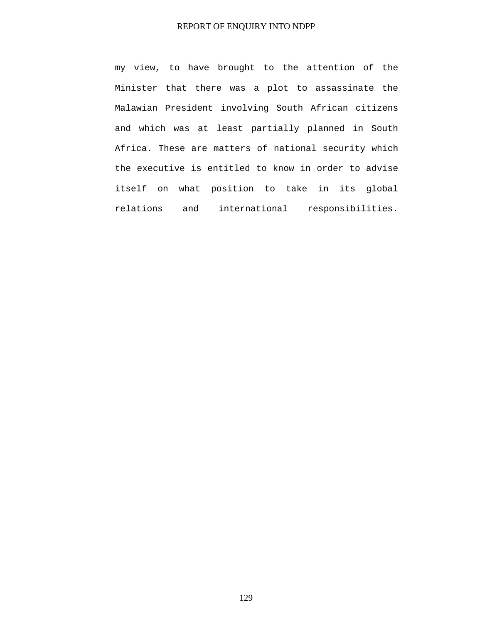my view, to have brought to the attention of the Minister that there was a plot to assassinate the Malawian President involving South African citizens and which was at least partially planned in South Africa. These are matters of national security which the executive is entitled to know in order to advise itself on what position to take in its global relations and international responsibilities.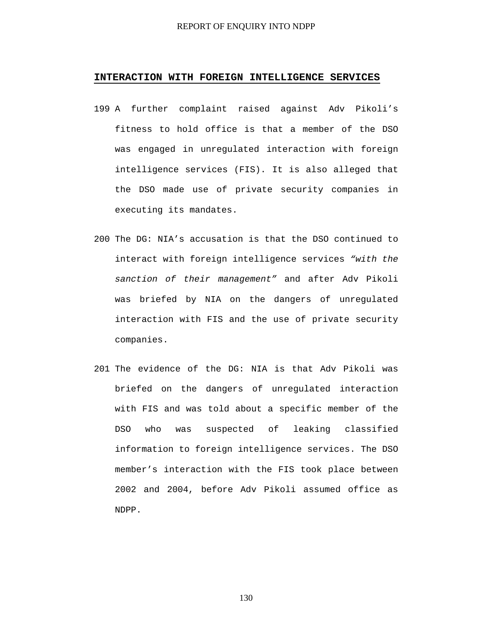### **INTERACTION WITH FOREIGN INTELLIGENCE SERVICES**

- 199 A further complaint raised against Adv Pikoli's fitness to hold office is that a member of the DSO was engaged in unregulated interaction with foreign intelligence services (FIS). It is also alleged that the DSO made use of private security companies in executing its mandates.
- 200 The DG: NIA's accusation is that the DSO continued to interact with foreign intelligence services *"with the sanction of their management"* and after Adv Pikoli was briefed by NIA on the dangers of unregulated interaction with FIS and the use of private security companies.
- 201 The evidence of the DG: NIA is that Adv Pikoli was briefed on the dangers of unregulated interaction with FIS and was told about a specific member of the DSO who was suspected of leaking classified information to foreign intelligence services. The DSO member's interaction with the FIS took place between 2002 and 2004, before Adv Pikoli assumed office as NDPP.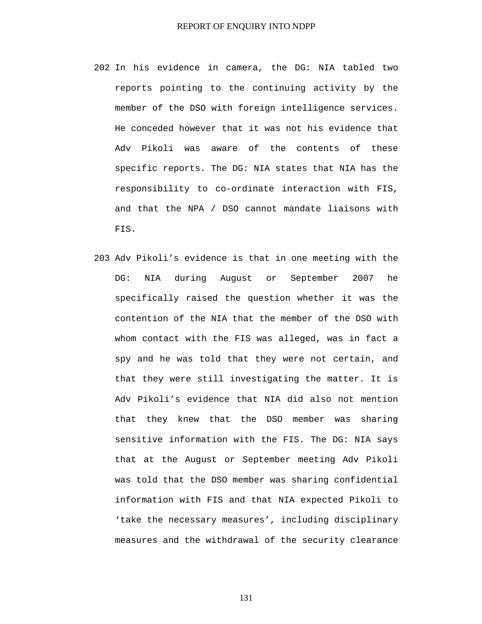- 202 In his evidence in camera, the DG: NIA tabled two reports pointing to the continuing activity by the member of the DSO with foreign intelligence services. He conceded however that it was not his evidence that Adv Pikoli was aware of the contents of these specific reports. The DG: NIA states that NIA has the responsibility to co-ordinate interaction with FIS, and that the NPA / DSO cannot mandate liaisons with FIS.
- 203 Adv Pikoli's evidence is that in one meeting with the DG: NIA during August or September 2007 he specifically raised the question whether it was the contention of the NIA that the member of the DSO with whom contact with the FIS was alleged, was in fact a spy and he was told that they were not certain, and that they were still investigating the matter. It is Adv Pikoli's evidence that NIA did also not mention that they knew that the DSO member was sharing sensitive information with the FIS. The DG: NIA says that at the August or September meeting Adv Pikoli was told that the DSO member was sharing confidential information with FIS and that NIA expected Pikoli to 'take the necessary measures', including disciplinary measures and the withdrawal of the security clearance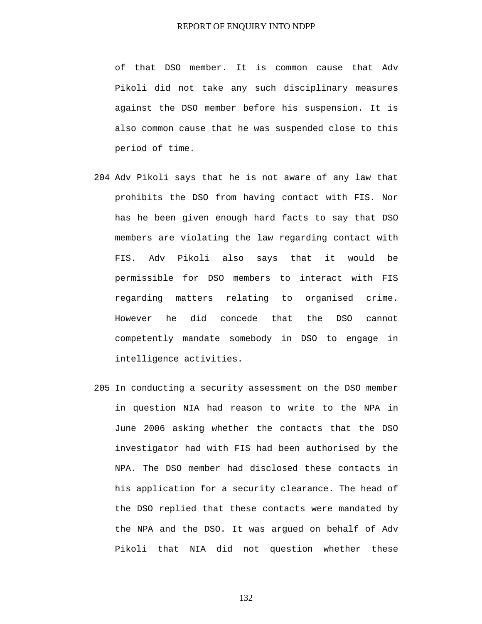of that DSO member. It is common cause that Adv Pikoli did not take any such disciplinary measures against the DSO member before his suspension. It is also common cause that he was suspended close to this period of time.

- 204 Adv Pikoli says that he is not aware of any law that prohibits the DSO from having contact with FIS. Nor has he been given enough hard facts to say that DSO members are violating the law regarding contact with FIS. Adv Pikoli also says that it would be permissible for DSO members to interact with FIS regarding matters relating to organised crime. However he did concede that the DSO cannot competently mandate somebody in DSO to engage in intelligence activities.
- 205 In conducting a security assessment on the DSO member in question NIA had reason to write to the NPA in June 2006 asking whether the contacts that the DSO investigator had with FIS had been authorised by the NPA. The DSO member had disclosed these contacts in his application for a security clearance. The head of the DSO replied that these contacts were mandated by the NPA and the DSO. It was argued on behalf of Adv Pikoli that NIA did not question whether these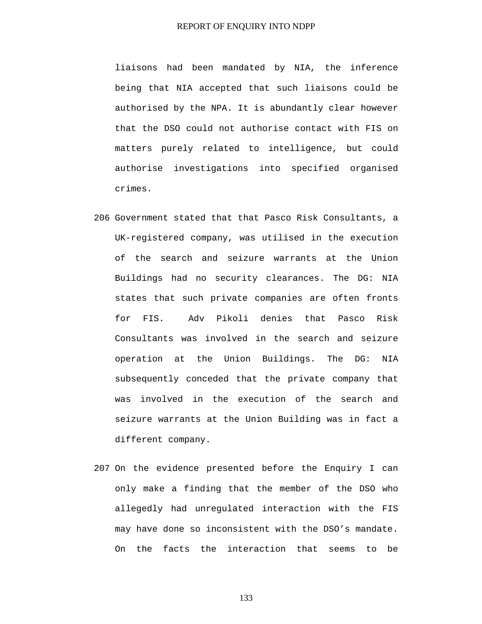liaisons had been mandated by NIA, the inference being that NIA accepted that such liaisons could be authorised by the NPA. It is abundantly clear however that the DSO could not authorise contact with FIS on matters purely related to intelligence, but could authorise investigations into specified organised crimes.

- 206 Government stated that that Pasco Risk Consultants, a UK-registered company, was utilised in the execution of the search and seizure warrants at the Union Buildings had no security clearances. The DG: NIA states that such private companies are often fronts for FIS. Adv Pikoli denies that Pasco Risk Consultants was involved in the search and seizure operation at the Union Buildings. The DG: NIA subsequently conceded that the private company that was involved in the execution of the search and seizure warrants at the Union Building was in fact a different company.
- 207 On the evidence presented before the Enquiry I can only make a finding that the member of the DSO who allegedly had unregulated interaction with the FIS may have done so inconsistent with the DSO's mandate. On the facts the interaction that seems to be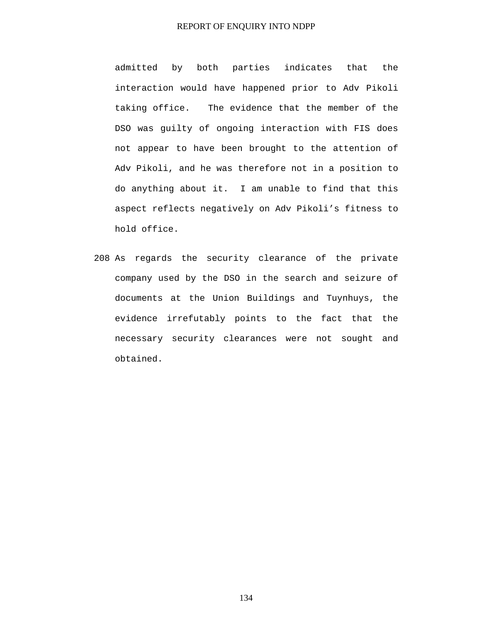admitted by both parties indicates that the interaction would have happened prior to Adv Pikoli taking office. The evidence that the member of the DSO was guilty of ongoing interaction with FIS does not appear to have been brought to the attention of Adv Pikoli, and he was therefore not in a position to do anything about it. I am unable to find that this aspect reflects negatively on Adv Pikoli's fitness to hold office.

208 As regards the security clearance of the private company used by the DSO in the search and seizure of documents at the Union Buildings and Tuynhuys, the evidence irrefutably points to the fact that the necessary security clearances were not sought and obtained.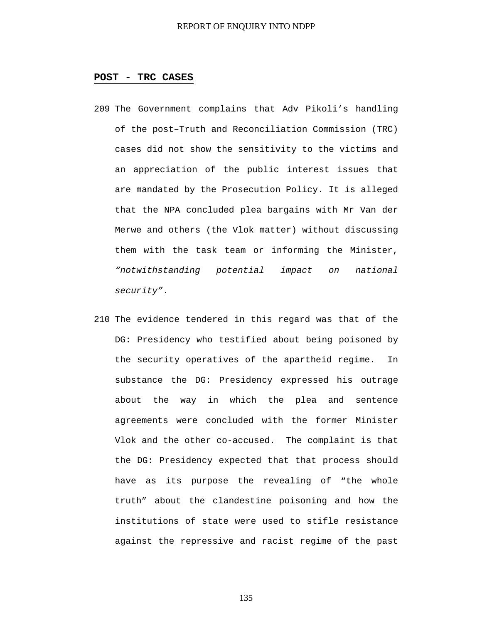### **POST - TRC CASES**

- 209 The Government complains that Adv Pikoli's handling of the post–Truth and Reconciliation Commission (TRC) cases did not show the sensitivity to the victims and an appreciation of the public interest issues that are mandated by the Prosecution Policy. It is alleged that the NPA concluded plea bargains with Mr Van der Merwe and others (the Vlok matter) without discussing them with the task team or informing the Minister, *"notwithstanding potential impact on national security"*.
- 210 The evidence tendered in this regard was that of the DG: Presidency who testified about being poisoned by the security operatives of the apartheid regime. In substance the DG: Presidency expressed his outrage about the way in which the plea and sentence agreements were concluded with the former Minister Vlok and the other co-accused. The complaint is that the DG: Presidency expected that that process should have as its purpose the revealing of "the whole truth" about the clandestine poisoning and how the institutions of state were used to stifle resistance against the repressive and racist regime of the past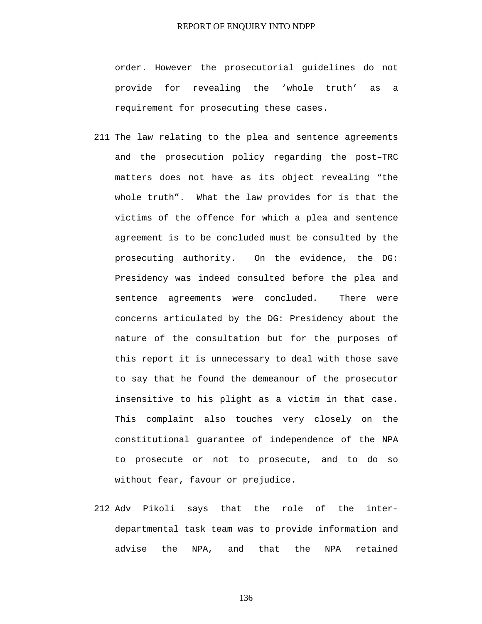order. However the prosecutorial guidelines do not provide for revealing the 'whole truth' as a requirement for prosecuting these cases.

- 211 The law relating to the plea and sentence agreements and the prosecution policy regarding the post–TRC matters does not have as its object revealing "the whole truth". What the law provides for is that the victims of the offence for which a plea and sentence agreement is to be concluded must be consulted by the prosecuting authority. On the evidence, the DG: Presidency was indeed consulted before the plea and sentence agreements were concluded. There were concerns articulated by the DG: Presidency about the nature of the consultation but for the purposes of this report it is unnecessary to deal with those save to say that he found the demeanour of the prosecutor insensitive to his plight as a victim in that case. This complaint also touches very closely on the constitutional guarantee of independence of the NPA to prosecute or not to prosecute, and to do so without fear, favour or prejudice.
- 212 Adv Pikoli says that the role of the interdepartmental task team was to provide information and advise the NPA, and that the NPA retained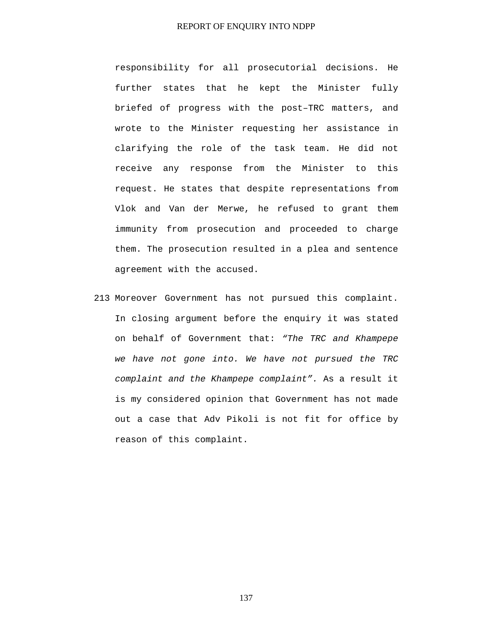responsibility for all prosecutorial decisions. He further states that he kept the Minister fully briefed of progress with the post–TRC matters, and wrote to the Minister requesting her assistance in clarifying the role of the task team. He did not receive any response from the Minister to this request. He states that despite representations from Vlok and Van der Merwe, he refused to grant them immunity from prosecution and proceeded to charge them. The prosecution resulted in a plea and sentence agreement with the accused.

213 Moreover Government has not pursued this complaint. In closing argument before the enquiry it was stated on behalf of Government that: *"The TRC and Khampepe we have not gone into. We have not pursued the TRC complaint and the Khampepe complaint".* As a result it is my considered opinion that Government has not made out a case that Adv Pikoli is not fit for office by reason of this complaint.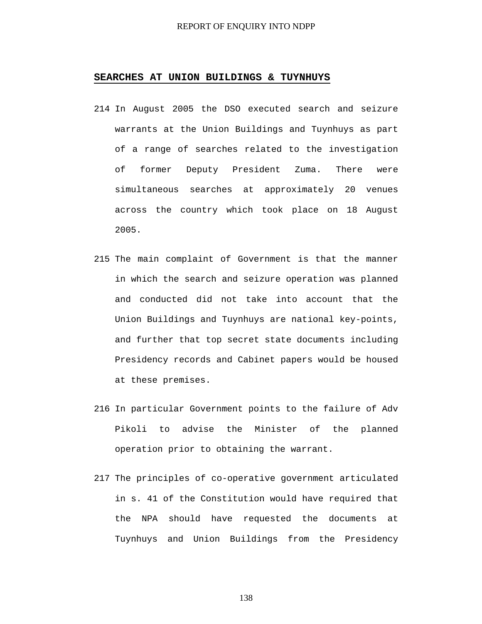#### **SEARCHES AT UNION BUILDINGS & TUYNHUYS**

- 214 In August 2005 the DSO executed search and seizure warrants at the Union Buildings and Tuynhuys as part of a range of searches related to the investigation of former Deputy President Zuma. There were simultaneous searches at approximately 20 venues across the country which took place on 18 August 2005.
- 215 The main complaint of Government is that the manner in which the search and seizure operation was planned and conducted did not take into account that the Union Buildings and Tuynhuys are national key-points, and further that top secret state documents including Presidency records and Cabinet papers would be housed at these premises.
- 216 In particular Government points to the failure of Adv Pikoli to advise the Minister of the planned operation prior to obtaining the warrant.
- 217 The principles of co-operative government articulated in s. 41 of the Constitution would have required that the NPA should have requested the documents at Tuynhuys and Union Buildings from the Presidency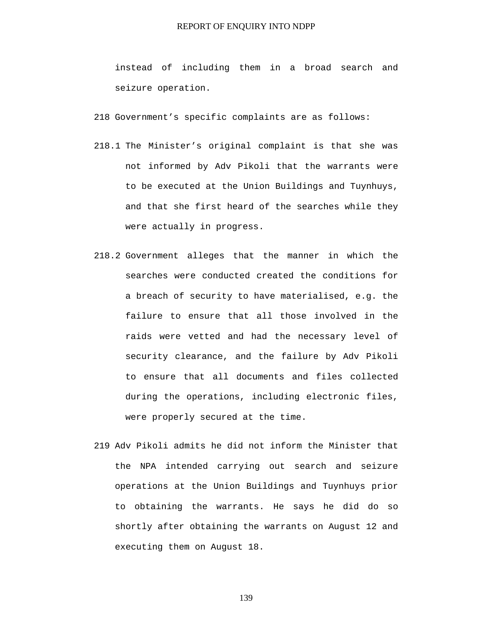instead of including them in a broad search and seizure operation.

218 Government's specific complaints are as follows:

- 218.1 The Minister's original complaint is that she was not informed by Adv Pikoli that the warrants were to be executed at the Union Buildings and Tuynhuys, and that she first heard of the searches while they were actually in progress.
- 218.2 Government alleges that the manner in which the searches were conducted created the conditions for a breach of security to have materialised, e.g. the failure to ensure that all those involved in the raids were vetted and had the necessary level of security clearance, and the failure by Adv Pikoli to ensure that all documents and files collected during the operations, including electronic files, were properly secured at the time.
- 219 Adv Pikoli admits he did not inform the Minister that the NPA intended carrying out search and seizure operations at the Union Buildings and Tuynhuys prior to obtaining the warrants. He says he did do so shortly after obtaining the warrants on August 12 and executing them on August 18.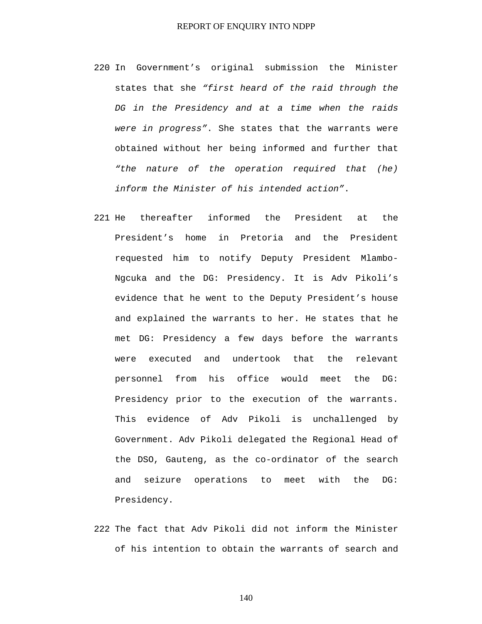- 220 In Government's original submission the Minister states that she *"first heard of the raid through the DG in the Presidency and at a time when the raids were in progress"*. She states that the warrants were obtained without her being informed and further that *"the nature of the operation required that (he) inform the Minister of his intended action"*.
- 221 He thereafter informed the President at the President's home in Pretoria and the President requested him to notify Deputy President Mlambo-Ngcuka and the DG: Presidency. It is Adv Pikoli's evidence that he went to the Deputy President's house and explained the warrants to her. He states that he met DG: Presidency a few days before the warrants were executed and undertook that the relevant personnel from his office would meet the DG: Presidency prior to the execution of the warrants. This evidence of Adv Pikoli is unchallenged by Government. Adv Pikoli delegated the Regional Head of the DSO, Gauteng, as the co-ordinator of the search and seizure operations to meet with the DG: Presidency.
- 222 The fact that Adv Pikoli did not inform the Minister of his intention to obtain the warrants of search and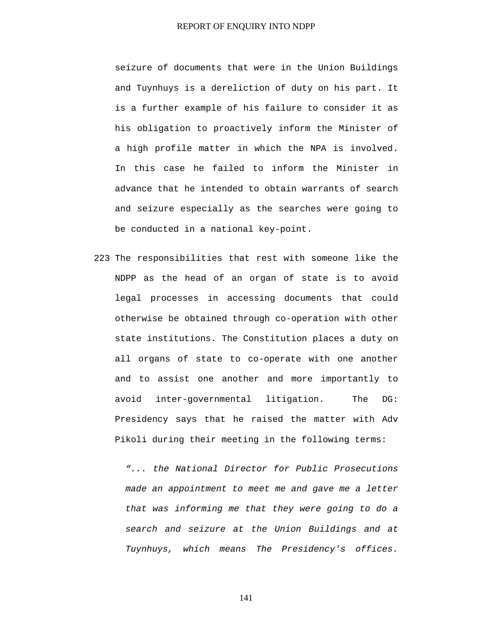seizure of documents that were in the Union Buildings and Tuynhuys is a dereliction of duty on his part. It is a further example of his failure to consider it as his obligation to proactively inform the Minister of a high profile matter in which the NPA is involved. In this case he failed to inform the Minister in advance that he intended to obtain warrants of search and seizure especially as the searches were going to be conducted in a national key-point.

223 The responsibilities that rest with someone like the NDPP as the head of an organ of state is to avoid legal processes in accessing documents that could otherwise be obtained through co-operation with other state institutions. The Constitution places a duty on all organs of state to co-operate with one another and to assist one another and more importantly to avoid inter-governmental litigation. The DG: Presidency says that he raised the matter with Adv Pikoli during their meeting in the following terms:

*"... the National Director for Public Prosecutions made an appointment to meet me and gave me a letter that was informing me that they were going to do a search and seizure at the Union Buildings and at Tuynhuys, which means The Presidency's offices.*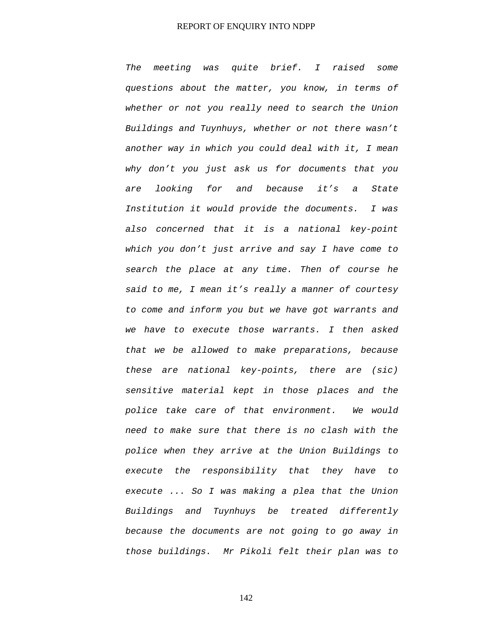*The meeting was quite brief. I raised some questions about the matter, you know, in terms of whether or not you really need to search the Union Buildings and Tuynhuys, whether or not there wasn't another way in which you could deal with it, I mean why don't you just ask us for documents that you are looking for and because it's a State Institution it would provide the documents. I was also concerned that it is a national key-point which you don't just arrive and say I have come to search the place at any time. Then of course he said to me, I mean it's really a manner of courtesy to come and inform you but we have got warrants and we have to execute those warrants. I then asked that we be allowed to make preparations, because these are national key-points, there are (sic) sensitive material kept in those places and the police take care of that environment. We would need to make sure that there is no clash with the police when they arrive at the Union Buildings to execute the responsibility that they have to execute ... So I was making a plea that the Union Buildings and Tuynhuys be treated differently because the documents are not going to go away in those buildings. Mr Pikoli felt their plan was to*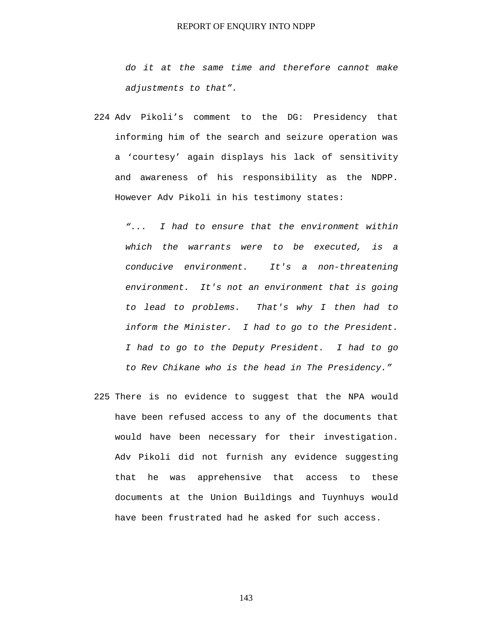*do it at the same time and therefore cannot make adjustments to that".* 

224 Adv Pikoli's comment to the DG: Presidency that informing him of the search and seizure operation was a 'courtesy' again displays his lack of sensitivity and awareness of his responsibility as the NDPP. However Adv Pikoli in his testimony states:

*"... I had to ensure that the environment within which the warrants were to be executed, is a conducive environment. It's a non-threatening environment. It's not an environment that is going to lead to problems. That's why I then had to inform the Minister. I had to go to the President. I had to go to the Deputy President. I had to go to Rev Chikane who is the head in The Presidency."* 

225 There is no evidence to suggest that the NPA would have been refused access to any of the documents that would have been necessary for their investigation. Adv Pikoli did not furnish any evidence suggesting that he was apprehensive that access to these documents at the Union Buildings and Tuynhuys would have been frustrated had he asked for such access.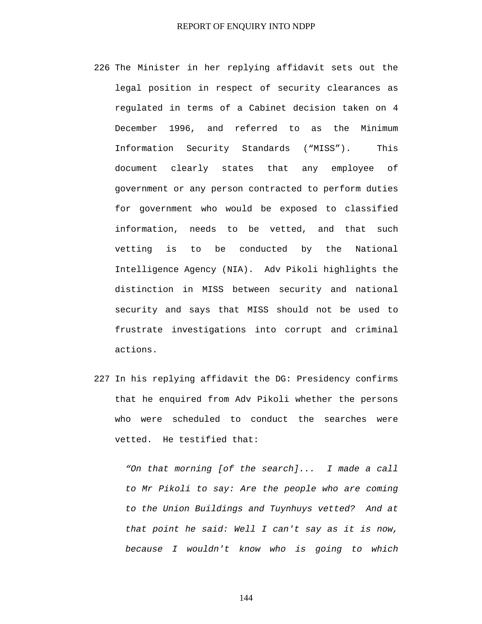- 226 The Minister in her replying affidavit sets out the legal position in respect of security clearances as regulated in terms of a Cabinet decision taken on 4 December 1996, and referred to as the Minimum Information Security Standards ("MISS"). This document clearly states that any employee of government or any person contracted to perform duties for government who would be exposed to classified information, needs to be vetted, and that such vetting is to be conducted by the National Intelligence Agency (NIA). Adv Pikoli highlights the distinction in MISS between security and national security and says that MISS should not be used to frustrate investigations into corrupt and criminal actions.
- 227 In his replying affidavit the DG: Presidency confirms that he enquired from Adv Pikoli whether the persons who were scheduled to conduct the searches were vetted. He testified that:

*"On that morning [of the search]... I made a call to Mr Pikoli to say: Are the people who are coming to the Union Buildings and Tuynhuys vetted? And at that point he said: Well I can't say as it is now, because I wouldn't know who is going to which*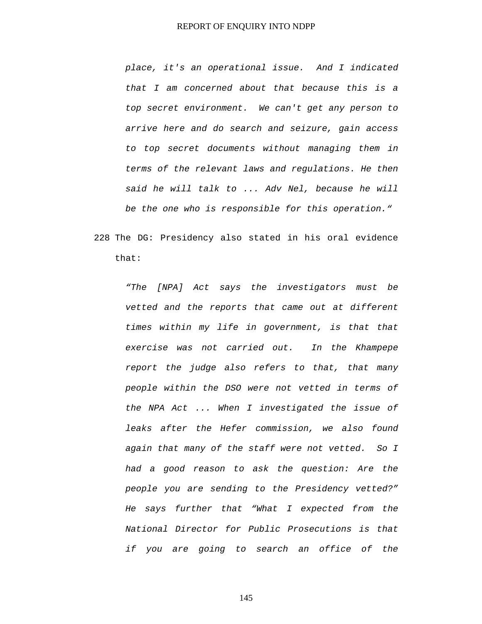*place, it's an operational issue. And I indicated that I am concerned about that because this is a top secret environment. We can't get any person to arrive here and do search and seizure, gain access to top secret documents without managing them in terms of the relevant laws and regulations. He then said he will talk to ... Adv Nel, because he will be the one who is responsible for this operation."* 

228 The DG: Presidency also stated in his oral evidence that:

*"The [NPA] Act says the investigators must be vetted and the reports that came out at different times within my life in government, is that that exercise was not carried out. In the Khampepe report the judge also refers to that, that many people within the DSO were not vetted in terms of the NPA Act ... When I investigated the issue of leaks after the Hefer commission, we also found again that many of the staff were not vetted. So I had a good reason to ask the question: Are the people you are sending to the Presidency vetted?" He says further that "What I expected from the National Director for Public Prosecutions is that if you are going to search an office of the*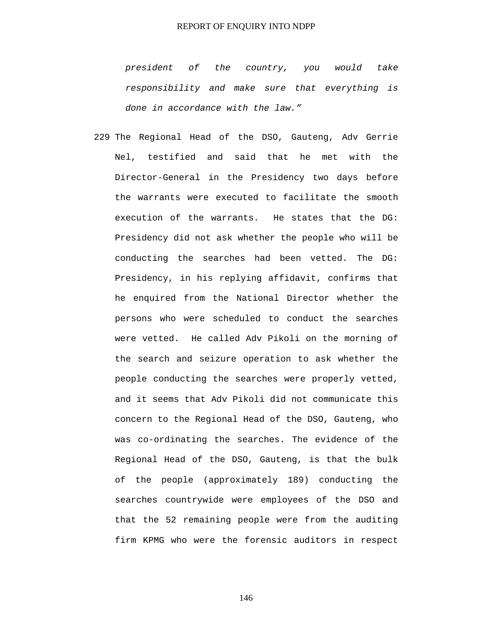*president of the country, you would take responsibility and make sure that everything is done in accordance with the law."* 

229 The Regional Head of the DSO, Gauteng, Adv Gerrie Nel, testified and said that he met with the Director-General in the Presidency two days before the warrants were executed to facilitate the smooth execution of the warrants. He states that the DG: Presidency did not ask whether the people who will be conducting the searches had been vetted. The DG: Presidency, in his replying affidavit, confirms that he enquired from the National Director whether the persons who were scheduled to conduct the searches were vetted. He called Adv Pikoli on the morning of the search and seizure operation to ask whether the people conducting the searches were properly vetted, and it seems that Adv Pikoli did not communicate this concern to the Regional Head of the DSO, Gauteng, who was co-ordinating the searches. The evidence of the Regional Head of the DSO, Gauteng, is that the bulk of the people (approximately 189) conducting the searches countrywide were employees of the DSO and that the 52 remaining people were from the auditing firm KPMG who were the forensic auditors in respect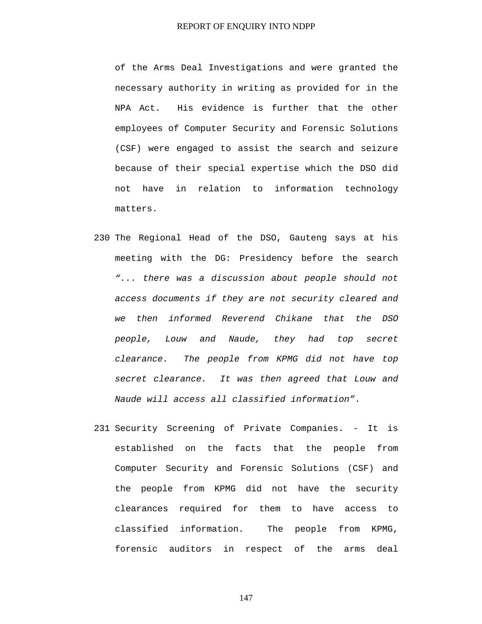of the Arms Deal Investigations and were granted the necessary authority in writing as provided for in the NPA Act. His evidence is further that the other employees of Computer Security and Forensic Solutions (CSF) were engaged to assist the search and seizure because of their special expertise which the DSO did not have in relation to information technology matters.

- 230 The Regional Head of the DSO, Gauteng says at his meeting with the DG: Presidency before the search *"... there was a discussion about people should not access documents if they are not security cleared and we then informed Reverend Chikane that the DSO people, Louw and Naude, they had top secret clearance. The people from KPMG did not have top secret clearance. It was then agreed that Louw and Naude will access all classified information"*.
- 231 Security Screening of Private Companies. It is established on the facts that the people from Computer Security and Forensic Solutions (CSF) and the people from KPMG did not have the security clearances required for them to have access to classified information. The people from KPMG, forensic auditors in respect of the arms deal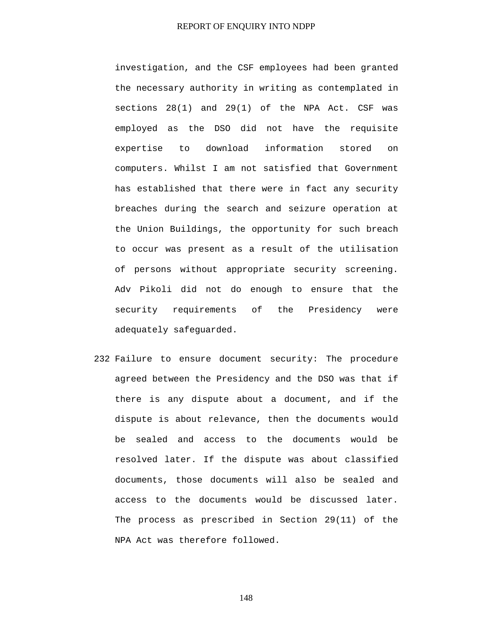investigation, and the CSF employees had been granted the necessary authority in writing as contemplated in sections 28(1) and 29(1) of the NPA Act. CSF was employed as the DSO did not have the requisite expertise to download information stored on computers. Whilst I am not satisfied that Government has established that there were in fact any security breaches during the search and seizure operation at the Union Buildings, the opportunity for such breach to occur was present as a result of the utilisation of persons without appropriate security screening. Adv Pikoli did not do enough to ensure that the security requirements of the Presidency were adequately safeguarded.

232 Failure to ensure document security: The procedure agreed between the Presidency and the DSO was that if there is any dispute about a document, and if the dispute is about relevance, then the documents would be sealed and access to the documents would be resolved later. If the dispute was about classified documents, those documents will also be sealed and access to the documents would be discussed later. The process as prescribed in Section 29(11) of the NPA Act was therefore followed.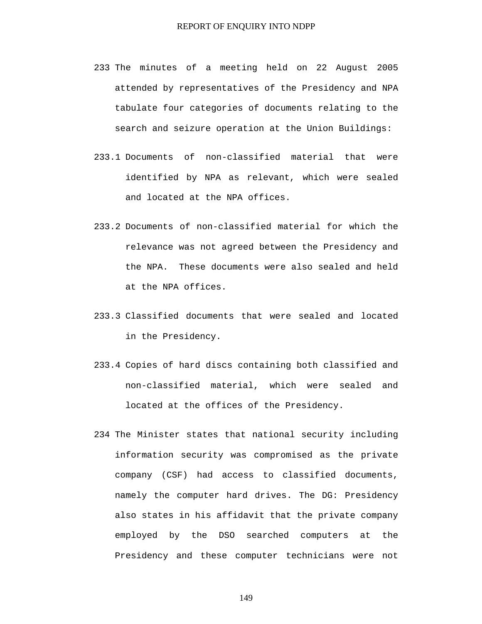- 233 The minutes of a meeting held on 22 August 2005 attended by representatives of the Presidency and NPA tabulate four categories of documents relating to the search and seizure operation at the Union Buildings:
- 233.1 Documents of non-classified material that were identified by NPA as relevant, which were sealed and located at the NPA offices.
- 233.2 Documents of non-classified material for which the relevance was not agreed between the Presidency and the NPA. These documents were also sealed and held at the NPA offices.
- 233.3 Classified documents that were sealed and located in the Presidency.
- 233.4 Copies of hard discs containing both classified and non-classified material, which were sealed and located at the offices of the Presidency.
- 234 The Minister states that national security including information security was compromised as the private company (CSF) had access to classified documents, namely the computer hard drives. The DG: Presidency also states in his affidavit that the private company employed by the DSO searched computers at the Presidency and these computer technicians were not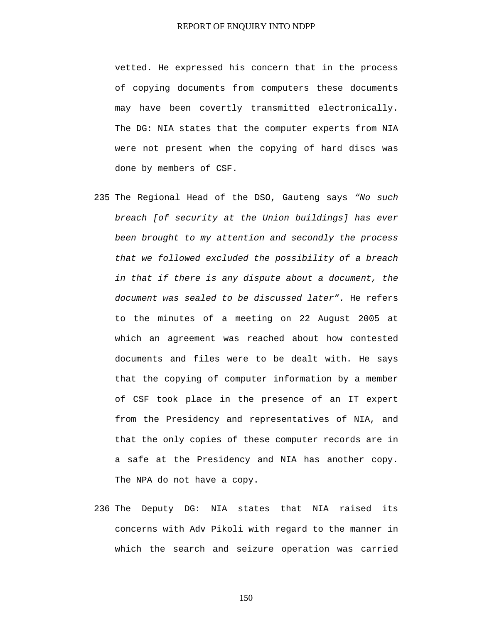vetted. He expressed his concern that in the process of copying documents from computers these documents may have been covertly transmitted electronically. The DG: NIA states that the computer experts from NIA were not present when the copying of hard discs was done by members of CSF.

- 235 The Regional Head of the DSO, Gauteng says *"No such breach [of security at the Union buildings] has ever been brought to my attention and secondly the process that we followed excluded the possibility of a breach in that if there is any dispute about a document, the document was sealed to be discussed later".* He refers to the minutes of a meeting on 22 August 2005 at which an agreement was reached about how contested documents and files were to be dealt with. He says that the copying of computer information by a member of CSF took place in the presence of an IT expert from the Presidency and representatives of NIA, and that the only copies of these computer records are in a safe at the Presidency and NIA has another copy. The NPA do not have a copy.
- 236 The Deputy DG: NIA states that NIA raised its concerns with Adv Pikoli with regard to the manner in which the search and seizure operation was carried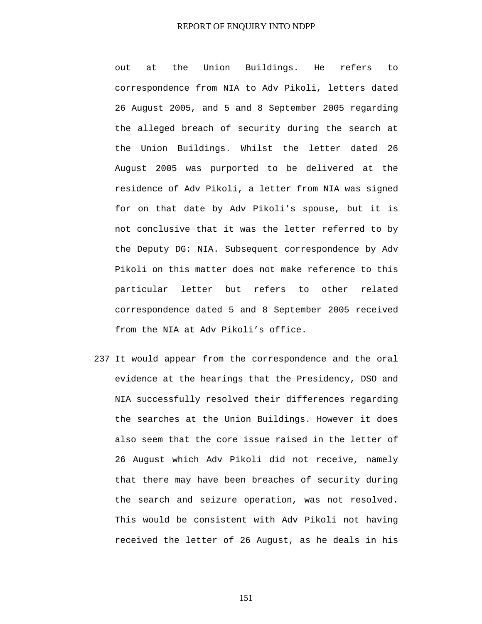out at the Union Buildings. He refers to correspondence from NIA to Adv Pikoli, letters dated 26 August 2005, and 5 and 8 September 2005 regarding the alleged breach of security during the search at the Union Buildings. Whilst the letter dated 26 August 2005 was purported to be delivered at the residence of Adv Pikoli, a letter from NIA was signed for on that date by Adv Pikoli's spouse, but it is not conclusive that it was the letter referred to by the Deputy DG: NIA. Subsequent correspondence by Adv Pikoli on this matter does not make reference to this particular letter but refers to other related correspondence dated 5 and 8 September 2005 received from the NIA at Adv Pikoli's office.

237 It would appear from the correspondence and the oral evidence at the hearings that the Presidency, DSO and NIA successfully resolved their differences regarding the searches at the Union Buildings. However it does also seem that the core issue raised in the letter of 26 August which Adv Pikoli did not receive, namely that there may have been breaches of security during the search and seizure operation, was not resolved. This would be consistent with Adv Pikoli not having received the letter of 26 August, as he deals in his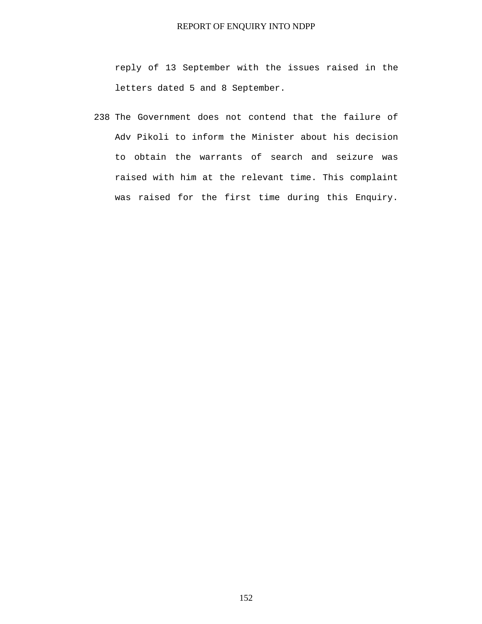reply of 13 September with the issues raised in the letters dated 5 and 8 September.

238 The Government does not contend that the failure of Adv Pikoli to inform the Minister about his decision to obtain the warrants of search and seizure was raised with him at the relevant time. This complaint was raised for the first time during this Enquiry.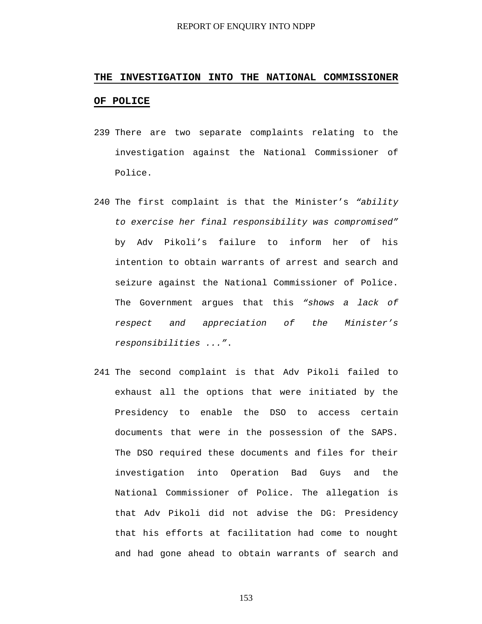# **THE INVESTIGATION INTO THE NATIONAL COMMISSIONER OF POLICE**

- 239 There are two separate complaints relating to the investigation against the National Commissioner of Police.
- 240 The first complaint is that the Minister's *"ability to exercise her final responsibility was compromised"* by Adv Pikoli's failure to inform her of his intention to obtain warrants of arrest and search and seizure against the National Commissioner of Police. The Government argues that this *"shows a lack of respect and appreciation of the Minister's responsibilities ..."*.
- 241 The second complaint is that Adv Pikoli failed to exhaust all the options that were initiated by the Presidency to enable the DSO to access certain documents that were in the possession of the SAPS. The DSO required these documents and files for their investigation into Operation Bad Guys and the National Commissioner of Police. The allegation is that Adv Pikoli did not advise the DG: Presidency that his efforts at facilitation had come to nought and had gone ahead to obtain warrants of search and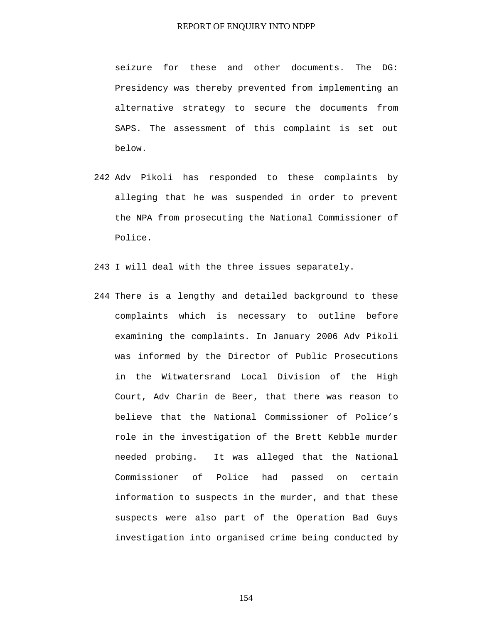seizure for these and other documents. The DG: Presidency was thereby prevented from implementing an alternative strategy to secure the documents from SAPS. The assessment of this complaint is set out below.

242 Adv Pikoli has responded to these complaints by alleging that he was suspended in order to prevent the NPA from prosecuting the National Commissioner of Police.

243 I will deal with the three issues separately.

244 There is a lengthy and detailed background to these complaints which is necessary to outline before examining the complaints. In January 2006 Adv Pikoli was informed by the Director of Public Prosecutions in the Witwatersrand Local Division of the High Court, Adv Charin de Beer, that there was reason to believe that the National Commissioner of Police's role in the investigation of the Brett Kebble murder needed probing. It was alleged that the National Commissioner of Police had passed on certain information to suspects in the murder, and that these suspects were also part of the Operation Bad Guys investigation into organised crime being conducted by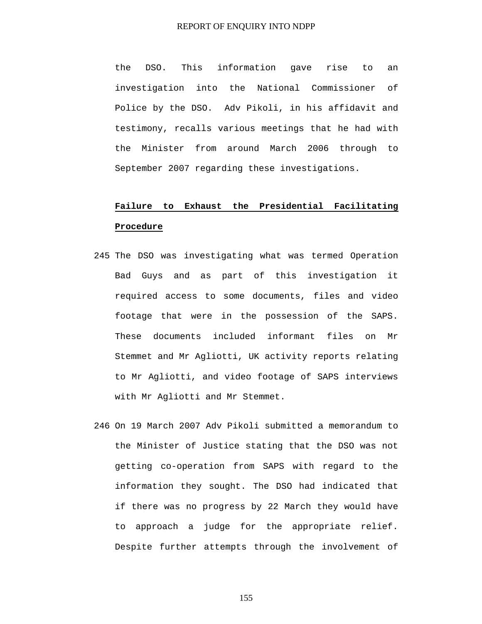the DSO. This information gave rise to an investigation into the National Commissioner of Police by the DSO. Adv Pikoli, in his affidavit and testimony, recalls various meetings that he had with the Minister from around March 2006 through to September 2007 regarding these investigations.

## **Failure to Exhaust the Presidential Facilitating Procedure**

- 245 The DSO was investigating what was termed Operation Bad Guys and as part of this investigation it required access to some documents, files and video footage that were in the possession of the SAPS. These documents included informant files on Mr Stemmet and Mr Agliotti, UK activity reports relating to Mr Agliotti, and video footage of SAPS interviews with Mr Agliotti and Mr Stemmet.
- 246 On 19 March 2007 Adv Pikoli submitted a memorandum to the Minister of Justice stating that the DSO was not getting co-operation from SAPS with regard to the information they sought. The DSO had indicated that if there was no progress by 22 March they would have to approach a judge for the appropriate relief. Despite further attempts through the involvement of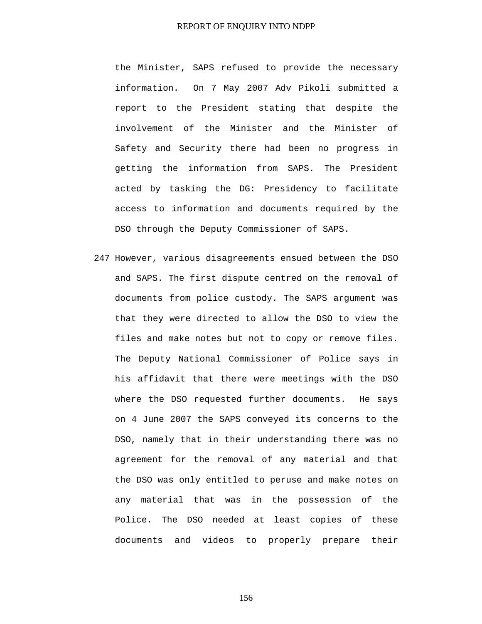the Minister, SAPS refused to provide the necessary information. On 7 May 2007 Adv Pikoli submitted a report to the President stating that despite the involvement of the Minister and the Minister of Safety and Security there had been no progress in getting the information from SAPS. The President acted by tasking the DG: Presidency to facilitate access to information and documents required by the DSO through the Deputy Commissioner of SAPS.

247 However, various disagreements ensued between the DSO and SAPS. The first dispute centred on the removal of documents from police custody. The SAPS argument was that they were directed to allow the DSO to view the files and make notes but not to copy or remove files. The Deputy National Commissioner of Police says in his affidavit that there were meetings with the DSO where the DSO requested further documents. He says on 4 June 2007 the SAPS conveyed its concerns to the DSO, namely that in their understanding there was no agreement for the removal of any material and that the DSO was only entitled to peruse and make notes on any material that was in the possession of the Police. The DSO needed at least copies of these documents and videos to properly prepare their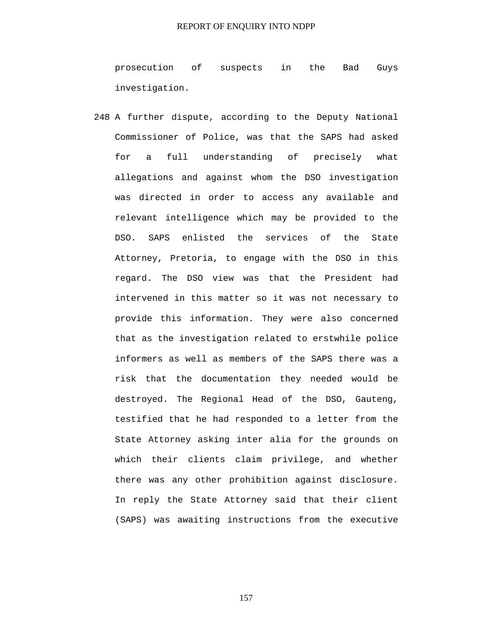prosecution of suspects in the Bad Guys investigation.

248 A further dispute, according to the Deputy National Commissioner of Police, was that the SAPS had asked for a full understanding of precisely what allegations and against whom the DSO investigation was directed in order to access any available and relevant intelligence which may be provided to the DSO. SAPS enlisted the services of the State Attorney, Pretoria, to engage with the DSO in this regard. The DSO view was that the President had intervened in this matter so it was not necessary to provide this information. They were also concerned that as the investigation related to erstwhile police informers as well as members of the SAPS there was a risk that the documentation they needed would be destroyed. The Regional Head of the DSO, Gauteng, testified that he had responded to a letter from the State Attorney asking inter alia for the grounds on which their clients claim privilege, and whether there was any other prohibition against disclosure. In reply the State Attorney said that their client (SAPS) was awaiting instructions from the executive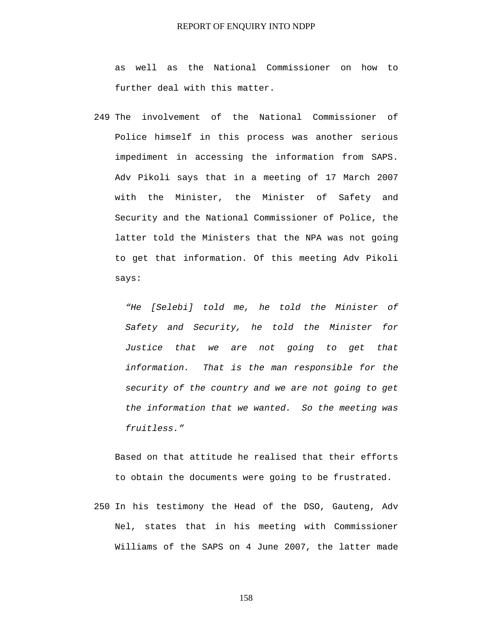as well as the National Commissioner on how to further deal with this matter.

249 The involvement of the National Commissioner of Police himself in this process was another serious impediment in accessing the information from SAPS. Adv Pikoli says that in a meeting of 17 March 2007 with the Minister, the Minister of Safety and Security and the National Commissioner of Police, the latter told the Ministers that the NPA was not going to get that information. Of this meeting Adv Pikoli says:

*"He [Selebi] told me, he told the Minister of Safety and Security, he told the Minister for Justice that we are not going to get that information. That is the man responsible for the security of the country and we are not going to get the information that we wanted. So the meeting was fruitless."* 

Based on that attitude he realised that their efforts to obtain the documents were going to be frustrated.

250 In his testimony the Head of the DSO, Gauteng, Adv Nel, states that in his meeting with Commissioner Williams of the SAPS on 4 June 2007, the latter made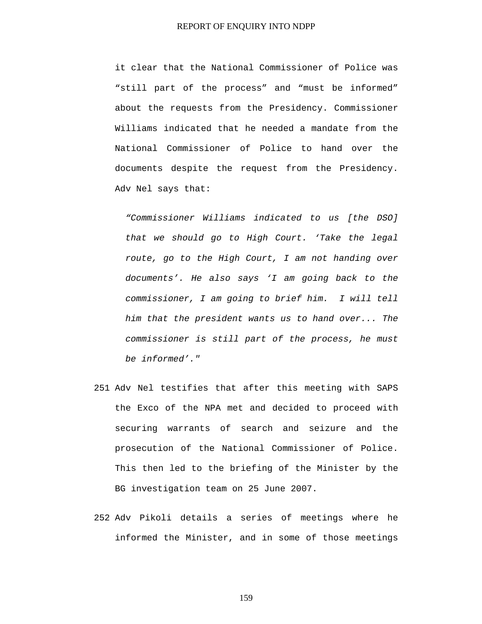it clear that the National Commissioner of Police was "still part of the process" and "must be informed" about the requests from the Presidency. Commissioner Williams indicated that he needed a mandate from the National Commissioner of Police to hand over the documents despite the request from the Presidency. Adv Nel says that:

*"Commissioner Williams indicated to us [the DSO] that we should go to High Court. 'Take the legal route, go to the High Court, I am not handing over documents'. He also says 'I am going back to the commissioner, I am going to brief him. I will tell him that the president wants us to hand over... The commissioner is still part of the process, he must be informed'."* 

- 251 Adv Nel testifies that after this meeting with SAPS the Exco of the NPA met and decided to proceed with securing warrants of search and seizure and the prosecution of the National Commissioner of Police. This then led to the briefing of the Minister by the BG investigation team on 25 June 2007.
- 252 Adv Pikoli details a series of meetings where he informed the Minister, and in some of those meetings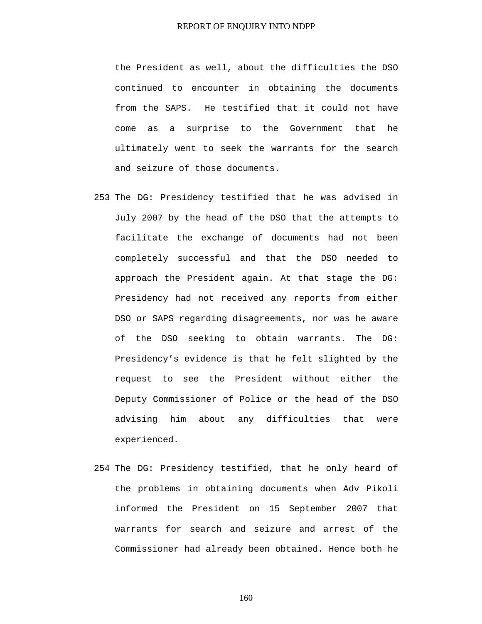the President as well, about the difficulties the DSO continued to encounter in obtaining the documents from the SAPS. He testified that it could not have come as a surprise to the Government that he ultimately went to seek the warrants for the search and seizure of those documents.

- 253 The DG: Presidency testified that he was advised in July 2007 by the head of the DSO that the attempts to facilitate the exchange of documents had not been completely successful and that the DSO needed to approach the President again. At that stage the DG: Presidency had not received any reports from either DSO or SAPS regarding disagreements, nor was he aware of the DSO seeking to obtain warrants. The DG: Presidency's evidence is that he felt slighted by the request to see the President without either the Deputy Commissioner of Police or the head of the DSO advising him about any difficulties that were experienced.
- 254 The DG: Presidency testified, that he only heard of the problems in obtaining documents when Adv Pikoli informed the President on 15 September 2007 that warrants for search and seizure and arrest of the Commissioner had already been obtained. Hence both he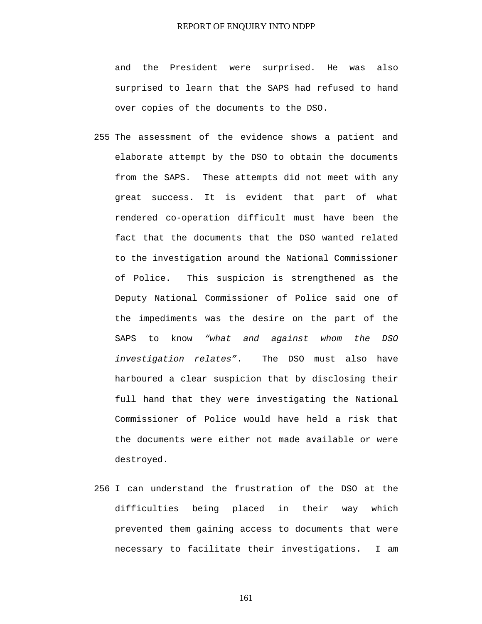and the President were surprised. He was also surprised to learn that the SAPS had refused to hand over copies of the documents to the DSO.

- 255 The assessment of the evidence shows a patient and elaborate attempt by the DSO to obtain the documents from the SAPS. These attempts did not meet with any great success. It is evident that part of what rendered co-operation difficult must have been the fact that the documents that the DSO wanted related to the investigation around the National Commissioner of Police. This suspicion is strengthened as the Deputy National Commissioner of Police said one of the impediments was the desire on the part of the SAPS to know *"what and against whom the DSO investigation relates"*. The DSO must also have harboured a clear suspicion that by disclosing their full hand that they were investigating the National Commissioner of Police would have held a risk that the documents were either not made available or were destroyed.
- 256 I can understand the frustration of the DSO at the difficulties being placed in their way which prevented them gaining access to documents that were necessary to facilitate their investigations. I am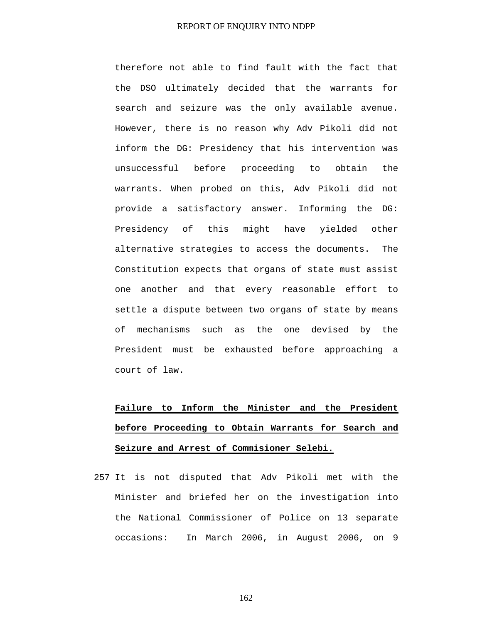therefore not able to find fault with the fact that the DSO ultimately decided that the warrants for search and seizure was the only available avenue. However, there is no reason why Adv Pikoli did not inform the DG: Presidency that his intervention was unsuccessful before proceeding to obtain the warrants. When probed on this, Adv Pikoli did not provide a satisfactory answer. Informing the DG: Presidency of this might have yielded other alternative strategies to access the documents. The Constitution expects that organs of state must assist one another and that every reasonable effort to settle a dispute between two organs of state by means of mechanisms such as the one devised by the President must be exhausted before approaching a court of law.

# **Failure to Inform the Minister and the President before Proceeding to Obtain Warrants for Search and Seizure and Arrest of Commisioner Selebi.**

257 It is not disputed that Adv Pikoli met with the Minister and briefed her on the investigation into the National Commissioner of Police on 13 separate occasions: In March 2006, in August 2006, on 9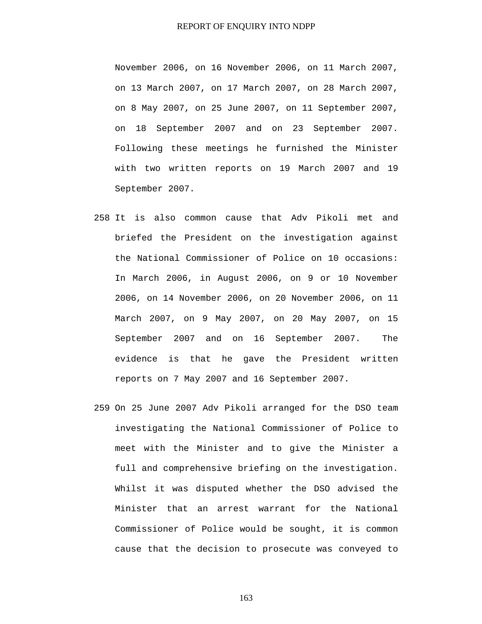November 2006, on 16 November 2006, on 11 March 2007, on 13 March 2007, on 17 March 2007, on 28 March 2007, on 8 May 2007, on 25 June 2007, on 11 September 2007, on 18 September 2007 and on 23 September 2007. Following these meetings he furnished the Minister with two written reports on 19 March 2007 and 19 September 2007.

- 258 It is also common cause that Adv Pikoli met and briefed the President on the investigation against the National Commissioner of Police on 10 occasions: In March 2006, in August 2006, on 9 or 10 November 2006, on 14 November 2006, on 20 November 2006, on 11 March 2007, on 9 May 2007, on 20 May 2007, on 15 September 2007 and on 16 September 2007. The evidence is that he gave the President written reports on 7 May 2007 and 16 September 2007.
- 259 On 25 June 2007 Adv Pikoli arranged for the DSO team investigating the National Commissioner of Police to meet with the Minister and to give the Minister a full and comprehensive briefing on the investigation. Whilst it was disputed whether the DSO advised the Minister that an arrest warrant for the National Commissioner of Police would be sought, it is common cause that the decision to prosecute was conveyed to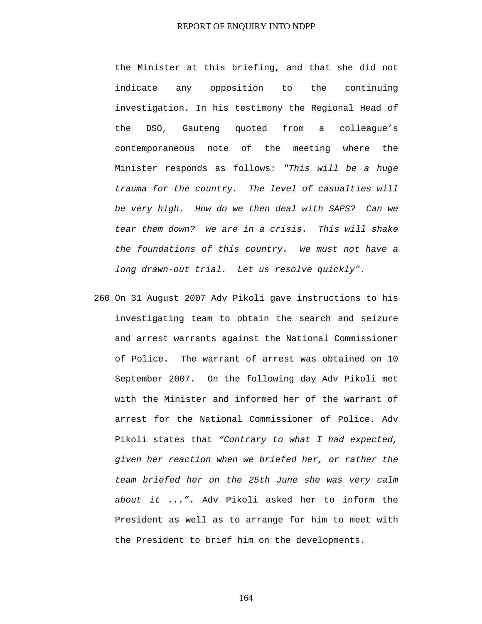the Minister at this briefing, and that she did not indicate any opposition to the continuing investigation. In his testimony the Regional Head of the DSO, Gauteng quoted from a colleague's contemporaneous note of the meeting where the Minister responds as follows: *"This will be a huge trauma for the country. The level of casualties will be very high. How do we then deal with SAPS? Can we tear them down? We are in a crisis. This will shake the foundations of this country. We must not have a long drawn-out trial. Let us resolve quickly".*

260 On 31 August 2007 Adv Pikoli gave instructions to his investigating team to obtain the search and seizure and arrest warrants against the National Commissioner of Police. The warrant of arrest was obtained on 10 September 2007. On the following day Adv Pikoli met with the Minister and informed her of the warrant of arrest for the National Commissioner of Police. Adv Pikoli states that *"Contrary to what I had expected, given her reaction when we briefed her, or rather the team briefed her on the 25th June she was very calm about it ..."*. Adv Pikoli asked her to inform the President as well as to arrange for him to meet with the President to brief him on the developments.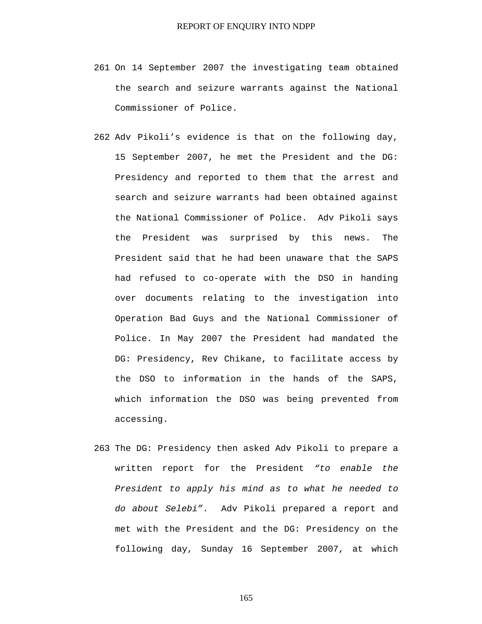- 261 On 14 September 2007 the investigating team obtained the search and seizure warrants against the National Commissioner of Police.
- 262 Adv Pikoli's evidence is that on the following day, 15 September 2007, he met the President and the DG: Presidency and reported to them that the arrest and search and seizure warrants had been obtained against the National Commissioner of Police. Adv Pikoli says the President was surprised by this news. The President said that he had been unaware that the SAPS had refused to co-operate with the DSO in handing over documents relating to the investigation into Operation Bad Guys and the National Commissioner of Police. In May 2007 the President had mandated the DG: Presidency, Rev Chikane, to facilitate access by the DSO to information in the hands of the SAPS, which information the DSO was being prevented from accessing.
- 263 The DG: Presidency then asked Adv Pikoli to prepare a written report for the President *"to enable the President to apply his mind as to what he needed to do about Selebi"*. Adv Pikoli prepared a report and met with the President and the DG: Presidency on the following day, Sunday 16 September 2007, at which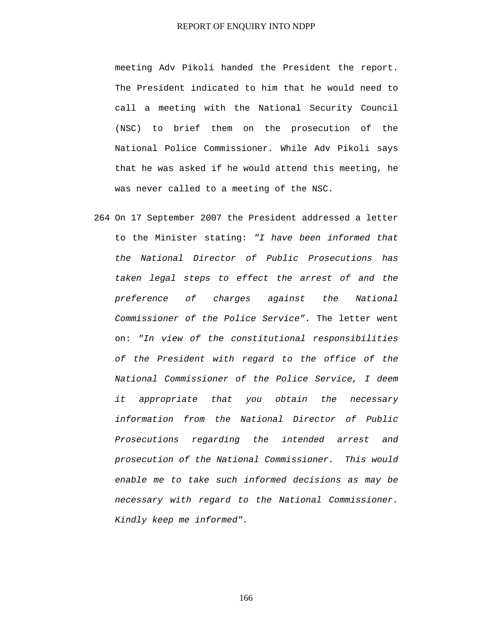meeting Adv Pikoli handed the President the report. The President indicated to him that he would need to call a meeting with the National Security Council (NSC) to brief them on the prosecution of the National Police Commissioner. While Adv Pikoli says that he was asked if he would attend this meeting, he was never called to a meeting of the NSC.

264 On 17 September 2007 the President addressed a letter to the Minister stating: *"I have been informed that the National Director of Public Prosecutions has taken legal steps to effect the arrest of and the preference of charges against the National Commissioner of the Police Service"*. The letter went on: *"In view of the constitutional responsibilities of the President with regard to the office of the National Commissioner of the Police Service, I deem it appropriate that you obtain the necessary information from the National Director of Public Prosecutions regarding the intended arrest and prosecution of the National Commissioner. This would enable me to take such informed decisions as may be necessary with regard to the National Commissioner. Kindly keep me informed".*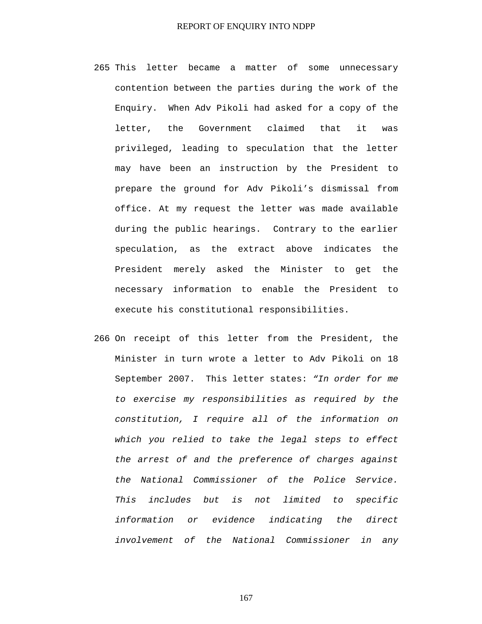- 265 This letter became a matter of some unnecessary contention between the parties during the work of the Enquiry. When Adv Pikoli had asked for a copy of the letter, the Government claimed that it was privileged, leading to speculation that the letter may have been an instruction by the President to prepare the ground for Adv Pikoli's dismissal from office. At my request the letter was made available during the public hearings. Contrary to the earlier speculation, as the extract above indicates the President merely asked the Minister to get the necessary information to enable the President to execute his constitutional responsibilities.
- 266 On receipt of this letter from the President, the Minister in turn wrote a letter to Adv Pikoli on 18 September 2007. This letter states: *"In order for me to exercise my responsibilities as required by the constitution, I require all of the information on which you relied to take the legal steps to effect the arrest of and the preference of charges against the National Commissioner of the Police Service. This includes but is not limited to specific information or evidence indicating the direct involvement of the National Commissioner in any*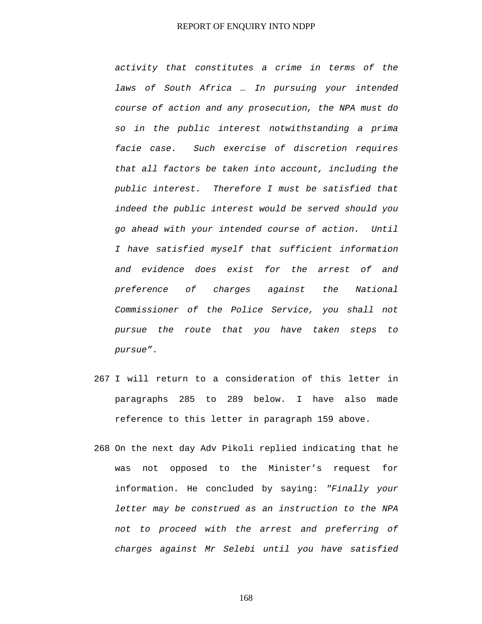*activity that constitutes a crime in terms of the laws of South Africa … In pursuing your intended course of action and any prosecution, the NPA must do so in the public interest notwithstanding a prima facie case. Such exercise of discretion requires that all factors be taken into account, including the public interest. Therefore I must be satisfied that indeed the public interest would be served should you go ahead with your intended course of action. Until I have satisfied myself that sufficient information and evidence does exist for the arrest of and preference of charges against the National Commissioner of the Police Service, you shall not pursue the route that you have taken steps to pursue"*.

- 267 I will return to a consideration of this letter in paragraphs 285 to 289 below. I have also made reference to this letter in paragraph 159 above.
- 268 On the next day Adv Pikoli replied indicating that he was not opposed to the Minister's request for information. He concluded by saying: *"Finally your letter may be construed as an instruction to the NPA not to proceed with the arrest and preferring of charges against Mr Selebi until you have satisfied*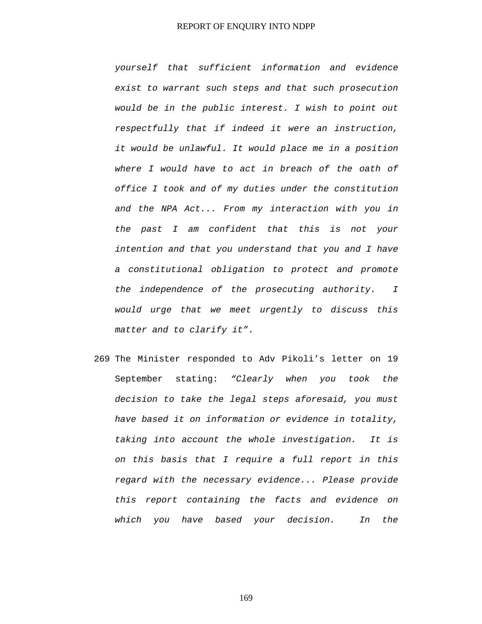*yourself that sufficient information and evidence exist to warrant such steps and that such prosecution would be in the public interest. I wish to point out respectfully that if indeed it were an instruction, it would be unlawful. It would place me in a position where I would have to act in breach of the oath of office I took and of my duties under the constitution and the NPA Act... From my interaction with you in the past I am confident that this is not your intention and that you understand that you and I have a constitutional obligation to protect and promote the independence of the prosecuting authority. I would urge that we meet urgently to discuss this matter and to clarify it"*.

269 The Minister responded to Adv Pikoli's letter on 19 September stating: *"Clearly when you took the decision to take the legal steps aforesaid, you must have based it on information or evidence in totality, taking into account the whole investigation. It is on this basis that I require a full report in this regard with the necessary evidence... Please provide this report containing the facts and evidence on which you have based your decision. In the*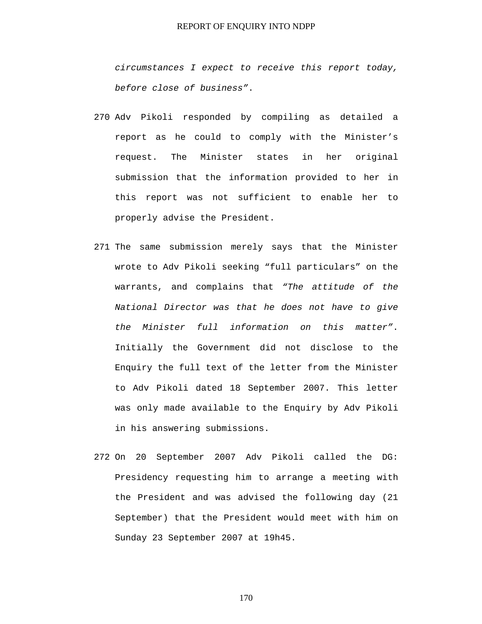*circumstances I expect to receive this report today, before close of business"*.

- 270 Adv Pikoli responded by compiling as detailed a report as he could to comply with the Minister's request. The Minister states in her original submission that the information provided to her in this report was not sufficient to enable her to properly advise the President.
- 271 The same submission merely says that the Minister wrote to Adv Pikoli seeking "full particulars" on the warrants, and complains that *"The attitude of the National Director was that he does not have to give the Minister full information on this matter"*. Initially the Government did not disclose to the Enquiry the full text of the letter from the Minister to Adv Pikoli dated 18 September 2007. This letter was only made available to the Enquiry by Adv Pikoli in his answering submissions.
- 272 On 20 September 2007 Adv Pikoli called the DG: Presidency requesting him to arrange a meeting with the President and was advised the following day (21 September) that the President would meet with him on Sunday 23 September 2007 at 19h45.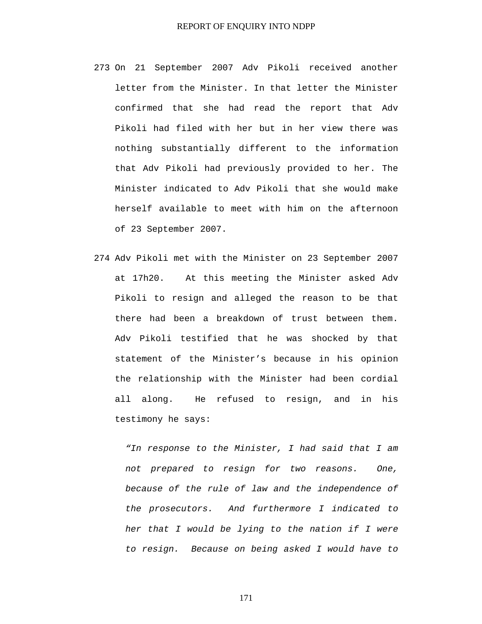- 273 On 21 September 2007 Adv Pikoli received another letter from the Minister. In that letter the Minister confirmed that she had read the report that Adv Pikoli had filed with her but in her view there was nothing substantially different to the information that Adv Pikoli had previously provided to her. The Minister indicated to Adv Pikoli that she would make herself available to meet with him on the afternoon of 23 September 2007.
- 274 Adv Pikoli met with the Minister on 23 September 2007 at 17h20. At this meeting the Minister asked Adv Pikoli to resign and alleged the reason to be that there had been a breakdown of trust between them. Adv Pikoli testified that he was shocked by that statement of the Minister's because in his opinion the relationship with the Minister had been cordial all along. He refused to resign, and in his testimony he says:

*"In response to the Minister, I had said that I am not prepared to resign for two reasons. One, because of the rule of law and the independence of the prosecutors. And furthermore I indicated to her that I would be lying to the nation if I were to resign. Because on being asked I would have to*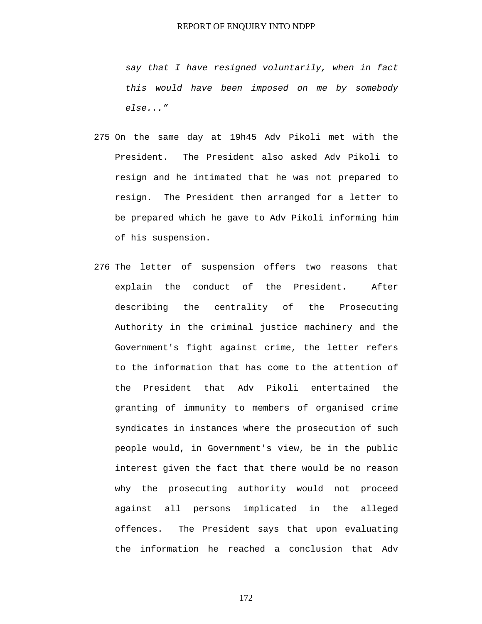*say that I have resigned voluntarily, when in fact this would have been imposed on me by somebody else..."* 

- 275 On the same day at 19h45 Adv Pikoli met with the President. The President also asked Adv Pikoli to resign and he intimated that he was not prepared to resign. The President then arranged for a letter to be prepared which he gave to Adv Pikoli informing him of his suspension.
- 276 The letter of suspension offers two reasons that explain the conduct of the President. After describing the centrality of the Prosecuting Authority in the criminal justice machinery and the Government's fight against crime, the letter refers to the information that has come to the attention of the President that Adv Pikoli entertained the granting of immunity to members of organised crime syndicates in instances where the prosecution of such people would, in Government's view, be in the public interest given the fact that there would be no reason why the prosecuting authority would not proceed against all persons implicated in the alleged offences. The President says that upon evaluating the information he reached a conclusion that Adv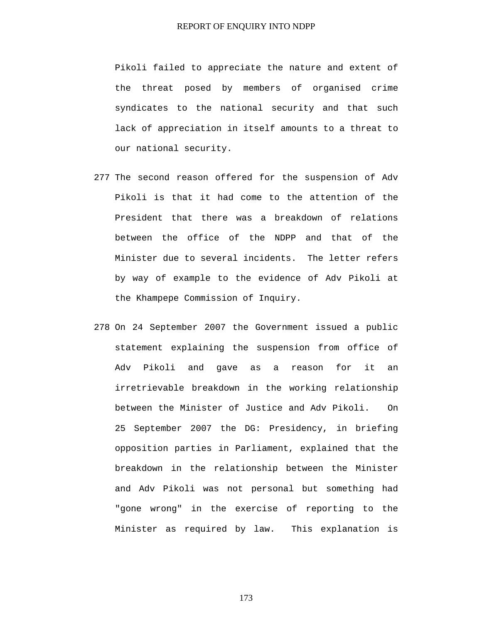Pikoli failed to appreciate the nature and extent of the threat posed by members of organised crime syndicates to the national security and that such lack of appreciation in itself amounts to a threat to our national security.

- 277 The second reason offered for the suspension of Adv Pikoli is that it had come to the attention of the President that there was a breakdown of relations between the office of the NDPP and that of the Minister due to several incidents. The letter refers by way of example to the evidence of Adv Pikoli at the Khampepe Commission of Inquiry.
- 278 On 24 September 2007 the Government issued a public statement explaining the suspension from office of Adv Pikoli and gave as a reason for it an irretrievable breakdown in the working relationship between the Minister of Justice and Adv Pikoli. On 25 September 2007 the DG: Presidency, in briefing opposition parties in Parliament, explained that the breakdown in the relationship between the Minister and Adv Pikoli was not personal but something had "gone wrong" in the exercise of reporting to the Minister as required by law. This explanation is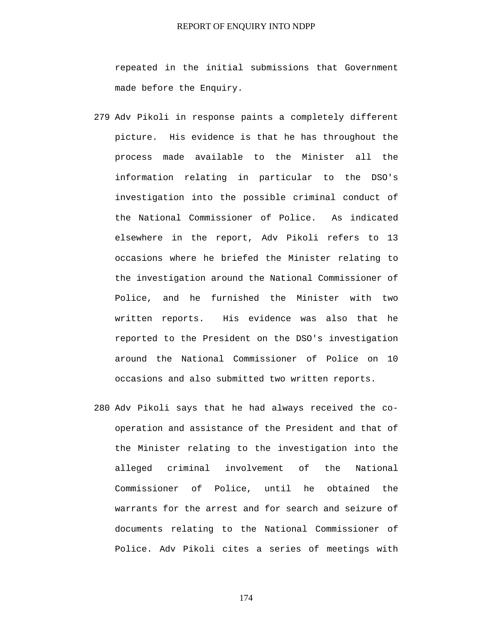repeated in the initial submissions that Government made before the Enquiry.

- 279 Adv Pikoli in response paints a completely different picture. His evidence is that he has throughout the process made available to the Minister all the information relating in particular to the DSO's investigation into the possible criminal conduct of the National Commissioner of Police. As indicated elsewhere in the report, Adv Pikoli refers to 13 occasions where he briefed the Minister relating to the investigation around the National Commissioner of Police, and he furnished the Minister with two written reports. His evidence was also that he reported to the President on the DSO's investigation around the National Commissioner of Police on 10 occasions and also submitted two written reports.
- 280 Adv Pikoli says that he had always received the cooperation and assistance of the President and that of the Minister relating to the investigation into the alleged criminal involvement of the National Commissioner of Police, until he obtained the warrants for the arrest and for search and seizure of documents relating to the National Commissioner of Police. Adv Pikoli cites a series of meetings with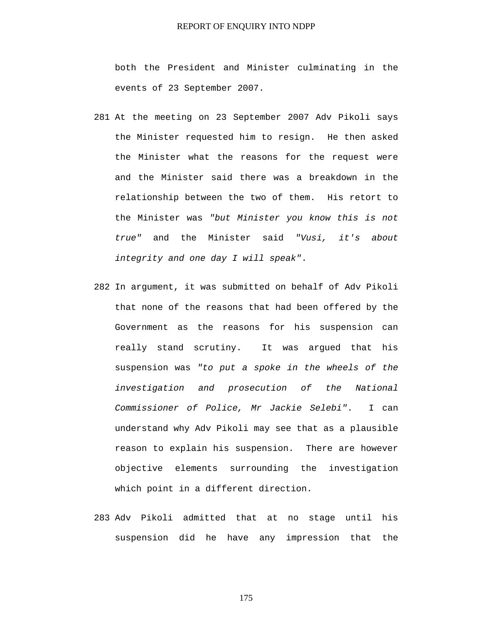both the President and Minister culminating in the events of 23 September 2007.

- 281 At the meeting on 23 September 2007 Adv Pikoli says the Minister requested him to resign. He then asked the Minister what the reasons for the request were and the Minister said there was a breakdown in the relationship between the two of them. His retort to the Minister was *"but Minister you know this is not true"* and the Minister said *"Vusi, it's about integrity and one day I will speak"*.
- 282 In argument, it was submitted on behalf of Adv Pikoli that none of the reasons that had been offered by the Government as the reasons for his suspension can really stand scrutiny. It was argued that his suspension was *"to put a spoke in the wheels of the investigation and prosecution of the National Commissioner of Police, Mr Jackie Selebi"*. I can understand why Adv Pikoli may see that as a plausible reason to explain his suspension. There are however objective elements surrounding the investigation which point in a different direction.
- 283 Adv Pikoli admitted that at no stage until his suspension did he have any impression that the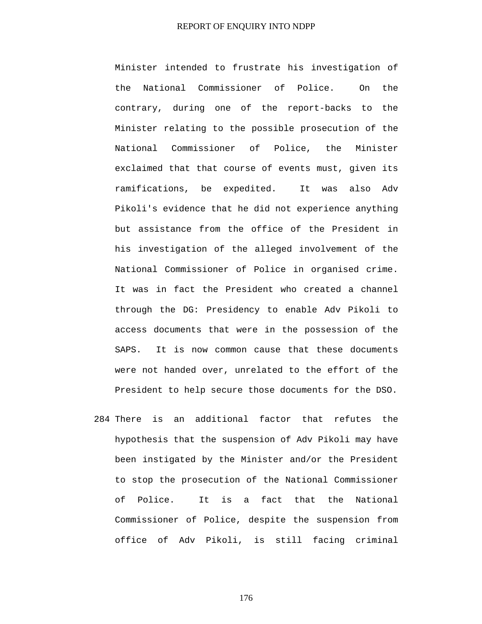Minister intended to frustrate his investigation of the National Commissioner of Police. On the contrary, during one of the report-backs to the Minister relating to the possible prosecution of the National Commissioner of Police, the Minister exclaimed that that course of events must, given its ramifications, be expedited. It was also Adv Pikoli's evidence that he did not experience anything but assistance from the office of the President in his investigation of the alleged involvement of the National Commissioner of Police in organised crime. It was in fact the President who created a channel through the DG: Presidency to enable Adv Pikoli to access documents that were in the possession of the SAPS. It is now common cause that these documents were not handed over, unrelated to the effort of the President to help secure those documents for the DSO.

284 There is an additional factor that refutes the hypothesis that the suspension of Adv Pikoli may have been instigated by the Minister and/or the President to stop the prosecution of the National Commissioner of Police. It is a fact that the National Commissioner of Police, despite the suspension from office of Adv Pikoli, is still facing criminal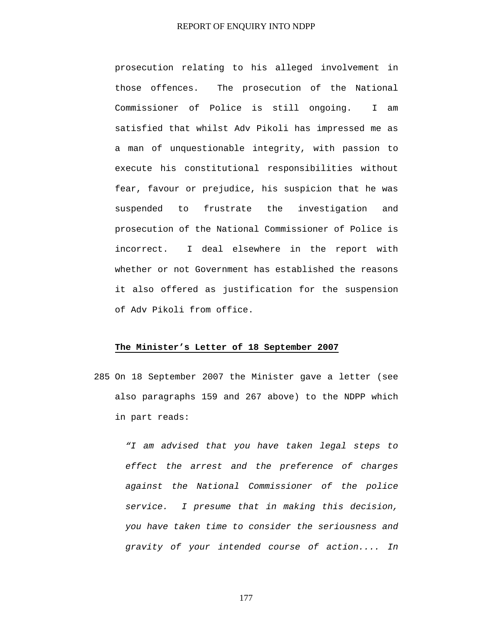prosecution relating to his alleged involvement in those offences. The prosecution of the National Commissioner of Police is still ongoing. I am satisfied that whilst Adv Pikoli has impressed me as a man of unquestionable integrity, with passion to execute his constitutional responsibilities without fear, favour or prejudice, his suspicion that he was suspended to frustrate the investigation and prosecution of the National Commissioner of Police is incorrect. I deal elsewhere in the report with whether or not Government has established the reasons it also offered as justification for the suspension of Adv Pikoli from office.

#### **The Minister's Letter of 18 September 2007**

285 On 18 September 2007 the Minister gave a letter (see also paragraphs 159 and 267 above) to the NDPP which in part reads:

*"I am advised that you have taken legal steps to effect the arrest and the preference of charges against the National Commissioner of the police service. I presume that in making this decision, you have taken time to consider the seriousness and gravity of your intended course of action.... In*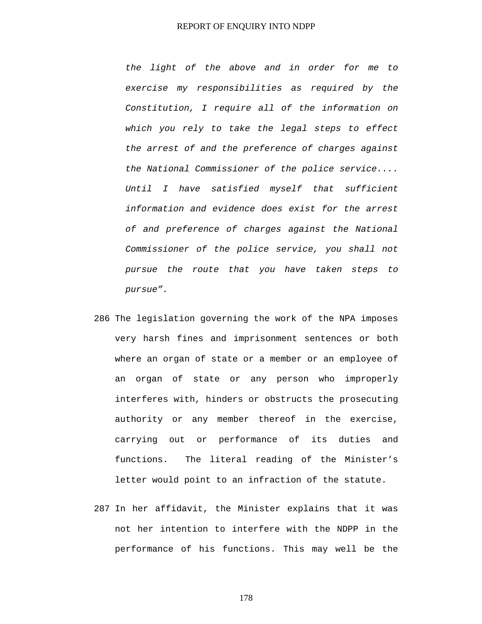*the light of the above and in order for me to exercise my responsibilities as required by the Constitution, I require all of the information on which you rely to take the legal steps to effect the arrest of and the preference of charges against the National Commissioner of the police service.... Until I have satisfied myself that sufficient information and evidence does exist for the arrest of and preference of charges against the National Commissioner of the police service, you shall not pursue the route that you have taken steps to pursue".* 

- 286 The legislation governing the work of the NPA imposes very harsh fines and imprisonment sentences or both where an organ of state or a member or an employee of an organ of state or any person who improperly interferes with, hinders or obstructs the prosecuting authority or any member thereof in the exercise, carrying out or performance of its duties and functions. The literal reading of the Minister's letter would point to an infraction of the statute.
- 287 In her affidavit, the Minister explains that it was not her intention to interfere with the NDPP in the performance of his functions. This may well be the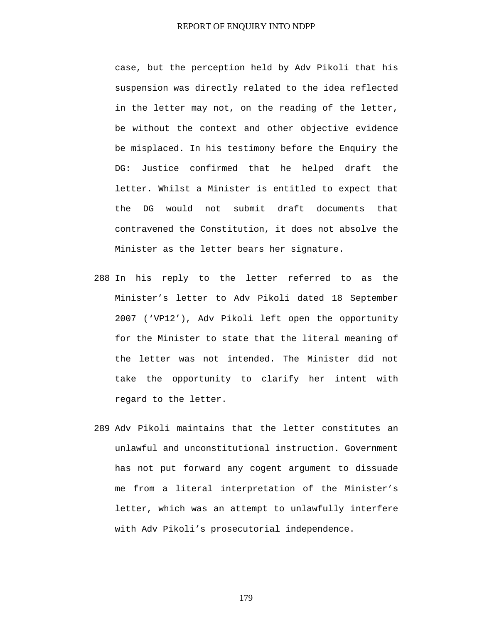case, but the perception held by Adv Pikoli that his suspension was directly related to the idea reflected in the letter may not, on the reading of the letter, be without the context and other objective evidence be misplaced. In his testimony before the Enquiry the DG: Justice confirmed that he helped draft the letter. Whilst a Minister is entitled to expect that the DG would not submit draft documents that contravened the Constitution, it does not absolve the Minister as the letter bears her signature.

- 288 In his reply to the letter referred to as the Minister's letter to Adv Pikoli dated 18 September 2007 ('VP12'), Adv Pikoli left open the opportunity for the Minister to state that the literal meaning of the letter was not intended. The Minister did not take the opportunity to clarify her intent with regard to the letter.
- 289 Adv Pikoli maintains that the letter constitutes an unlawful and unconstitutional instruction. Government has not put forward any cogent argument to dissuade me from a literal interpretation of the Minister's letter, which was an attempt to unlawfully interfere with Adv Pikoli's prosecutorial independence.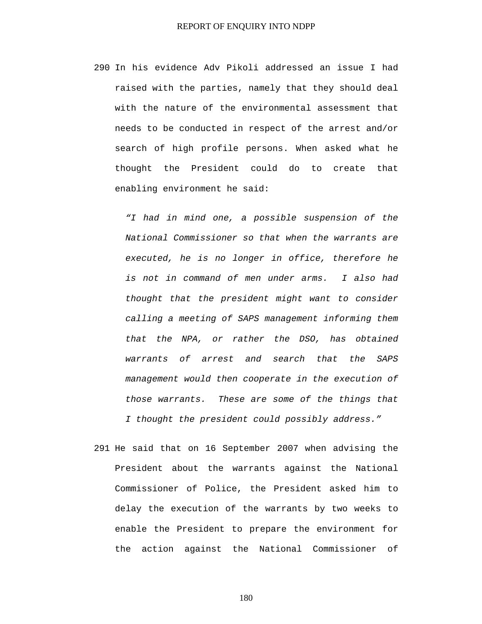290 In his evidence Adv Pikoli addressed an issue I had raised with the parties, namely that they should deal with the nature of the environmental assessment that needs to be conducted in respect of the arrest and/or search of high profile persons. When asked what he thought the President could do to create that enabling environment he said:

*"I had in mind one, a possible suspension of the National Commissioner so that when the warrants are executed, he is no longer in office, therefore he is not in command of men under arms. I also had thought that the president might want to consider calling a meeting of SAPS management informing them that the NPA, or rather the DSO, has obtained warrants of arrest and search that the SAPS management would then cooperate in the execution of those warrants. These are some of the things that I thought the president could possibly address."* 

291 He said that on 16 September 2007 when advising the President about the warrants against the National Commissioner of Police, the President asked him to delay the execution of the warrants by two weeks to enable the President to prepare the environment for the action against the National Commissioner of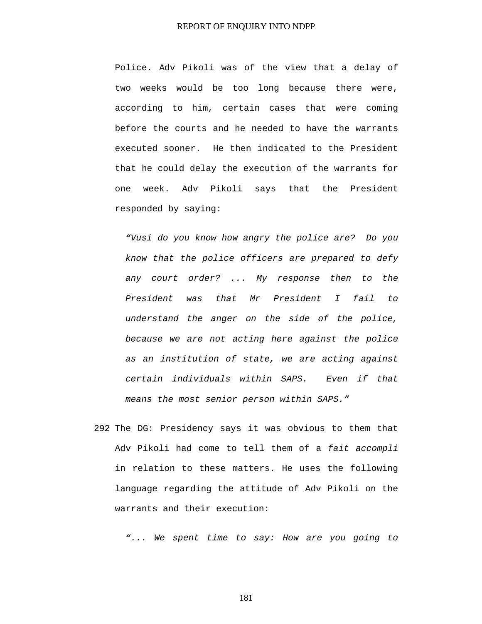Police. Adv Pikoli was of the view that a delay of two weeks would be too long because there were, according to him, certain cases that were coming before the courts and he needed to have the warrants executed sooner. He then indicated to the President that he could delay the execution of the warrants for one week. Adv Pikoli says that the President responded by saying:

*"Vusi do you know how angry the police are? Do you know that the police officers are prepared to defy any court order? ... My response then to the President was that Mr President I fail to understand the anger on the side of the police, because we are not acting here against the police as an institution of state, we are acting against certain individuals within SAPS. Even if that means the most senior person within SAPS."* 

292 The DG: Presidency says it was obvious to them that Adv Pikoli had come to tell them of a *fait accompli* in relation to these matters. He uses the following language regarding the attitude of Adv Pikoli on the warrants and their execution:

*"... We spent time to say: How are you going to*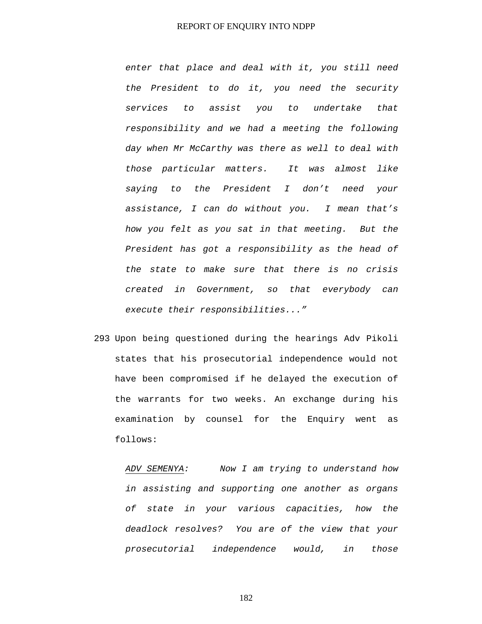*enter that place and deal with it, you still need the President to do it, you need the security services to assist you to undertake that responsibility and we had a meeting the following day when Mr McCarthy was there as well to deal with those particular matters. It was almost like saying to the President I don't need your assistance, I can do without you. I mean that's how you felt as you sat in that meeting. But the President has got a responsibility as the head of the state to make sure that there is no crisis created in Government, so that everybody can execute their responsibilities..."* 

293 Upon being questioned during the hearings Adv Pikoli states that his prosecutorial independence would not have been compromised if he delayed the execution of the warrants for two weeks. An exchange during his examination by counsel for the Enquiry went as follows:

*ADV SEMENYA: Now I am trying to understand how in assisting and supporting one another as organs of state in your various capacities, how the deadlock resolves? You are of the view that your prosecutorial independence would, in those*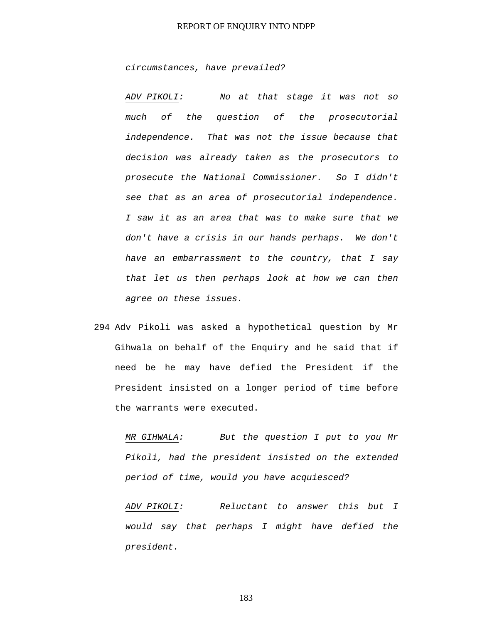*circumstances, have prevailed?* 

*ADV PIKOLI: No at that stage it was not so much of the question of the prosecutorial independence. That was not the issue because that decision was already taken as the prosecutors to prosecute the National Commissioner. So I didn't see that as an area of prosecutorial independence. I saw it as an area that was to make sure that we don't have a crisis in our hands perhaps. We don't have an embarrassment to the country, that I say that let us then perhaps look at how we can then agree on these issues.* 

294 Adv Pikoli was asked a hypothetical question by Mr Gihwala on behalf of the Enquiry and he said that if need be he may have defied the President if the President insisted on a longer period of time before the warrants were executed.

*MR GIHWALA: But the question I put to you Mr Pikoli, had the president insisted on the extended period of time, would you have acquiesced?* 

*ADV PIKOLI: Reluctant to answer this but I would say that perhaps I might have defied the president.*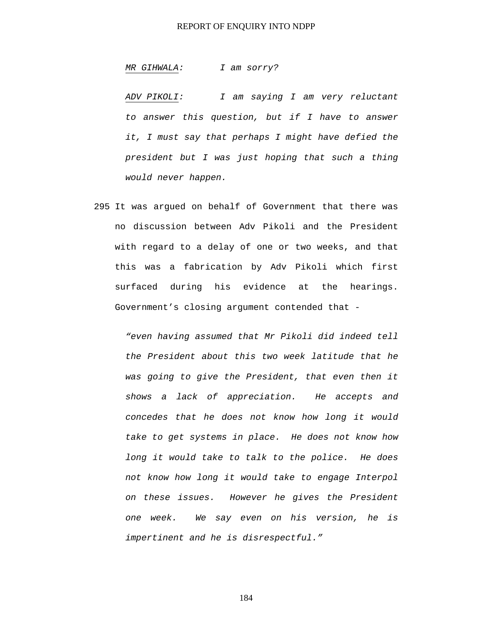*MR GIHWALA: I am sorry?* 

*ADV PIKOLI: I am saying I am very reluctant to answer this question, but if I have to answer it, I must say that perhaps I might have defied the president but I was just hoping that such a thing would never happen.* 

295 It was argued on behalf of Government that there was no discussion between Adv Pikoli and the President with regard to a delay of one or two weeks, and that this was a fabrication by Adv Pikoli which first surfaced during his evidence at the hearings. Government's closing argument contended that -

> *"even having assumed that Mr Pikoli did indeed tell the President about this two week latitude that he was going to give the President, that even then it shows a lack of appreciation. He accepts and concedes that he does not know how long it would take to get systems in place. He does not know how long it would take to talk to the police. He does not know how long it would take to engage Interpol on these issues. However he gives the President one week. We say even on his version, he is impertinent and he is disrespectful."*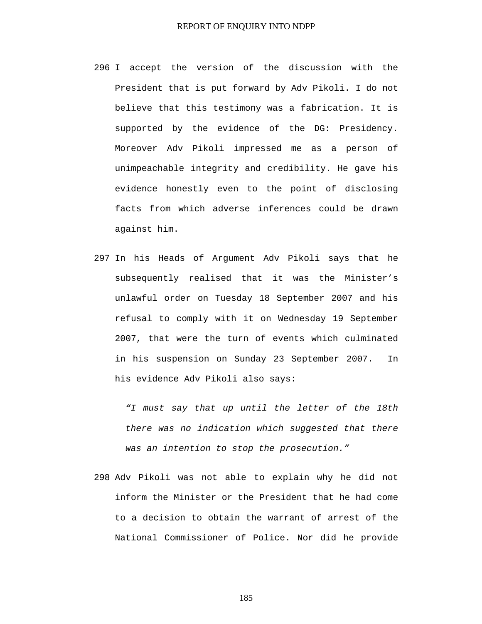- 296 I accept the version of the discussion with the President that is put forward by Adv Pikoli. I do not believe that this testimony was a fabrication. It is supported by the evidence of the DG: Presidency. Moreover Adv Pikoli impressed me as a person of unimpeachable integrity and credibility. He gave his evidence honestly even to the point of disclosing facts from which adverse inferences could be drawn against him.
- 297 In his Heads of Argument Adv Pikoli says that he subsequently realised that it was the Minister's unlawful order on Tuesday 18 September 2007 and his refusal to comply with it on Wednesday 19 September 2007, that were the turn of events which culminated in his suspension on Sunday 23 September 2007. In his evidence Adv Pikoli also says:

*"I must say that up until the letter of the 18th there was no indication which suggested that there was an intention to stop the prosecution."* 

298 Adv Pikoli was not able to explain why he did not inform the Minister or the President that he had come to a decision to obtain the warrant of arrest of the National Commissioner of Police. Nor did he provide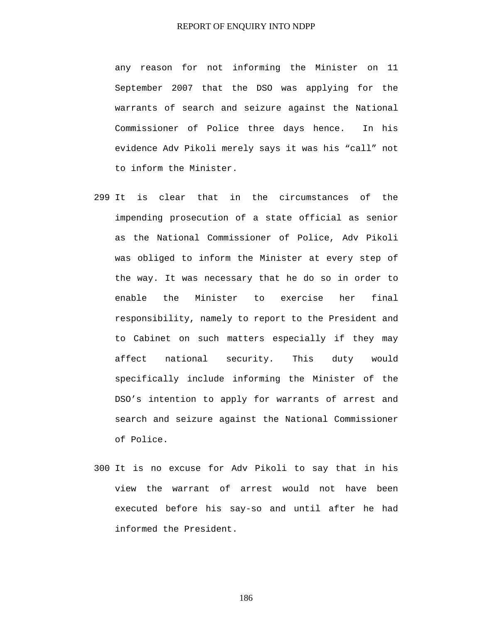any reason for not informing the Minister on 11 September 2007 that the DSO was applying for the warrants of search and seizure against the National Commissioner of Police three days hence. In his evidence Adv Pikoli merely says it was his "call" not to inform the Minister.

- 299 It is clear that in the circumstances of the impending prosecution of a state official as senior as the National Commissioner of Police, Adv Pikoli was obliged to inform the Minister at every step of the way. It was necessary that he do so in order to enable the Minister to exercise her final responsibility, namely to report to the President and to Cabinet on such matters especially if they may affect national security. This duty would specifically include informing the Minister of the DSO's intention to apply for warrants of arrest and search and seizure against the National Commissioner of Police.
- 300 It is no excuse for Adv Pikoli to say that in his view the warrant of arrest would not have been executed before his say-so and until after he had informed the President.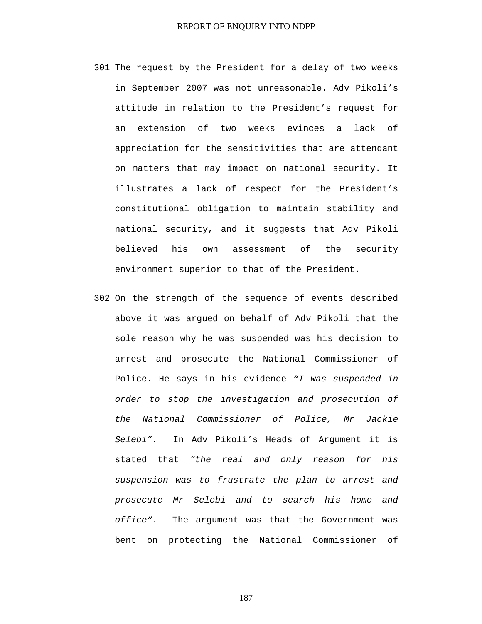- 301 The request by the President for a delay of two weeks in September 2007 was not unreasonable. Adv Pikoli's attitude in relation to the President's request for an extension of two weeks evinces a lack of appreciation for the sensitivities that are attendant on matters that may impact on national security. It illustrates a lack of respect for the President's constitutional obligation to maintain stability and national security, and it suggests that Adv Pikoli believed his own assessment of the security environment superior to that of the President.
- 302 On the strength of the sequence of events described above it was argued on behalf of Adv Pikoli that the sole reason why he was suspended was his decision to arrest and prosecute the National Commissioner of Police. He says in his evidence *"I was suspended in order to stop the investigation and prosecution of the National Commissioner of Police, Mr Jackie Selebi".* In Adv Pikoli's Heads of Argument it is stated that *"the real and only reason for his suspension was to frustrate the plan to arrest and prosecute Mr Selebi and to search his home and office"*. The argument was that the Government was bent on protecting the National Commissioner of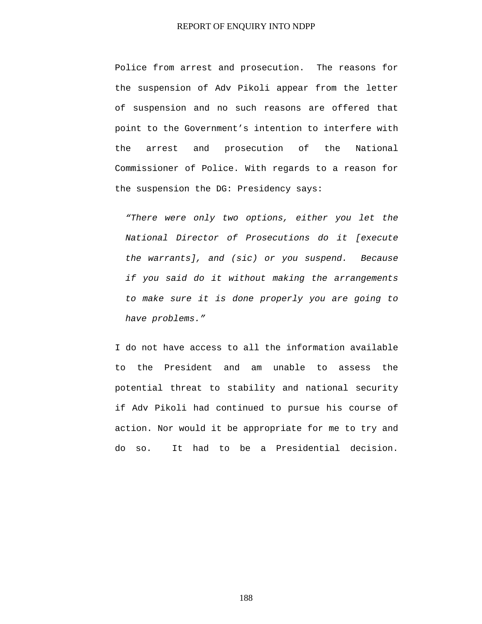Police from arrest and prosecution. The reasons for the suspension of Adv Pikoli appear from the letter of suspension and no such reasons are offered that point to the Government's intention to interfere with the arrest and prosecution of the National Commissioner of Police. With regards to a reason for the suspension the DG: Presidency says:

*"There were only two options, either you let the National Director of Prosecutions do it [execute the warrants], and (sic) or you suspend. Because if you said do it without making the arrangements to make sure it is done properly you are going to have problems."* 

I do not have access to all the information available to the President and am unable to assess the potential threat to stability and national security if Adv Pikoli had continued to pursue his course of action. Nor would it be appropriate for me to try and do so. It had to be a Presidential decision.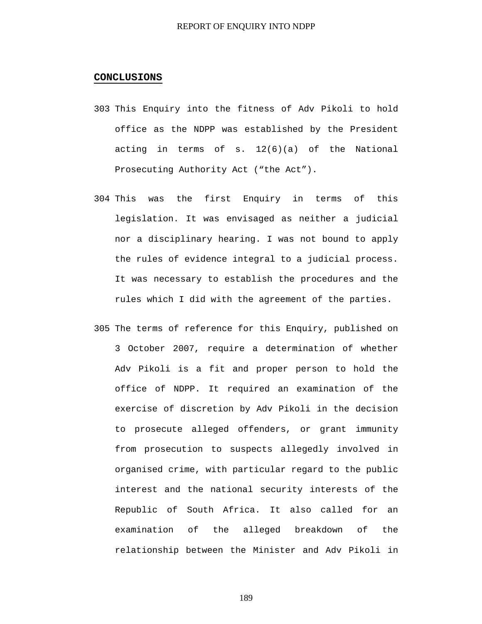#### **CONCLUSIONS**

- 303 This Enquiry into the fitness of Adv Pikoli to hold office as the NDPP was established by the President acting in terms of s. 12(6)(a) of the National Prosecuting Authority Act ("the Act").
- 304 This was the first Enquiry in terms of this legislation. It was envisaged as neither a judicial nor a disciplinary hearing. I was not bound to apply the rules of evidence integral to a judicial process. It was necessary to establish the procedures and the rules which I did with the agreement of the parties.
- 305 The terms of reference for this Enquiry, published on 3 October 2007, require a determination of whether Adv Pikoli is a fit and proper person to hold the office of NDPP. It required an examination of the exercise of discretion by Adv Pikoli in the decision to prosecute alleged offenders, or grant immunity from prosecution to suspects allegedly involved in organised crime, with particular regard to the public interest and the national security interests of the Republic of South Africa. It also called for an examination of the alleged breakdown of the relationship between the Minister and Adv Pikoli in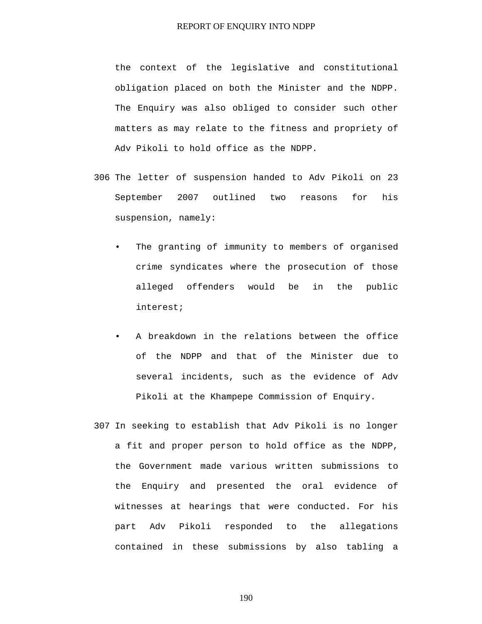the context of the legislative and constitutional obligation placed on both the Minister and the NDPP. The Enquiry was also obliged to consider such other matters as may relate to the fitness and propriety of Adv Pikoli to hold office as the NDPP.

- 306 The letter of suspension handed to Adv Pikoli on 23 September 2007 outlined two reasons for his suspension, namely:
	- The granting of immunity to members of organised crime syndicates where the prosecution of those alleged offenders would be in the public interest;
	- A breakdown in the relations between the office of the NDPP and that of the Minister due to several incidents, such as the evidence of Adv Pikoli at the Khampepe Commission of Enquiry.
- 307 In seeking to establish that Adv Pikoli is no longer a fit and proper person to hold office as the NDPP, the Government made various written submissions to the Enquiry and presented the oral evidence of witnesses at hearings that were conducted. For his part Adv Pikoli responded to the allegations contained in these submissions by also tabling a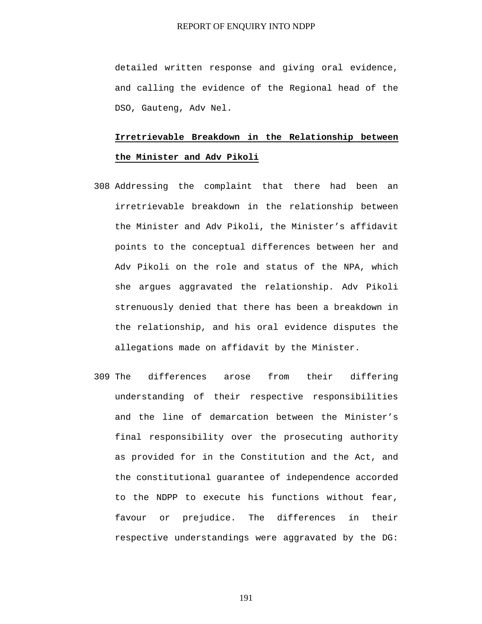detailed written response and giving oral evidence, and calling the evidence of the Regional head of the DSO, Gauteng, Adv Nel.

# **Irretrievable Breakdown in the Relationship between the Minister and Adv Pikoli**

- 308 Addressing the complaint that there had been an irretrievable breakdown in the relationship between the Minister and Adv Pikoli, the Minister's affidavit points to the conceptual differences between her and Adv Pikoli on the role and status of the NPA, which she argues aggravated the relationship. Adv Pikoli strenuously denied that there has been a breakdown in the relationship, and his oral evidence disputes the allegations made on affidavit by the Minister.
- 309 The differences arose from their differing understanding of their respective responsibilities and the line of demarcation between the Minister's final responsibility over the prosecuting authority as provided for in the Constitution and the Act, and the constitutional guarantee of independence accorded to the NDPP to execute his functions without fear, favour or prejudice. The differences in their respective understandings were aggravated by the DG: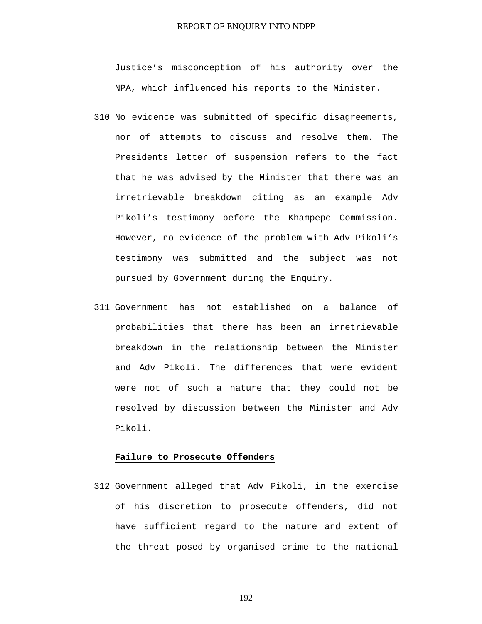Justice's misconception of his authority over the NPA, which influenced his reports to the Minister.

- 310 No evidence was submitted of specific disagreements, nor of attempts to discuss and resolve them. The Presidents letter of suspension refers to the fact that he was advised by the Minister that there was an irretrievable breakdown citing as an example Adv Pikoli's testimony before the Khampepe Commission. However, no evidence of the problem with Adv Pikoli's testimony was submitted and the subject was not pursued by Government during the Enquiry.
- 311 Government has not established on a balance of probabilities that there has been an irretrievable breakdown in the relationship between the Minister and Adv Pikoli. The differences that were evident were not of such a nature that they could not be resolved by discussion between the Minister and Adv Pikoli.

#### **Failure to Prosecute Offenders**

312 Government alleged that Adv Pikoli, in the exercise of his discretion to prosecute offenders, did not have sufficient regard to the nature and extent of the threat posed by organised crime to the national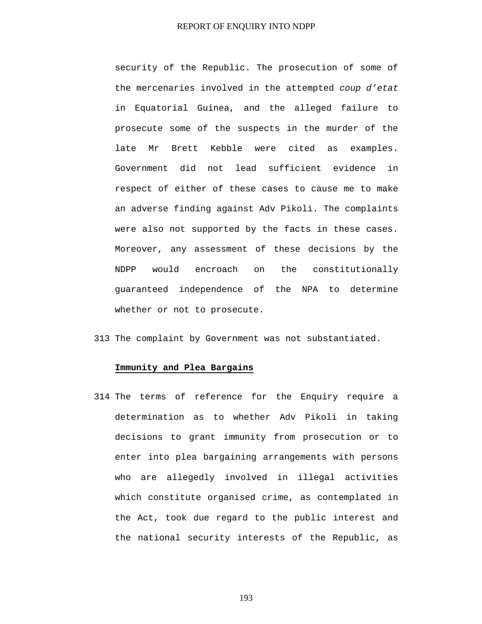security of the Republic. The prosecution of some of the mercenaries involved in the attempted *coup d'etat* in Equatorial Guinea, and the alleged failure to prosecute some of the suspects in the murder of the late Mr Brett Kebble were cited as examples. Government did not lead sufficient evidence in respect of either of these cases to cause me to make an adverse finding against Adv Pikoli. The complaints were also not supported by the facts in these cases. Moreover, any assessment of these decisions by the NDPP would encroach on the constitutionally guaranteed independence of the NPA to determine whether or not to prosecute.

313 The complaint by Government was not substantiated.

#### **Immunity and Plea Bargains**

314 The terms of reference for the Enquiry require a determination as to whether Adv Pikoli in taking decisions to grant immunity from prosecution or to enter into plea bargaining arrangements with persons who are allegedly involved in illegal activities which constitute organised crime, as contemplated in the Act, took due regard to the public interest and the national security interests of the Republic, as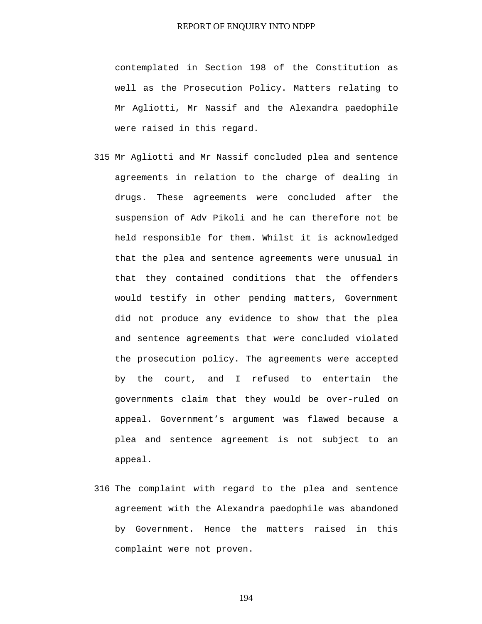contemplated in Section 198 of the Constitution as well as the Prosecution Policy. Matters relating to Mr Agliotti, Mr Nassif and the Alexandra paedophile were raised in this regard.

- 315 Mr Agliotti and Mr Nassif concluded plea and sentence agreements in relation to the charge of dealing in drugs. These agreements were concluded after the suspension of Adv Pikoli and he can therefore not be held responsible for them. Whilst it is acknowledged that the plea and sentence agreements were unusual in that they contained conditions that the offenders would testify in other pending matters, Government did not produce any evidence to show that the plea and sentence agreements that were concluded violated the prosecution policy. The agreements were accepted by the court, and I refused to entertain the governments claim that they would be over-ruled on appeal. Government's argument was flawed because a plea and sentence agreement is not subject to an appeal.
- 316 The complaint with regard to the plea and sentence agreement with the Alexandra paedophile was abandoned by Government. Hence the matters raised in this complaint were not proven.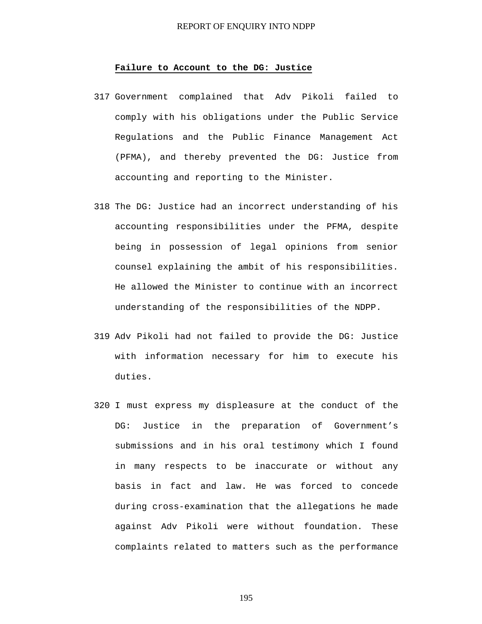#### **Failure to Account to the DG: Justice**

- 317 Government complained that Adv Pikoli failed to comply with his obligations under the Public Service Regulations and the Public Finance Management Act (PFMA), and thereby prevented the DG: Justice from accounting and reporting to the Minister.
- 318 The DG: Justice had an incorrect understanding of his accounting responsibilities under the PFMA, despite being in possession of legal opinions from senior counsel explaining the ambit of his responsibilities. He allowed the Minister to continue with an incorrect understanding of the responsibilities of the NDPP.
- 319 Adv Pikoli had not failed to provide the DG: Justice with information necessary for him to execute his duties.
- 320 I must express my displeasure at the conduct of the DG: Justice in the preparation of Government's submissions and in his oral testimony which I found in many respects to be inaccurate or without any basis in fact and law. He was forced to concede during cross-examination that the allegations he made against Adv Pikoli were without foundation. These complaints related to matters such as the performance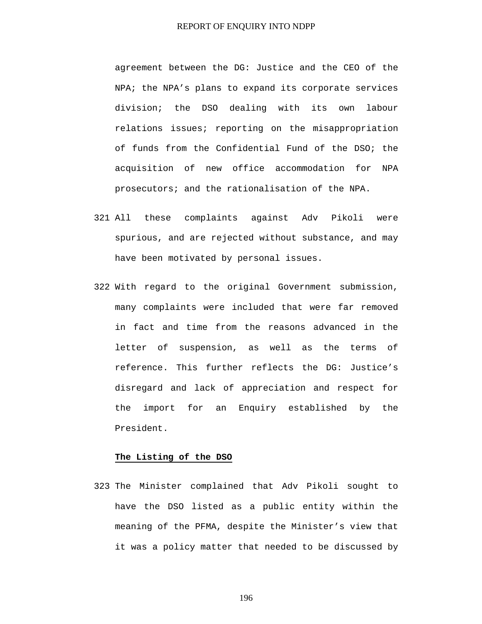agreement between the DG: Justice and the CEO of the NPA; the NPA's plans to expand its corporate services division; the DSO dealing with its own labour relations issues; reporting on the misappropriation of funds from the Confidential Fund of the DSO; the acquisition of new office accommodation for NPA prosecutors; and the rationalisation of the NPA.

- 321 All these complaints against Adv Pikoli were spurious, and are rejected without substance, and may have been motivated by personal issues.
- 322 With regard to the original Government submission, many complaints were included that were far removed in fact and time from the reasons advanced in the letter of suspension, as well as the terms of reference. This further reflects the DG: Justice's disregard and lack of appreciation and respect for the import for an Enquiry established by the President.

#### **The Listing of the DSO**

323 The Minister complained that Adv Pikoli sought to have the DSO listed as a public entity within the meaning of the PFMA, despite the Minister's view that it was a policy matter that needed to be discussed by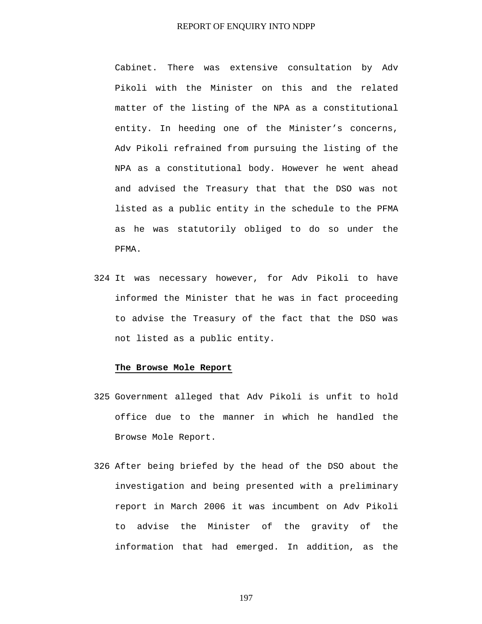Cabinet. There was extensive consultation by Adv Pikoli with the Minister on this and the related matter of the listing of the NPA as a constitutional entity. In heeding one of the Minister's concerns, Adv Pikoli refrained from pursuing the listing of the NPA as a constitutional body. However he went ahead and advised the Treasury that that the DSO was not listed as a public entity in the schedule to the PFMA as he was statutorily obliged to do so under the PFMA.

324 It was necessary however, for Adv Pikoli to have informed the Minister that he was in fact proceeding to advise the Treasury of the fact that the DSO was not listed as a public entity.

#### **The Browse Mole Report**

- 325 Government alleged that Adv Pikoli is unfit to hold office due to the manner in which he handled the Browse Mole Report.
- 326 After being briefed by the head of the DSO about the investigation and being presented with a preliminary report in March 2006 it was incumbent on Adv Pikoli to advise the Minister of the gravity of the information that had emerged. In addition, as the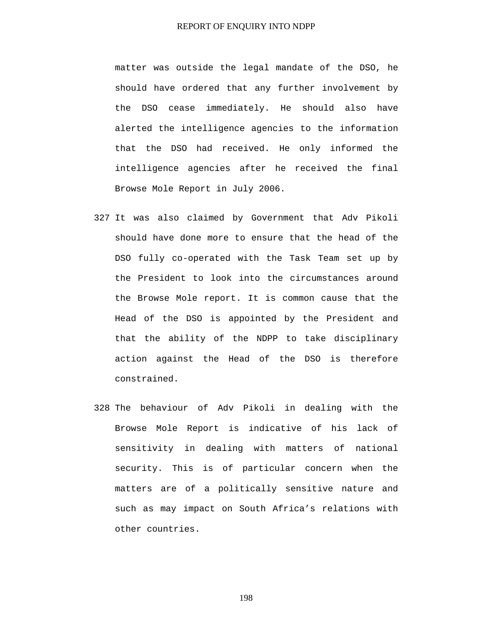matter was outside the legal mandate of the DSO, he should have ordered that any further involvement by the DSO cease immediately. He should also have alerted the intelligence agencies to the information that the DSO had received. He only informed the intelligence agencies after he received the final Browse Mole Report in July 2006.

- 327 It was also claimed by Government that Adv Pikoli should have done more to ensure that the head of the DSO fully co-operated with the Task Team set up by the President to look into the circumstances around the Browse Mole report. It is common cause that the Head of the DSO is appointed by the President and that the ability of the NDPP to take disciplinary action against the Head of the DSO is therefore constrained.
- 328 The behaviour of Adv Pikoli in dealing with the Browse Mole Report is indicative of his lack of sensitivity in dealing with matters of national security. This is of particular concern when the matters are of a politically sensitive nature and such as may impact on South Africa's relations with other countries.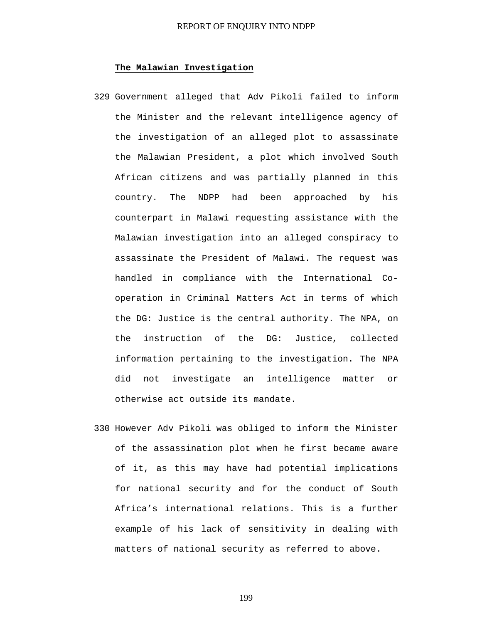# **The Malawian Investigation**

- 329 Government alleged that Adv Pikoli failed to inform the Minister and the relevant intelligence agency of the investigation of an alleged plot to assassinate the Malawian President, a plot which involved South African citizens and was partially planned in this country. The NDPP had been approached by his counterpart in Malawi requesting assistance with the Malawian investigation into an alleged conspiracy to assassinate the President of Malawi. The request was handled in compliance with the International Cooperation in Criminal Matters Act in terms of which the DG: Justice is the central authority. The NPA, on the instruction of the DG: Justice, collected information pertaining to the investigation. The NPA did not investigate an intelligence matter or otherwise act outside its mandate.
- 330 However Adv Pikoli was obliged to inform the Minister of the assassination plot when he first became aware of it, as this may have had potential implications for national security and for the conduct of South Africa's international relations. This is a further example of his lack of sensitivity in dealing with matters of national security as referred to above.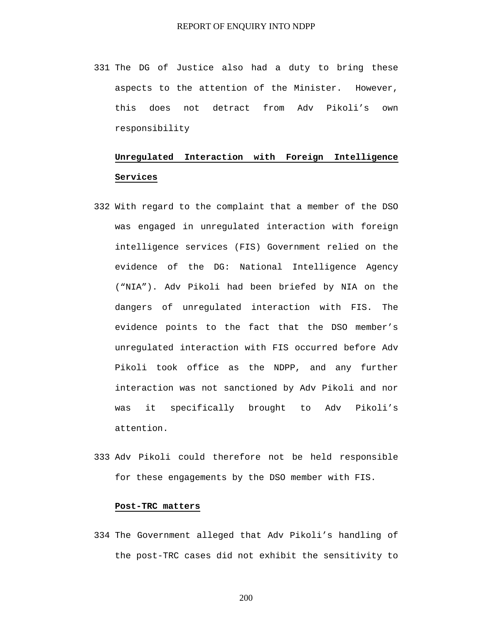331 The DG of Justice also had a duty to bring these aspects to the attention of the Minister. However, this does not detract from Adv Pikoli's own responsibility

# **Unregulated Interaction with Foreign Intelligence Services**

- 332 With regard to the complaint that a member of the DSO was engaged in unregulated interaction with foreign intelligence services (FIS) Government relied on the evidence of the DG: National Intelligence Agency ("NIA"). Adv Pikoli had been briefed by NIA on the dangers of unregulated interaction with FIS. The evidence points to the fact that the DSO member's unregulated interaction with FIS occurred before Adv Pikoli took office as the NDPP, and any further interaction was not sanctioned by Adv Pikoli and nor was it specifically brought to Adv Pikoli's attention.
- 333 Adv Pikoli could therefore not be held responsible for these engagements by the DSO member with FIS.

# **Post-TRC matters**

334 The Government alleged that Adv Pikoli's handling of the post-TRC cases did not exhibit the sensitivity to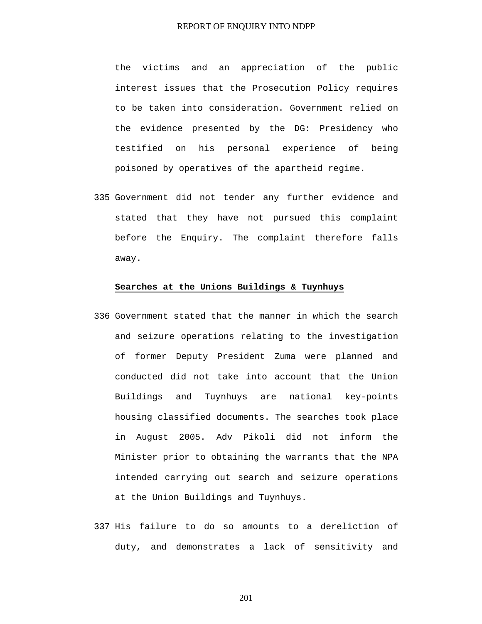the victims and an appreciation of the public interest issues that the Prosecution Policy requires to be taken into consideration. Government relied on the evidence presented by the DG: Presidency who testified on his personal experience of being poisoned by operatives of the apartheid regime.

335 Government did not tender any further evidence and stated that they have not pursued this complaint before the Enquiry. The complaint therefore falls away.

#### **Searches at the Unions Buildings & Tuynhuys**

- 336 Government stated that the manner in which the search and seizure operations relating to the investigation of former Deputy President Zuma were planned and conducted did not take into account that the Union Buildings and Tuynhuys are national key-points housing classified documents. The searches took place in August 2005. Adv Pikoli did not inform the Minister prior to obtaining the warrants that the NPA intended carrying out search and seizure operations at the Union Buildings and Tuynhuys.
- 337 His failure to do so amounts to a dereliction of duty, and demonstrates a lack of sensitivity and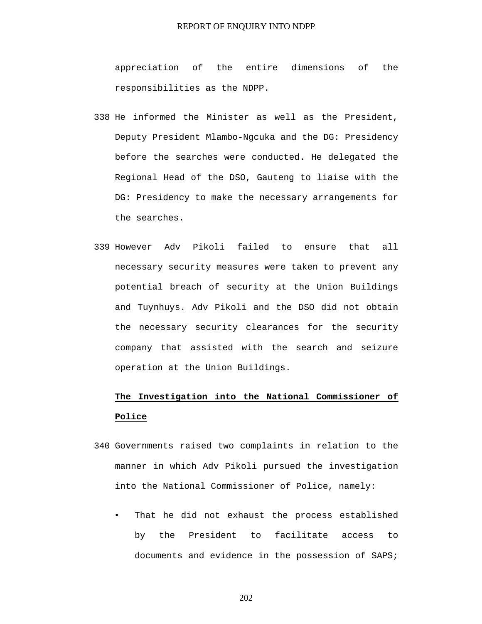appreciation of the entire dimensions of the responsibilities as the NDPP.

- 338 He informed the Minister as well as the President, Deputy President Mlambo-Ngcuka and the DG: Presidency before the searches were conducted. He delegated the Regional Head of the DSO, Gauteng to liaise with the DG: Presidency to make the necessary arrangements for the searches.
- 339 However Adv Pikoli failed to ensure that all necessary security measures were taken to prevent any potential breach of security at the Union Buildings and Tuynhuys. Adv Pikoli and the DSO did not obtain the necessary security clearances for the security company that assisted with the search and seizure operation at the Union Buildings.

# **The Investigation into the National Commissioner of Police**

- 340 Governments raised two complaints in relation to the manner in which Adv Pikoli pursued the investigation into the National Commissioner of Police, namely:
	- That he did not exhaust the process established by the President to facilitate access to documents and evidence in the possession of SAPS;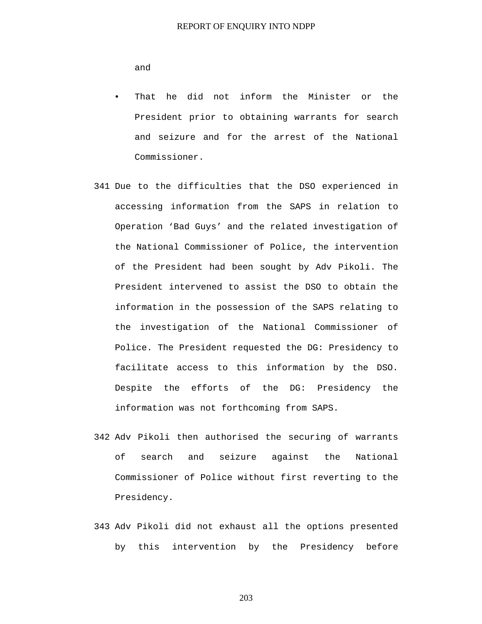and

- That he did not inform the Minister or the President prior to obtaining warrants for search and seizure and for the arrest of the National Commissioner.
- 341 Due to the difficulties that the DSO experienced in accessing information from the SAPS in relation to Operation 'Bad Guys' and the related investigation of the National Commissioner of Police, the intervention of the President had been sought by Adv Pikoli. The President intervened to assist the DSO to obtain the information in the possession of the SAPS relating to the investigation of the National Commissioner of Police. The President requested the DG: Presidency to facilitate access to this information by the DSO. Despite the efforts of the DG: Presidency the information was not forthcoming from SAPS.
- 342 Adv Pikoli then authorised the securing of warrants of search and seizure against the National Commissioner of Police without first reverting to the Presidency.
- 343 Adv Pikoli did not exhaust all the options presented by this intervention by the Presidency before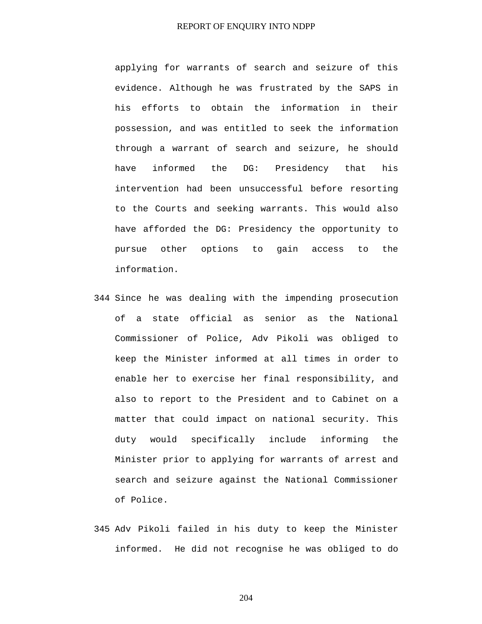applying for warrants of search and seizure of this evidence. Although he was frustrated by the SAPS in his efforts to obtain the information in their possession, and was entitled to seek the information through a warrant of search and seizure, he should have informed the DG: Presidency that his intervention had been unsuccessful before resorting to the Courts and seeking warrants. This would also have afforded the DG: Presidency the opportunity to pursue other options to gain access to the information.

- 344 Since he was dealing with the impending prosecution of a state official as senior as the National Commissioner of Police, Adv Pikoli was obliged to keep the Minister informed at all times in order to enable her to exercise her final responsibility, and also to report to the President and to Cabinet on a matter that could impact on national security. This duty would specifically include informing the Minister prior to applying for warrants of arrest and search and seizure against the National Commissioner of Police.
- 345 Adv Pikoli failed in his duty to keep the Minister informed. He did not recognise he was obliged to do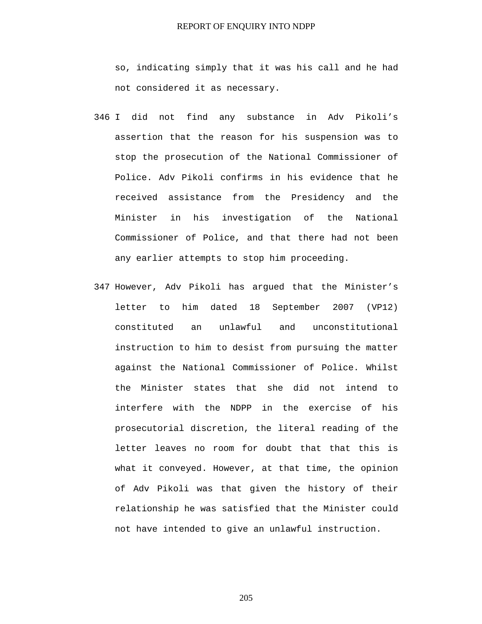so, indicating simply that it was his call and he had not considered it as necessary.

- 346 I did not find any substance in Adv Pikoli's assertion that the reason for his suspension was to stop the prosecution of the National Commissioner of Police. Adv Pikoli confirms in his evidence that he received assistance from the Presidency and the Minister in his investigation of the National Commissioner of Police, and that there had not been any earlier attempts to stop him proceeding.
- 347 However, Adv Pikoli has argued that the Minister's letter to him dated 18 September 2007 (VP12) constituted an unlawful and unconstitutional instruction to him to desist from pursuing the matter against the National Commissioner of Police. Whilst the Minister states that she did not intend to interfere with the NDPP in the exercise of his prosecutorial discretion, the literal reading of the letter leaves no room for doubt that that this is what it conveyed. However, at that time, the opinion of Adv Pikoli was that given the history of their relationship he was satisfied that the Minister could not have intended to give an unlawful instruction.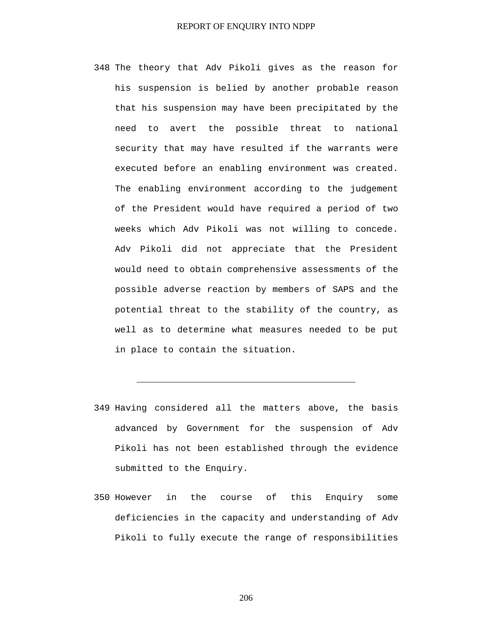- 348 The theory that Adv Pikoli gives as the reason for his suspension is belied by another probable reason that his suspension may have been precipitated by the need to avert the possible threat to national security that may have resulted if the warrants were executed before an enabling environment was created. The enabling environment according to the judgement of the President would have required a period of two weeks which Adv Pikoli was not willing to concede. Adv Pikoli did not appreciate that the President would need to obtain comprehensive assessments of the possible adverse reaction by members of SAPS and the potential threat to the stability of the country, as well as to determine what measures needed to be put in place to contain the situation.
- 349 Having considered all the matters above, the basis advanced by Government for the suspension of Adv Pikoli has not been established through the evidence submitted to the Enquiry.

**\_\_\_\_\_\_\_\_\_\_\_\_\_\_\_\_\_\_\_\_\_\_\_\_\_\_\_\_\_\_\_\_\_\_\_\_\_\_\_\_\_** 

350 However in the course of this Enquiry some deficiencies in the capacity and understanding of Adv Pikoli to fully execute the range of responsibilities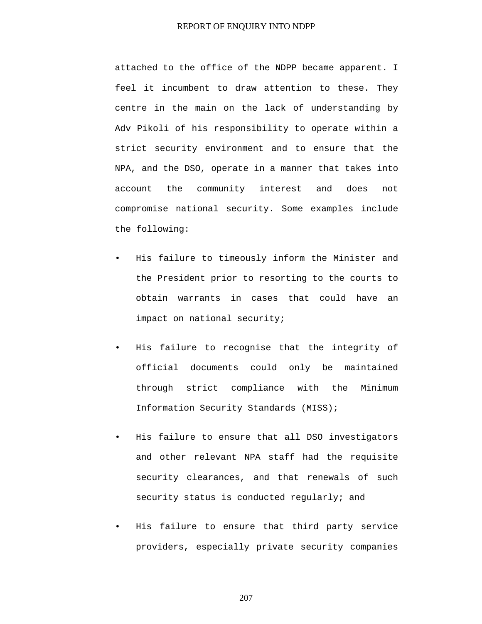attached to the office of the NDPP became apparent. I feel it incumbent to draw attention to these. They centre in the main on the lack of understanding by Adv Pikoli of his responsibility to operate within a strict security environment and to ensure that the NPA, and the DSO, operate in a manner that takes into account the community interest and does not compromise national security. Some examples include the following:

- His failure to timeously inform the Minister and the President prior to resorting to the courts to obtain warrants in cases that could have an impact on national security;
- His failure to recognise that the integrity of official documents could only be maintained through strict compliance with the Minimum Information Security Standards (MISS);
- His failure to ensure that all DSO investigators and other relevant NPA staff had the requisite security clearances, and that renewals of such security status is conducted regularly; and
- His failure to ensure that third party service providers, especially private security companies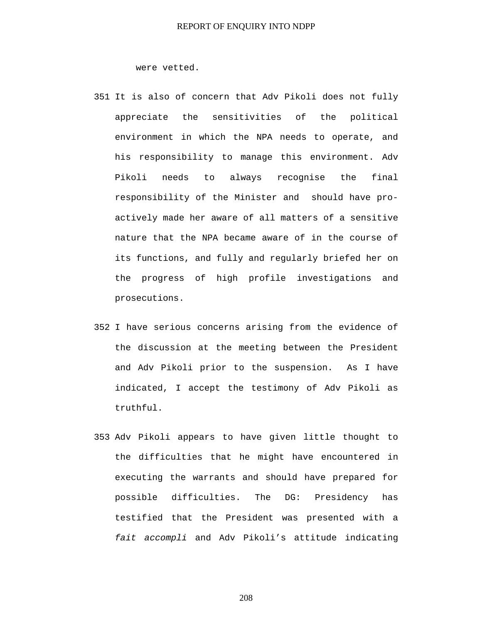were vetted.

- 351 It is also of concern that Adv Pikoli does not fully appreciate the sensitivities of the political environment in which the NPA needs to operate, and his responsibility to manage this environment. Adv Pikoli needs to always recognise the final responsibility of the Minister and should have proactively made her aware of all matters of a sensitive nature that the NPA became aware of in the course of its functions, and fully and regularly briefed her on the progress of high profile investigations and prosecutions.
- 352 I have serious concerns arising from the evidence of the discussion at the meeting between the President and Adv Pikoli prior to the suspension. As I have indicated, I accept the testimony of Adv Pikoli as truthful.
- 353 Adv Pikoli appears to have given little thought to the difficulties that he might have encountered in executing the warrants and should have prepared for possible difficulties. The DG: Presidency has testified that the President was presented with a *fait accompli* and Adv Pikoli's attitude indicating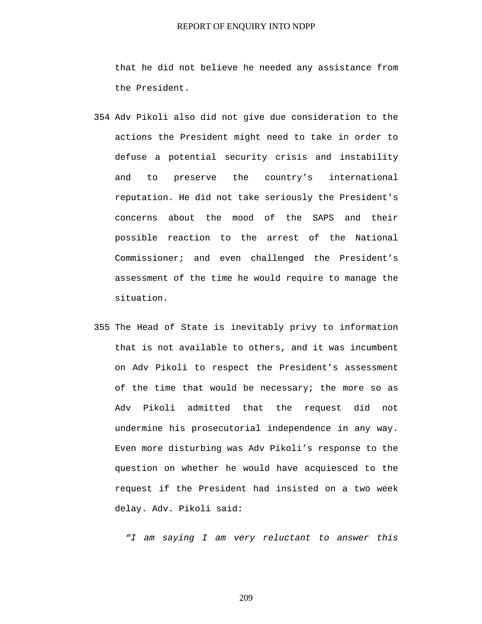that he did not believe he needed any assistance from the President.

- 354 Adv Pikoli also did not give due consideration to the actions the President might need to take in order to defuse a potential security crisis and instability and to preserve the country's international reputation. He did not take seriously the President's concerns about the mood of the SAPS and their possible reaction to the arrest of the National Commissioner; and even challenged the President's assessment of the time he would require to manage the situation.
- 355 The Head of State is inevitably privy to information that is not available to others, and it was incumbent on Adv Pikoli to respect the President's assessment of the time that would be necessary; the more so as Adv Pikoli admitted that the request did not undermine his prosecutorial independence in any way. Even more disturbing was Adv Pikoli's response to the question on whether he would have acquiesced to the request if the President had insisted on a two week delay. Adv. Pikoli said:

*"I am saying I am very reluctant to answer this*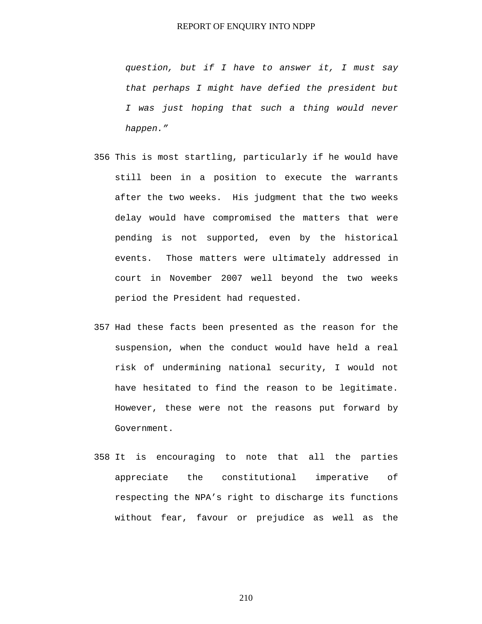*question, but if I have to answer it, I must say that perhaps I might have defied the president but I was just hoping that such a thing would never happen."* 

- 356 This is most startling, particularly if he would have still been in a position to execute the warrants after the two weeks. His judgment that the two weeks delay would have compromised the matters that were pending is not supported, even by the historical events. Those matters were ultimately addressed in court in November 2007 well beyond the two weeks period the President had requested.
- 357 Had these facts been presented as the reason for the suspension, when the conduct would have held a real risk of undermining national security, I would not have hesitated to find the reason to be legitimate. However, these were not the reasons put forward by Government.
- 358 It is encouraging to note that all the parties appreciate the constitutional imperative of respecting the NPA's right to discharge its functions without fear, favour or prejudice as well as the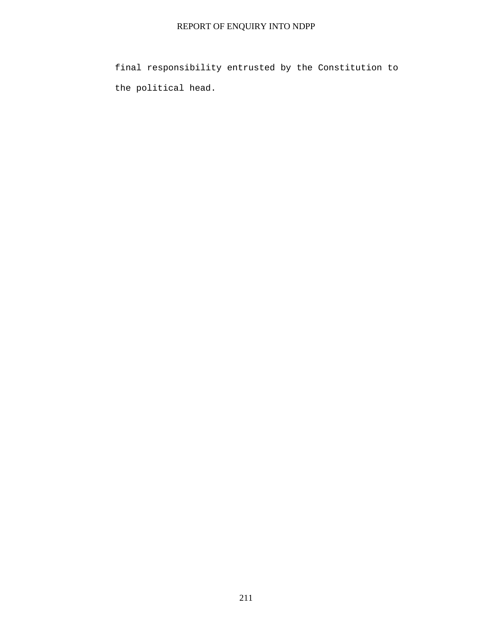final responsibility entrusted by the Constitution to the political head.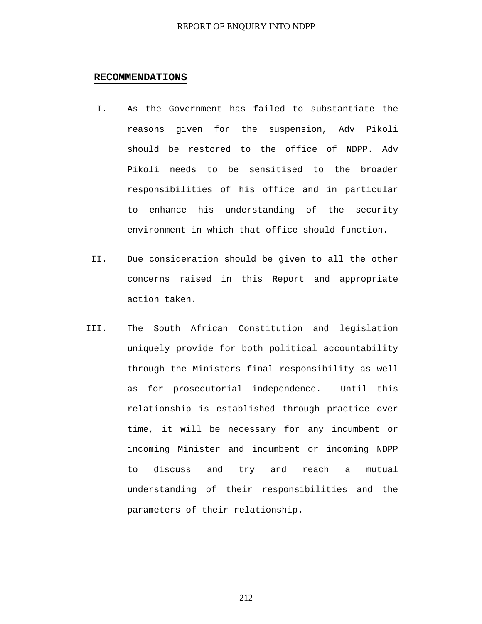# **RECOMMENDATIONS**

- I. As the Government has failed to substantiate the reasons given for the suspension, Adv Pikoli should be restored to the office of NDPP. Adv Pikoli needs to be sensitised to the broader responsibilities of his office and in particular to enhance his understanding of the security environment in which that office should function.
- II. Due consideration should be given to all the other concerns raised in this Report and appropriate action taken.
- III. The South African Constitution and legislation uniquely provide for both political accountability through the Ministers final responsibility as well as for prosecutorial independence. Until this relationship is established through practice over time, it will be necessary for any incumbent or incoming Minister and incumbent or incoming NDPP to discuss and try and reach a mutual understanding of their responsibilities and the parameters of their relationship.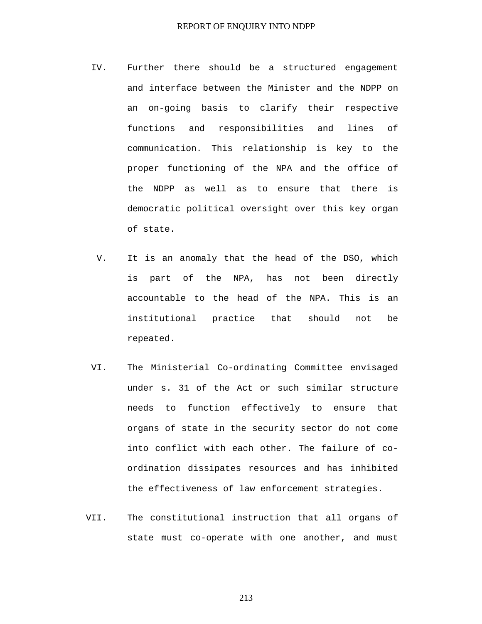## REPORT OF ENQUIRY INTO NDPP

- IV. Further there should be a structured engagement and interface between the Minister and the NDPP on an on-going basis to clarify their respective functions and responsibilities and lines of communication. This relationship is key to the proper functioning of the NPA and the office of the NDPP as well as to ensure that there is democratic political oversight over this key organ of state.
- V. It is an anomaly that the head of the DSO, which is part of the NPA, has not been directly accountable to the head of the NPA. This is an institutional practice that should not be repeated.
- VI. The Ministerial Co-ordinating Committee envisaged under s. 31 of the Act or such similar structure needs to function effectively to ensure that organs of state in the security sector do not come into conflict with each other. The failure of coordination dissipates resources and has inhibited the effectiveness of law enforcement strategies.
- VII. The constitutional instruction that all organs of state must co-operate with one another, and must

213